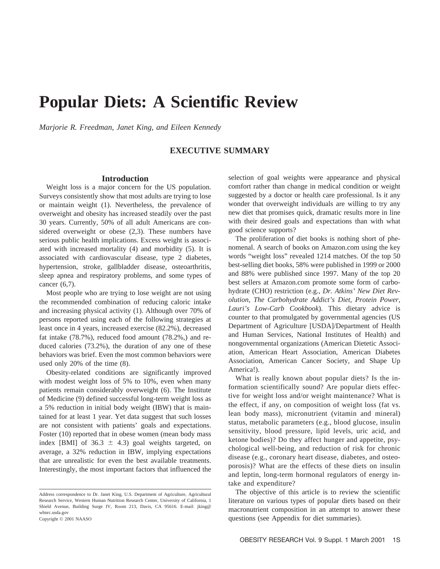# **Popular Diets: A Scientific Review**

*Marjorie R. Freedman, Janet King, and Eileen Kennedy*

# **EXECUTIVE SUMMARY**

## **Introduction**

Weight loss is a major concern for the US population. Surveys consistently show that most adults are trying to lose or maintain weight (1). Nevertheless, the prevalence of overweight and obesity has increased steadily over the past 30 years. Currently, 50% of all adult Americans are considered overweight or obese (2,3). These numbers have serious public health implications. Excess weight is associated with increased mortality (4) and morbidity (5). It is associated with cardiovascular disease, type 2 diabetes, hypertension, stroke, gallbladder disease, osteoarthritis, sleep apnea and respiratory problems, and some types of cancer (6,7).

Most people who are trying to lose weight are not using the recommended combination of reducing caloric intake and increasing physical activity (1). Although over 70% of persons reported using each of the following strategies at least once in 4 years, increased exercise (82.2%), decreased fat intake (78.7%), reduced food amount (78.2%,) and reduced calories (73.2%), the duration of any one of these behaviors was brief. Even the most common behaviors were used only 20% of the time (8).

Obesity-related conditions are significantly improved with modest weight loss of 5% to 10%, even when many patients remain considerably overweight (6). The Institute of Medicine (9) defined successful long-term weight loss as a 5% reduction in initial body weight (IBW) that is maintained for at least 1 year. Yet data suggest that such losses are not consistent with patients' goals and expectations. Foster (10) reported that in obese women (mean body mass index [BMI] of 36.3  $\pm$  4.3) goal weights targeted, on average, a 32% reduction in IBW, implying expectations that are unrealistic for even the best available treatments. Interestingly, the most important factors that influenced the selection of goal weights were appearance and physical comfort rather than change in medical condition or weight suggested by a doctor or health care professional. Is it any wonder that overweight individuals are willing to try any new diet that promises quick, dramatic results more in line with their desired goals and expectations than with what good science supports?

The proliferation of diet books is nothing short of phenomenal. A search of books on Amazon.com using the key words "weight loss" revealed 1214 matches. Of the top 50 best-selling diet books, 58% were published in 1999 or 2000 and 88% were published since 1997. Many of the top 20 best sellers at Amazon.com promote some form of carbohydrate (CHO) restriction (e.g., *Dr. Atkins' New Diet Revolution*, *The Carbohydrate Addict's Diet*, *Protein Power*, *Lauri's Low-Carb Cookbook*). This dietary advice is counter to that promulgated by governmental agencies (US Department of Agriculture [USDA]/Department of Health and Human Services, National Institutes of Health) and nongovernmental organizations (American Dietetic Association, American Heart Association, American Diabetes Association, American Cancer Society, and Shape Up America!).

What is really known about popular diets? Is the information scientifically sound? Are popular diets effective for weight loss and/or weight maintenance? What is the effect, if any, on composition of weight loss (fat vs. lean body mass), micronutrient (vitamin and mineral) status, metabolic parameters (e.g., blood glucose, insulin sensitivity, blood pressure, lipid levels, uric acid, and ketone bodies)? Do they affect hunger and appetite, psychological well-being, and reduction of risk for chronic disease (e.g., coronary heart disease, diabetes, and osteoporosis)? What are the effects of these diets on insulin and leptin, long-term hormonal regulators of energy intake and expenditure?

The objective of this article is to review the scientific literature on various types of popular diets based on their macronutrient composition in an attempt to answer these questions (see Appendix for diet summaries).

Address correspondence to Dr. Janet King, U.S. Department of Agriculture, Agricultural Research Service, Western Human Nutrition Research Center, University of California, 1 Shield Avenue, Building Surge IV, Room 213, Davis, CA 95616. E-mail: jking@ whnrc.usda.gov Copyright © 2001 NAASO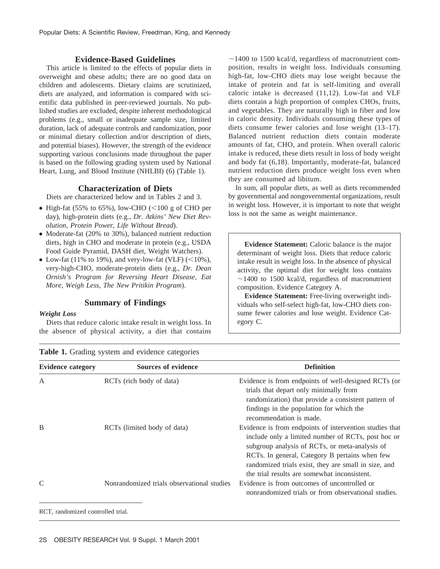# **Evidence-Based Guidelines**

This article is limited to the effects of popular diets in overweight and obese adults; there are no good data on children and adolescents. Dietary claims are scrutinized, diets are analyzed, and information is compared with scientific data published in peer-reviewed journals. No published studies are excluded, despite inherent methodological problems (e.g., small or inadequate sample size, limited duration, lack of adequate controls and randomization, poor or minimal dietary collection and/or description of diets, and potential biases). However, the strength of the evidence supporting various conclusions made throughout the paper is based on the following grading system used by National Heart, Lung, and Blood Institute (NHLBI) (6) (Table 1).

## **Characterization of Diets**

Diets are characterized below and in Tables 2 and 3.

- High-fat (55% to 65%), low-CHO ( $\leq$ 100 g of CHO per day), high-protein diets (e.g., *Dr. Atkins' New Diet Revolution*, *Protein Power*, *Life Without Bread*).
- Moderate-fat (20% to 30%), balanced nutrient reduction diets, high in CHO and moderate in protein (e.g., USDA Food Guide Pyramid, DASH diet, Weight Watchers).
- Low-fat (11% to 19%), and very-low-fat (VLF)  $(<10\%$ ), very-high-CHO, moderate-protein diets (e.g., *Dr. Dean Ornish's Program for Reversing Heart Disease*, *Eat More, Weigh Less*, *The New Pritikin Program*).

## **Summary of Findings**

#### *Weight Loss*

Diets that reduce caloric intake result in weight loss. In the absence of physical activity, a diet that contains  $\sim$ 1400 to 1500 kcal/d, regardless of macronutrient composition, results in weight loss. Individuals consuming high-fat, low-CHO diets may lose weight because the intake of protein and fat is self-limiting and overall caloric intake is decreased (11,12). Low-fat and VLF diets contain a high proportion of complex CHOs, fruits, and vegetables. They are naturally high in fiber and low in caloric density. Individuals consuming these types of diets consume fewer calories and lose weight (13–17). Balanced nutrient reduction diets contain moderate amounts of fat, CHO, and protein. When overall caloric intake is reduced, these diets result in loss of body weight and body fat (6,18). Importantly, moderate-fat, balanced nutrient reduction diets produce weight loss even when they are consumed ad libitum.

In sum, all popular diets, as well as diets recommended by governmental and nongovernmental organizations, result in weight loss. However, it is important to note that weight loss is not the same as weight maintenance.

**Evidence Statement:** Caloric balance is the major determinant of weight loss. Diets that reduce caloric intake result in weight loss. In the absence of physical activity, the optimal diet for weight loss contains  $\sim$ 1400 to 1500 kcal/d, regardless of macronutrient composition. Evidence Category A.

**Evidence Statement:** Free-living overweight individuals who self-select high-fat, low-CHO diets consume fewer calories and lose weight. Evidence Category C.

| <b>Evidence category</b> | <b>Sources of evidence</b>                 | <b>Definition</b>                                                                                                                                                                                                                                                                                                         |  |  |  |
|--------------------------|--------------------------------------------|---------------------------------------------------------------------------------------------------------------------------------------------------------------------------------------------------------------------------------------------------------------------------------------------------------------------------|--|--|--|
| A                        | RCTs (rich body of data)                   | Evidence is from endpoints of well-designed RCTs (or<br>trials that depart only minimally from<br>randomization) that provide a consistent pattern of<br>findings in the population for which the<br>recommendation is made.                                                                                              |  |  |  |
| B                        | RCTs (limited body of data)                | Evidence is from endpoints of intervention studies that<br>include only a limited number of RCTs, post hoc or<br>subgroup analysis of RCTs, or meta-analysis of<br>RCTs. In general, Category B pertains when few<br>randomized trials exist, they are small in size, and<br>the trial results are somewhat inconsistent. |  |  |  |
| C                        | Nonrandomized trials observational studies | Evidence is from outcomes of uncontrolled or<br>nonrandomized trials or from observational studies.                                                                                                                                                                                                                       |  |  |  |

**Table 1.** Grading system and evidence categories

RCT, randomized controlled trial.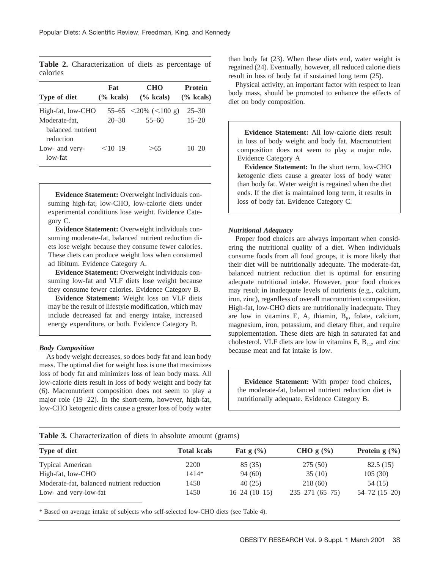| Fat       | <b>CHO</b>                             | <b>Protein</b>                                          |
|-----------|----------------------------------------|---------------------------------------------------------|
|           | $(\%$ kcals)                           | $(\%$ kcals)                                            |
|           |                                        | $25 - 30$                                               |
| $20 - 30$ | $55 - 60$                              | $15 - 20$                                               |
|           |                                        |                                                         |
|           |                                        |                                                         |
| $<10-19$  | >65                                    | $10 - 20$                                               |
|           |                                        |                                                         |
|           | High-fat, low-CHO<br>balanced nutrient | $\frac{6}{6}$ kcals)<br>55–65 $\leq$ 20% $(\leq$ 100 g) |

**Table 2.** Characterization of diets as percentage of calories

**Evidence Statement:** Overweight individuals consuming high-fat, low-CHO, low-calorie diets under experimental conditions lose weight. Evidence Category C.

**Evidence Statement:** Overweight individuals consuming moderate-fat, balanced nutrient reduction diets lose weight because they consume fewer calories. These diets can produce weight loss when consumed ad libitum. Evidence Category A.

**Evidence Statement:** Overweight individuals consuming low-fat and VLF diets lose weight because they consume fewer calories. Evidence Category B.

**Evidence Statement:** Weight loss on VLF diets may be the result of lifestyle modification, which may include decreased fat and energy intake, increased energy expenditure, or both. Evidence Category B.

#### *Body Composition*

As body weight decreases, so does body fat and lean body mass. The optimal diet for weight loss is one that maximizes loss of body fat and minimizes loss of lean body mass. All low-calorie diets result in loss of body weight and body fat (6). Macronutrient composition does not seem to play a major role (19–22). In the short-term, however, high-fat, low-CHO ketogenic diets cause a greater loss of body water than body fat (23). When these diets end, water weight is regained (24). Eventually, however, all reduced calorie diets result in loss of body fat if sustained long term (25).

Physical activity, an important factor with respect to lean body mass, should be promoted to enhance the effects of diet on body composition.

**Evidence Statement:** All low-calorie diets result in loss of body weight and body fat. Macronutrient composition does not seem to play a major role. Evidence Category A

**Evidence Statement:** In the short term, low-CHO ketogenic diets cause a greater loss of body water than body fat. Water weight is regained when the diet ends. If the diet is maintained long term, it results in loss of body fat. Evidence Category C.

## *Nutritional Adequacy*

Proper food choices are always important when considering the nutritional quality of a diet. When individuals consume foods from all food groups, it is more likely that their diet will be nutritionally adequate. The moderate-fat, balanced nutrient reduction diet is optimal for ensuring adequate nutritional intake. However, poor food choices may result in inadequate levels of nutrients (e.g., calcium, iron, zinc), regardless of overall macronutrient composition. High-fat, low-CHO diets are nutritionally inadequate. They are low in vitamins E, A, thiamin,  $B_6$ , folate, calcium, magnesium, iron, potassium, and dietary fiber, and require supplementation. These diets are high in saturated fat and cholesterol. VLF diets are low in vitamins E,  $B_{12}$ , and zinc because meat and fat intake is low.

**Evidence Statement:** With proper food choices, the moderate-fat, balanced nutrient reduction diet is nutritionally adequate. Evidence Category B.

#### **Table 3.** Characterization of diets in absolute amount (grams)

| Type of diet                              | <b>Total kcals</b> | Fat $g(\%)$    | CHO $g(\%)$          | Protein $g(\%)$    |
|-------------------------------------------|--------------------|----------------|----------------------|--------------------|
| <b>Typical American</b>                   | 2200               | 85 (35)        | 275(50)              | 82.5(15)           |
| High-fat, low-CHO                         | $1414*$            | 94(60)         | 35(10)               | 105(30)            |
| Moderate-fat, balanced nutrient reduction | 1450               | 40(25)         | 218(60)              | 54 (15)            |
| Low- and very-low-fat                     | 1450               | $16-24(10-15)$ | $235 - 271(65 - 75)$ | $54 - 72(15 - 20)$ |

\* Based on average intake of subjects who self-selected low-CHO diets (see Table 4).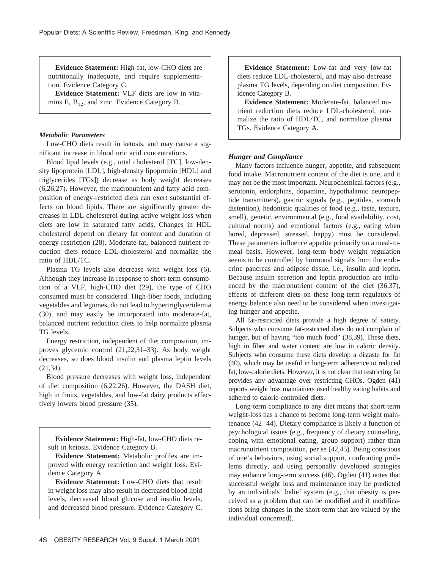**Evidence Statement:** High-fat, low-CHO diets are nutritionally inadequate, and require supplementation. Evidence Category C.

**Evidence Statement:** VLF diets are low in vitamins E,  $B_{12}$ , and zinc. Evidence Category B.

## *Metabolic Parameters*

Low-CHO diets result in ketosis, and may cause a significant increase in blood uric acid concentrations.

Blood lipid levels (e.g., total cholesterol [TC], low-density lipoprotein [LDL], high-density lipoprotein [HDL] and triglycerides [TGs]) decrease as body weight decreases (6,26,27). However, the macronutrient and fatty acid composition of energy-restricted diets can exert substantial effects on blood lipids. There are significantly greater decreases in LDL cholesterol during active weight loss when diets are low in saturated fatty acids. Changes in HDL cholesterol depend on dietary fat content and duration of energy restriction (28). Moderate-fat, balanced nutrient reduction diets reduce LDL-cholesterol and normalize the ratio of HDL/TC.

Plasma TG levels also decrease with weight loss (6). Although they increase in response to short-term consumption of a VLF, high-CHO diet (29), the type of CHO consumed must be considered. High-fiber foods, including vegetables and legumes, do not lead to hypertriglyceridemia (30), and may easily be incorporated into moderate-fat, balanced nutrient reduction diets to help normalize plasma TG levels.

Energy restriction, independent of diet composition, improves glycemic control (21,22,31–33). As body weight decreases, so does blood insulin and plasma leptin levels (21,34).

Blood pressure decreases with weight loss, independent of diet composition (6,22,26). However, the DASH diet, high in fruits, vegetables, and low-fat dairy products effectively lowers blood pressure (35).

**Evidence Statement:** High-fat, low-CHO diets result in ketosis. Evidence Category B.

**Evidence Statement:** Metabolic profiles are improved with energy restriction and weight loss. Evidence Category A.

**Evidence Statement:** Low-CHO diets that result in weight loss may also result in decreased blood lipid levels, decreased blood glucose and insulin levels, and decreased blood pressure. Evidence Category C.

**Evidence Statement:** Low-fat and very low-fat diets reduce LDL-cholesterol, and may also decrease plasma TG levels, depending on diet composition. Evidence Category B.

**Evidence Statement:** Moderate-fat, balanced nutrient reduction diets reduce LDL-cholesterol, normalize the ratio of HDL/TC, and normalize plasma TGs. Evidence Category A.

## *Hunger and Compliance*

Many factors influence hunger, appetite, and subsequent food intake. Macronutrient content of the diet is one, and it may not be the most important. Neurochemical factors (e.g., serotonin, endorphins, dopamine, hypothalamic neuropeptide transmitters), gastric signals (e.g., peptides, stomach distention), hedonistic qualities of food (e.g., taste, texture, smell), genetic, environmental (e.g., food availability, cost, cultural norms) and emotional factors (e.g., eating when bored, depressed, stressed, happy) must be considered. These parameters influence appetite primarily on a meal-tomeal basis. However, long-term body weight regulation seems to be controlled by hormonal signals from the endocrine pancreas and adipose tissue, i.e., insulin and leptin. Because insulin secretion and leptin production are influenced by the macronutrient content of the diet (36,37), effects of different diets on these long-term regulators of energy balance also need to be considered when investigating hunger and appetite.

All fat-restricted diets provide a high degree of satiety. Subjects who consume fat-restricted diets do not complain of hunger, but of having "too much food" (38,39). These diets, high in fiber and water content are low in caloric density. Subjects who consume these diets develop a distaste for fat (40), which may be useful in long-term adherence to reduced fat, low-calorie diets. However, it is not clear that restricting fat provides any advantage over restricting CHOs. Ogden (41) reports weight loss maintainers used healthy eating habits and adhered to calorie-controlled diets.

Long-term compliance to any diet means that short-term weight-loss has a chance to become long-term weight maintenance (42–44). Dietary compliance is likely a function of psychological issues (e.g., frequency of dietary counseling, coping with emotional eating, group support) rather than macronutrient composition, per se (42,45). Being conscious of one's behaviors, using social support, confronting problems directly, and using personally developed strategies may enhance long-term success (46). Ogden (41) notes that successful weight loss and maintenance may be predicted by an individuals' belief system (e.g., that obesity is perceived as a problem that can be modified and if modifications bring changes in the short-term that are valued by the individual concerned).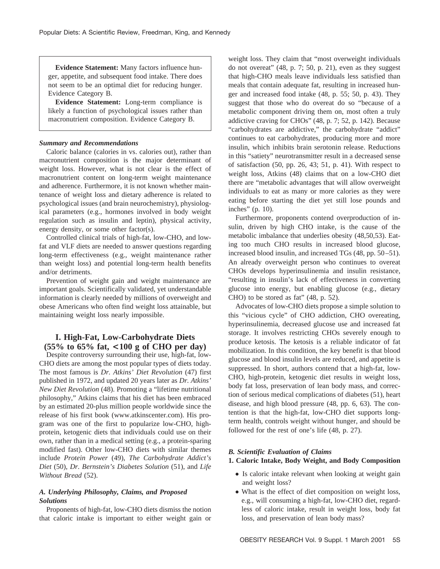**Evidence Statement:** Many factors influence hunger, appetite, and subsequent food intake. There does not seem to be an optimal diet for reducing hunger. Evidence Category B.

**Evidence Statement:** Long-term compliance is likely a function of psychological issues rather than macronutrient composition. Evidence Category B.

## *Summary and Recommendations*

Caloric balance (calories in vs. calories out), rather than macronutrient composition is the major determinant of weight loss. However, what is not clear is the effect of macronutrient content on long-term weight maintenance and adherence. Furthermore, it is not known whether maintenance of weight loss and dietary adherence is related to psychological issues (and brain neurochemistry), physiological parameters (e.g., hormones involved in body weight regulation such as insulin and leptin), physical activity, energy density, or some other factor(s).

Controlled clinical trials of high-fat, low-CHO, and lowfat and VLF diets are needed to answer questions regarding long-term effectiveness (e.g., weight maintenance rather than weight loss) and potential long-term health benefits and/or detriments.

Prevention of weight gain and weight maintenance are important goals. Scientifically validated, yet understandable information is clearly needed by millions of overweight and obese Americans who often find weight loss attainable, but maintaining weight loss nearly impossible.

# **I. High-Fat, Low-Carbohydrate Diets (55% to 65% fat, <100 g of CHO per day)**

Despite controversy surrounding their use, high-fat, low-CHO diets are among the most popular types of diets today. The most famous is *Dr. Atkins' Diet Revolution* (47) first published in 1972, and updated 20 years later as *Dr. Atkins' New Diet Revolution* (48). Promoting a "lifetime nutritional philosophy," Atkins claims that his diet has been embraced by an estimated 20-plus million people worldwide since the release of his first book (www.atkinscenter.com). His program was one of the first to popularize low-CHO, highprotein, ketogenic diets that individuals could use on their own, rather than in a medical setting (e.g., a protein-sparing modified fast). Other low-CHO diets with similar themes include *Protein Power* (49), *The Carbohydrate Addict's Diet* (50), *Dr. Bernstein's Diabetes Solution* (51), and *Life Without Bread* (52).

## *A. Underlying Philosophy, Claims, and Proposed Solutions*

Proponents of high-fat, low-CHO diets dismiss the notion that caloric intake is important to either weight gain or weight loss. They claim that "most overweight individuals do not overeat" (48, p. 7; 50, p. 21), even as they suggest that high-CHO meals leave individuals less satisfied than meals that contain adequate fat, resulting in increased hunger and increased food intake (48, p. 55; 50, p. 43). They suggest that those who do overeat do so "because of a metabolic component driving them on, most often a truly addictive craving for CHOs" (48, p. 7; 52, p. 142). Because "carbohydrates are addictive," the carbohydrate "addict" continues to eat carbohydrates, producing more and more insulin, which inhibits brain serotonin release. Reductions in this "satiety" neurotransmitter result in a decreased sense of satisfaction (50, pp. 26, 43; 51, p. 41). With respect to weight loss, Atkins (48) claims that on a low-CHO diet there are "metabolic advantages that will allow overweight individuals to eat as many or more calories as they were eating before starting the diet yet still lose pounds and inches" (p. 10).

Furthermore, proponents contend overproduction of insulin, driven by high CHO intake, is the cause of the metabolic imbalance that underlies obesity (48,50,53). Eating too much CHO results in increased blood glucose, increased blood insulin, and increased TGs (48, pp. 50–51). An already overweight person who continues to overeat CHOs develops hyperinsulinemia and insulin resistance, "resulting in insulin's lack of effectiveness in converting glucose into energy, but enabling glucose (e.g., dietary CHO) to be stored as fat" (48, p. 52).

Advocates of low-CHO diets propose a simple solution to this "vicious cycle" of CHO addiction, CHO overeating, hyperinsulinemia, decreased glucose use and increased fat storage. It involves restricting CHOs severely enough to produce ketosis. The ketosis is a reliable indicator of fat mobilization. In this condition, the key benefit is that blood glucose and blood insulin levels are reduced, and appetite is suppressed. In short, authors contend that a high-fat, low-CHO, high-protein, ketogenic diet results in weight loss, body fat loss, preservation of lean body mass, and correction of serious medical complications of diabetes (51), heart disease, and high blood pressure (48, pp. 6, 63). The contention is that the high-fat, low-CHO diet supports longterm health, controls weight without hunger, and should be followed for the rest of one's life (48, p. 27).

## *B. Scientific Evaluation of Claims*

# **1. Caloric Intake, Body Weight, and Body Composition**

- Is caloric intake relevant when looking at weight gain and weight loss?
- What is the effect of diet composition on weight loss, e.g., will consuming a high-fat, low-CHO diet, regardless of caloric intake, result in weight loss, body fat loss, and preservation of lean body mass?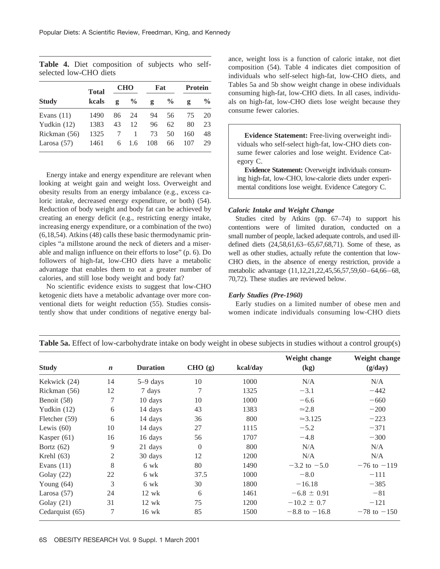**Table 4.** Diet composition of subjects who selfselected low-CHO diets

|               | <b>Total</b> | <b>CHO</b> |               | Fat |               | <b>Protein</b> |               |
|---------------|--------------|------------|---------------|-----|---------------|----------------|---------------|
| <b>Study</b>  | kcals        | g          | $\frac{0}{0}$ | g   | $\frac{6}{9}$ | g              | $\frac{6}{9}$ |
| Evans $(11)$  | 1490         | 86         | 24            | 94  | 56            | 75             | 20            |
| Yudkin $(12)$ | 1383         | 43         | 12            | 96  | 62            | 80             | 23            |
| Rickman (56)  | 1325         |            | 1             | 73  | 50            | 160            | 48            |
| Larosa $(57)$ | 1461         | 6          | 1.6           | 108 | 66            | 107            | 29            |

Energy intake and energy expenditure are relevant when looking at weight gain and weight loss. Overweight and obesity results from an energy imbalance (e.g., excess caloric intake, decreased energy expenditure, or both) (54). Reduction of body weight and body fat can be achieved by creating an energy deficit (e.g., restricting energy intake, increasing energy expenditure, or a combination of the two) (6,18,54). Atkins (48) calls these basic thermodynamic principles "a millstone around the neck of dieters and a miserable and malign influence on their efforts to lose" (p. 6). Do followers of high-fat, low-CHO diets have a metabolic advantage that enables them to eat a greater number of calories, and still lose body weight and body fat?

No scientific evidence exists to suggest that low-CHO ketogenic diets have a metabolic advantage over more conventional diets for weight reduction (55). Studies consistently show that under conditions of negative energy balance, weight loss is a function of caloric intake, not diet composition (54). Table 4 indicates diet composition of individuals who self-select high-fat, low-CHO diets, and Tables 5a and 5b show weight change in obese individuals consuming high-fat, low-CHO diets. In all cases, individuals on high-fat, low-CHO diets lose weight because they consume fewer calories.

**Evidence Statement:** Free-living overweight individuals who self-select high-fat, low-CHO diets consume fewer calories and lose weight. Evidence Category C.

**Evidence Statement:** Overweight individuals consuming high-fat, low-CHO, low-calorie diets under experimental conditions lose weight. Evidence Category C.

#### *Caloric Intake and Weight Change*

Studies cited by Atkins (pp. 67–74) to support his contentions were of limited duration, conducted on a small number of people, lacked adequate controls, and used illdefined diets (24,58,61,63–65,67,68,71). Some of these, as well as other studies, actually refute the contention that low-CHO diets, in the absence of energy restriction, provide a metabolic advantage (11,12,21,22,45,56,57,59,60–64,66–68, 70,72). These studies are reviewed below.

#### *Early Studies (Pre-1960)*

Early studies on a limited number of obese men and women indicate individuals consuming low-CHO diets

| <b>Study</b>    | $\boldsymbol{n}$ | <b>Duration</b> | CHO (g)        | kcal/day    | Weight change<br>(kg) | Weight change<br>(g/day) |
|-----------------|------------------|-----------------|----------------|-------------|-----------------------|--------------------------|
|                 |                  |                 |                |             |                       |                          |
| Kekwick (24)    | 14               | $5-9$ days      | 10             | 1000        | N/A                   | N/A                      |
| Rickman (56)    | 12               | 7 days          | 7              | 1325        | $-3.1$                | $-442$                   |
| Benoit (58)     | 7                | 10 days         | 10             | 1000        | $-6.6$                | $-660$                   |
| Yudkin $(12)$   | 6                | 14 days         | 43             | 1383        | $\simeq 2.8$          | $-200$                   |
| Fletcher (59)   | 6                | 14 days         | 36             | 800         | $\approx$ 3.125       | $-223$                   |
| Lewis $(60)$    | 10               | 14 days         | 27             | 1115        | $-5.2$                | $-371$                   |
| Kasper $(61)$   | 16               | 16 days         | 56             | 1707        | $-4.8$                | $-300$                   |
| Bortz $(62)$    | 9                | 21 days         | $\overline{0}$ | 800         | N/A                   | N/A                      |
| Krehl $(63)$    | 2                | 30 days         | 12             | 1200<br>N/A |                       | N/A                      |
| Evans $(11)$    | 8                | 6 wk            | 80             | 1490        | $-3.2$ to $-5.0$      | $-76$ to $-119$          |
| Golay $(22)$    | 22               | 6 wk            | 37.5           | 1000        | $-8.0$                | $-111$                   |
| Young $(64)$    | 3                | 6 wk            | 30             | 1800        | $-16.18$              | $-385$                   |
| Larosa $(57)$   | 24               | $12 \text{ wk}$ | 6              | 1461        | $-6.8 \pm 0.91$       | $-81$                    |
| Golay $(21)$    | 31               | $12 \text{ wk}$ | 75             | 1200        | $-10.2 \pm 0.7$       | $-121$                   |
| Cedarquist (65) | 7                | $16 \text{ wk}$ | 85             | 1500        | $-8.8$ to $-16.8$     | $-78$ to $-150$          |

**Table 5a.** Effect of low-carbohydrate intake on body weight in obese subjects in studies without a control group(s)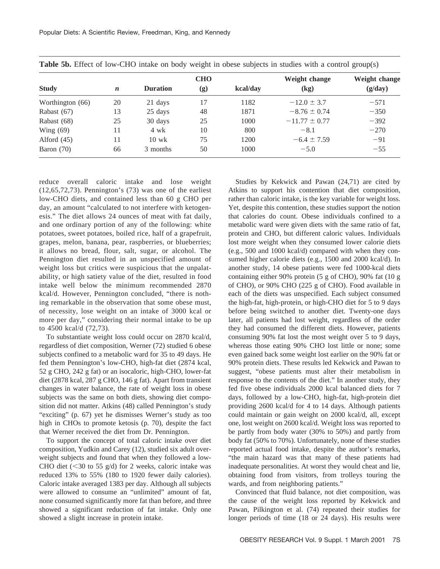|                  |                  |                 | <b>CHO</b> |          | Weight change     | Weight change |
|------------------|------------------|-----------------|------------|----------|-------------------|---------------|
| <b>Study</b>     | $\boldsymbol{n}$ | <b>Duration</b> | (g)        | kcal/day | (kg)              | (g/day)       |
| Worthington (66) | 20               | 21 days         | 17         | 1182     | $-12.0 \pm 3.7$   | $-571$        |
| Rabast $(67)$    | 13               | 25 days         | 48         | 1871     | $-8.76 \pm 0.74$  | $-350$        |
| Rabast (68)      | 25               | 30 days         | 25         | 1000     | $-11.77 \pm 0.77$ | $-392$        |
| Wing $(69)$      | 11               | 4 wk            | 10         | 800      | $-8.1$            | $-270$        |
| Alford $(45)$    | 11               | $10 \text{ wk}$ | 75         | 1200     | $-6.4 \pm 7.59$   | $-91$         |
| Baron $(70)$     | 66               | 3 months        | 50         | 1000     | $-5.0$            | $-55$         |

**Table 5b.** Effect of low-CHO intake on body weight in obese subjects in studies with a control group(s)

reduce overall caloric intake and lose weight (12,65,72,73). Pennington's (73) was one of the earliest low-CHO diets, and contained less than 60 g CHO per day, an amount "calculated to not interfere with ketogenesis." The diet allows 24 ounces of meat with fat daily, and one ordinary portion of any of the following: white potatoes, sweet potatoes, boiled rice, half of a grapefruit, grapes, melon, banana, pear, raspberries, or blueberries; it allows no bread, flour, salt, sugar, or alcohol. The Pennington diet resulted in an unspecified amount of weight loss but critics were suspicious that the unpalatability, or high satiety value of the diet, resulted in food intake well below the minimum recommended 2870 kcal/d. However, Pennington concluded, "there is nothing remarkable in the observation that some obese must, of necessity, lose weight on an intake of 3000 kcal or more per day," considering their normal intake to be up to 4500 kcal/d (72,73).

To substantiate weight loss could occur on 2870 kcal/d, regardless of diet composition, Werner (72) studied 6 obese subjects confined to a metabolic ward for 35 to 49 days. He fed them Pennington's low-CHO, high-fat diet (2874 kcal, 52 g CHO, 242 g fat) or an isocaloric, high-CHO, lower-fat diet (2878 kcal, 287 g CHO, 146 g fat). Apart from transient changes in water balance, the rate of weight loss in obese subjects was the same on both diets, showing diet composition did not matter. Atkins (48) called Pennington's study "exciting" (p. 67) yet he dismisses Werner's study as too high in CHOs to promote ketosis (p. 70), despite the fact that Werner received the diet from Dr. Pennington.

To support the concept of total caloric intake over diet composition, Yudkin and Carey (12), studied six adult overweight subjects and found that when they followed a low-CHO diet  $(< 30$  to 55 g/d) for 2 weeks, caloric intake was reduced 13% to 55% (180 to 1920 fewer daily calories). Caloric intake averaged 1383 per day. Although all subjects were allowed to consume an "unlimited" amount of fat, none consumed significantly more fat than before, and three showed a significant reduction of fat intake. Only one showed a slight increase in protein intake.

Studies by Kekwick and Pawan (24,71) are cited by Atkins to support his contention that diet composition, rather than caloric intake, is the key variable for weight loss. Yet, despite this contention, these studies support the notion that calories do count. Obese individuals confined to a metabolic ward were given diets with the same ratio of fat, protein and CHO, but different caloric values. Individuals lost more weight when they consumed lower calorie diets (e.g., 500 and 1000 kcal/d) compared with when they consumed higher calorie diets (e.g., 1500 and 2000 kcal/d). In another study, 14 obese patients were fed 1000-kcal diets containing either 90% protein (5 g of CHO), 90% fat (10 g of CHO), or 90% CHO (225 g of CHO). Food available in each of the diets was unspecified. Each subject consumed the high-fat, high-protein, or high-CHO diet for 5 to 9 days before being switched to another diet. Twenty-one days later, all patients had lost weight, regardless of the order they had consumed the different diets. However, patients consuming 90% fat lost the most weight over 5 to 9 days, whereas those eating 90% CHO lost little or none; some even gained back some weight lost earlier on the 90% fat or 90% protein diets. These results led Kekwick and Pawan to suggest, "obese patients must alter their metabolism in response to the contents of the diet." In another study, they fed five obese individuals 2000 kcal balanced diets for 7 days, followed by a low-CHO, high-fat, high-protein diet providing 2600 kcal/d for 4 to 14 days. Although patients could maintain or gain weight on 2000 kcal/d, all, except one, lost weight on 2600 kcal/d. Weight loss was reported to be partly from body water (30% to 50%) and partly from body fat (50% to 70%). Unfortunately, none of these studies reported actual food intake, despite the author's remarks, "the main hazard was that many of these patients had inadequate personalities. At worst they would cheat and lie, obtaining food from visitors, from trolleys touring the wards, and from neighboring patients."

Convinced that fluid balance, not diet composition, was the cause of the weight loss reported by Kekwick and Pawan, Pilkington et al. (74) repeated their studies for longer periods of time (18 or 24 days). His results were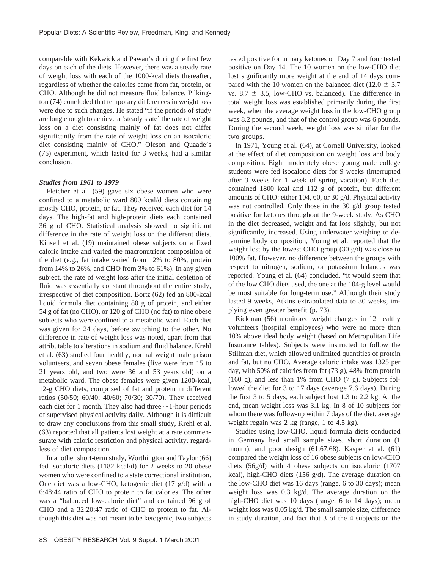comparable with Kekwick and Pawan's during the first few days on each of the diets. However, there was a steady rate of weight loss with each of the 1000-kcal diets thereafter, regardless of whether the calories came from fat, protein, or CHO. Although he did not measure fluid balance, Pilkington (74) concluded that temporary differences in weight loss were due to such changes. He stated "if the periods of study are long enough to achieve a 'steady state' the rate of weight loss on a diet consisting mainly of fat does not differ significantly from the rate of weight loss on an isocaloric diet consisting mainly of CHO." Oleson and Quaade's (75) experiment, which lasted for 3 weeks, had a similar conclusion.

## *Studies from 1961 to 1979*

Fletcher et al. (59) gave six obese women who were confined to a metabolic ward 800 kcal/d diets containing mostly CHO, protein, or fat. They received each diet for 14 days. The high-fat and high-protein diets each contained 36 g of CHO. Statistical analysis showed no significant difference in the rate of weight loss on the different diets. Kinsell et al. (19) maintained obese subjects on a fixed caloric intake and varied the macronutrient composition of the diet (e.g., fat intake varied from 12% to 80%, protein from 14% to 26%, and CHO from 3% to 61%). In any given subject, the rate of weight loss after the initial depletion of fluid was essentially constant throughout the entire study, irrespective of diet composition. Bortz (62) fed an 800-kcal liquid formula diet containing 80 g of protein, and either 54 g of fat (no CHO), or 120 g of CHO (no fat) to nine obese subjects who were confined to a metabolic ward. Each diet was given for 24 days, before switching to the other. No difference in rate of weight loss was noted, apart from that attributable to alterations in sodium and fluid balance. Krehl et al. (63) studied four healthy, normal weight male prison volunteers, and seven obese females (five were from 15 to 21 years old, and two were 36 and 53 years old) on a metabolic ward. The obese females were given 1200-kcal, 12-g CHO diets, comprised of fat and protein in different ratios (50/50; 60/40; 40/60; 70/30; 30/70). They received each diet for 1 month. They also had three  $\sim$ 1-hour periods of supervised physical activity daily. Although it is difficult to draw any conclusions from this small study, Krehl et al. (63) reported that all patients lost weight at a rate commensurate with caloric restriction and physical activity, regardless of diet composition.

In another short-term study, Worthington and Taylor (66) fed isocaloric diets (1182 kcal/d) for 2 weeks to 20 obese women who were confined to a state correctional institution. One diet was a low-CHO, ketogenic diet (17 g/d) with a 6:48:44 ratio of CHO to protein to fat calories. The other was a "balanced low-calorie diet" and contained 96 g of CHO and a 32:20:47 ratio of CHO to protein to fat. Although this diet was not meant to be ketogenic, two subjects tested positive for urinary ketones on Day 7 and four tested positive on Day 14. The 10 women on the low-CHO diet lost significantly more weight at the end of 14 days compared with the 10 women on the balanced diet (12.0  $\pm$  3.7 vs. 8.7  $\pm$  3.5, low-CHO vs. balanced). The difference in total weight loss was established primarily during the first week, when the average weight loss in the low-CHO group was 8.2 pounds, and that of the control group was 6 pounds. During the second week, weight loss was similar for the two groups.

In 1971, Young et al. (64), at Cornell University, looked at the effect of diet composition on weight loss and body composition. Eight moderately obese young male college students were fed isocaloric diets for 9 weeks (interrupted after 3 weeks for 1 week of spring vacation). Each diet contained 1800 kcal and 112 g of protein, but different amounts of CHO: either 104, 60, or 30 g/d. Physical activity was not controlled. Only those in the 30 g/d group tested positive for ketones throughout the 9-week study. As CHO in the diet decreased, weight and fat loss slightly, but not significantly, increased. Using underwater weighing to determine body composition, Young et al. reported that the weight lost by the lowest CHO group (30 g/d) was close to 100% fat. However, no difference between the groups with respect to nitrogen, sodium, or potassium balances was reported. Young et al. (64) concluded, "it would seem that of the low CHO diets used, the one at the 104-g level would be most suitable for long-term use." Although their study lasted 9 weeks, Atkins extrapolated data to 30 weeks, implying even greater benefit (p. 73).

Rickman (56) monitored weight changes in 12 healthy volunteers (hospital employees) who were no more than 10% above ideal body weight (based on Metropolitan Life Insurance tables). Subjects were instructed to follow the Stillman diet, which allowed unlimited quantities of protein and fat, but no CHO. Average caloric intake was 1325 per day, with 50% of calories from fat (73 g), 48% from protein (160 g), and less than 1% from CHO (7 g). Subjects followed the diet for 3 to 17 days (average 7.6 days). During the first 3 to 5 days, each subject lost 1.3 to 2.2 kg. At the end, mean weight loss was 3.1 kg. In 8 of 10 subjects for whom there was follow-up within 7 days of the diet, average weight regain was 2 kg (range, 1 to 4.5 kg).

Studies using low-CHO, liquid formula diets conducted in Germany had small sample sizes, short duration (1 month), and poor design (61,67,68). Kasper et al. (61) compared the weight loss of 16 obese subjects on low-CHO diets (56g/d) with 4 obese subjects on isocaloric (1707 kcal), high-CHO diets (156 g/d). The average duration on the low-CHO diet was 16 days (range, 6 to 30 days); mean weight loss was 0.3 kg/d. The average duration on the high-CHO diet was 10 days (range, 6 to 14 days); mean weight loss was 0.05 kg/d. The small sample size, difference in study duration, and fact that 3 of the 4 subjects on the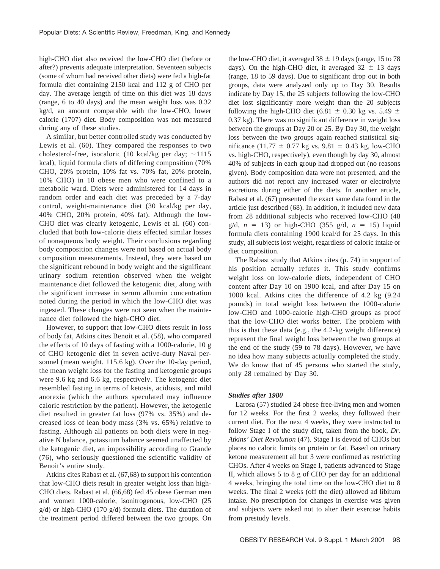high-CHO diet also received the low-CHO diet (before or after?) prevents adequate interpretation. Seventeen subjects (some of whom had received other diets) were fed a high-fat formula diet containing 2150 kcal and 112 g of CHO per day. The average length of time on this diet was 18 days (range, 6 to 40 days) and the mean weight loss was 0.32 kg/d, an amount comparable with the low-CHO, lower calorie (1707) diet. Body composition was not measured during any of these studies.

A similar, but better controlled study was conducted by Lewis et al. (60). They compared the responses to two cholesterol-free, isocaloric (10 kcal/kg per day;  $\sim$ 1115 kcal), liquid formula diets of differing composition (70% CHO, 20% protein, 10% fat vs. 70% fat, 20% protein, 10% CHO) in 10 obese men who were confined to a metabolic ward. Diets were administered for 14 days in random order and each diet was preceded by a 7-day control, weight-maintenance diet (30 kcal/kg per day, 40% CHO, 20% protein, 40% fat). Although the low-CHO diet was clearly ketogenic, Lewis et al. (60) concluded that both low-calorie diets effected similar losses of nonaqueous body weight. Their conclusions regarding body composition changes were not based on actual body composition measurements. Instead, they were based on the significant rebound in body weight and the significant urinary sodium retention observed when the weight maintenance diet followed the ketogenic diet, along with the significant increase in serum albumin concentration noted during the period in which the low-CHO diet was ingested. These changes were not seen when the maintenance diet followed the high-CHO diet.

However, to support that low-CHO diets result in loss of body fat, Atkins cites Benoit et al. (58), who compared the effects of 10 days of fasting with a 1000-calorie, 10 g of CHO ketogenic diet in seven active-duty Naval personnel (mean weight, 115.6 kg). Over the 10-day period, the mean weight loss for the fasting and ketogenic groups were 9.6 kg and 6.6 kg, respectively. The ketogenic diet resembled fasting in terms of ketosis, acidosis, and mild anorexia (which the authors speculated may influence caloric restriction by the patient). However, the ketogenic diet resulted in greater fat loss (97% vs. 35%) and decreased loss of lean body mass (3% vs. 65%) relative to fasting. Although all patients on both diets were in negative N balance, potassium balance seemed unaffected by the ketogenic diet, an impossibility according to Grande (76), who seriously questioned the scientific validity of Benoit's entire study.

Atkins cites Rabast et al. (67,68) to support his contention that low-CHO diets result in greater weight loss than high-CHO diets. Rabast et al. (66,68) fed 45 obese German men and women 1000-calorie, isonitrogenous, low-CHO (25 g/d) or high-CHO (170 g/d) formula diets. The duration of the treatment period differed between the two groups. On the low-CHO diet, it averaged  $38 \pm 19$  days (range, 15 to 78 days). On the high-CHO diet, it averaged  $32 \pm 13$  days (range, 18 to 59 days). Due to significant drop out in both groups, data were analyzed only up to Day 30. Results indicate by Day 15, the 25 subjects following the low-CHO diet lost significantly more weight than the 20 subjects following the high-CHO diet (6.81  $\pm$  0.30 kg vs. 5.49  $\pm$ 0.37 kg). There was no significant difference in weight loss between the groups at Day 20 or 25. By Day 30, the weight loss between the two groups again reached statistical significance (11.77  $\pm$  0.77 kg vs. 9.81  $\pm$  0.43 kg, low-CHO vs. high-CHO, respectively), even though by day 30, almost 40% of subjects in each group had dropped out (no reasons given). Body composition data were not presented, and the authors did not report any increased water or electrolyte excretions during either of the diets. In another article, Rabast et al. (67) presented the exact same data found in the article just described (68). In addition, it included new data from 28 additional subjects who received low-CHO (48  $g/d$ ,  $n = 13$ ) or high-CHO (355 g/d,  $n = 15$ ) liquid formula diets containing 1900 kcal/d for 25 days. In this study, all subjects lost weight, regardless of caloric intake or diet composition.

The Rabast study that Atkins cites (p. 74) in support of his position actually refutes it. This study confirms weight loss on low-calorie diets, independent of CHO content after Day 10 on 1900 kcal, and after Day 15 on 1000 kcal. Atkins cites the difference of 4.2 kg (9.24 pounds) in total weight loss between the 1000-calorie low-CHO and 1000-calorie high-CHO groups as proof that the low-CHO diet works better. The problem with this is that these data (e.g., the 4.2-kg weight difference) represent the final weight loss between the two groups at the end of the study (59 to 78 days). However, we have no idea how many subjects actually completed the study. We do know that of 45 persons who started the study, only 28 remained by Day 30.

#### *Studies after 1980*

Larosa (57) studied 24 obese free-living men and women for 12 weeks. For the first 2 weeks, they followed their current diet. For the next 4 weeks, they were instructed to follow Stage I of the study diet, taken from the book, *Dr. Atkins' Diet Revolution* (47). Stage I is devoid of CHOs but places no caloric limits on protein or fat. Based on urinary ketone measurement all but 3 were confirmed as restricting CHOs. After 4 weeks on Stage I, patients advanced to Stage II, which allows 5 to 8 g of CHO per day for an additional 4 weeks, bringing the total time on the low-CHO diet to 8 weeks. The final 2 weeks (off the diet) allowed ad libitum intake. No prescription for changes in exercise was given and subjects were asked not to alter their exercise habits from prestudy levels.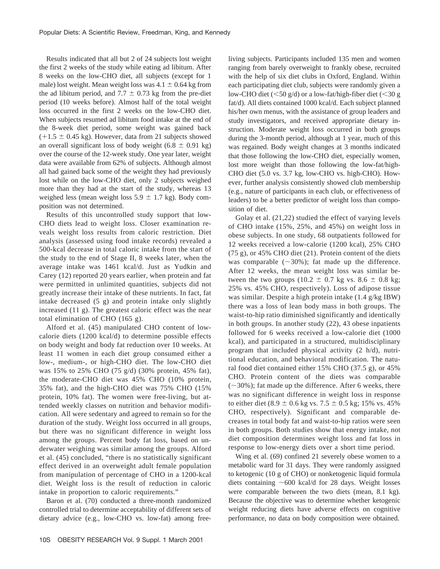Results indicated that all but 2 of 24 subjects lost weight the first 2 weeks of the study while eating ad libitum. After 8 weeks on the low-CHO diet, all subjects (except for 1 male) lost weight. Mean weight loss was  $4.1 \pm 0.64$  kg from the ad libitum period, and 7.7  $\pm$  0.73 kg from the pre-diet period (10 weeks before). Almost half of the total weight loss occurred in the first 2 weeks on the low-CHO diet. When subjects resumed ad libitum food intake at the end of the 8-week diet period, some weight was gained back  $(11.5 \pm 0.45 \text{ kg})$ . However, data from 21 subjects showed an overall significant loss of body weight (6.8  $\pm$  0.91 kg) over the course of the 12-week study. One year later, weight data were available from 62% of subjects. Although almost all had gained back some of the weight they had previously lost while on the low-CHO diet, only 2 subjects weighed more than they had at the start of the study, whereas 13 weighed less (mean weight loss  $5.9 \pm 1.7$  kg). Body composition was not determined.

Results of this uncontrolled study support that low-CHO diets lead to weight loss. Closer examination reveals weight loss results from caloric restriction. Diet analysis (assessed using food intake records) revealed a 500-kcal decrease in total caloric intake from the start of the study to the end of Stage II, 8 weeks later, when the average intake was 1461 kcal/d. Just as Yudkin and Carey (12) reported 20 years earlier, when protein and fat were permitted in unlimited quantities, subjects did not greatly increase their intake of these nutrients. In fact, fat intake decreased (5 g) and protein intake only slightly increased (11 g). The greatest caloric effect was the near total elimination of CHO (165 g).

Alford et al. (45) manipulated CHO content of lowcalorie diets (1200 kcal/d) to determine possible effects on body weight and body fat reduction over 10 weeks. At least 11 women in each diet group consumed either a low-, medium-, or high-CHO diet. The low-CHO diet was 15% to 25% CHO (75 g/d) (30% protein, 45% fat), the moderate-CHO diet was 45% CHO (10% protein, 35% fat), and the high-CHO diet was 75% CHO (15% protein, 10% fat). The women were free-living, but attended weekly classes on nutrition and behavior modification. All were sedentary and agreed to remain so for the duration of the study. Weight loss occurred in all groups, but there was no significant difference in weight loss among the groups. Percent body fat loss, based on underwater weighing was similar among the groups. Alford et al. (45) concluded, "there is no statistically significant effect derived in an overweight adult female population from manipulation of percentage of CHO in a 1200-kcal diet. Weight loss is the result of reduction in caloric intake in proportion to caloric requirements."

Baron et al. (70) conducted a three-month randomized controlled trial to determine acceptability of different sets of dietary advice (e.g., low-CHO vs. low-fat) among freeliving subjects. Participants included 135 men and women ranging from barely overweight to frankly obese, recruited with the help of six diet clubs in Oxford, England. Within each participating diet club, subjects were randomly given a low-CHO diet ( $\leq 50$  g/d) or a low-fat/high-fiber diet ( $\leq 30$  g fat/d). All diets contained 1000 kcal/d. Each subject planned his/her own menus, with the assistance of group leaders and study investigators, and received appropriate dietary instruction. Moderate weight loss occurred in both groups during the 3-month period, although at 1 year, much of this was regained. Body weight changes at 3 months indicated that those following the low-CHO diet, especially women, lost more weight than those following the low-fat/high-CHO diet (5.0 vs. 3.7 kg, low-CHO vs. high-CHO). However, further analysis consistently showed club membership (e.g., nature of participants in each club, or effectiveness of leaders) to be a better predictor of weight loss than composition of diet.

Golay et al. (21,22) studied the effect of varying levels of CHO intake (15%, 25%, and 45%) on weight loss in obese subjects. In one study, 68 outpatients followed for 12 weeks received a low-calorie (1200 kcal), 25% CHO (75 g), or 45% CHO diet (21). Protein content of the diets was comparable  $(\sim 30\%)$ ; fat made up the difference. After 12 weeks, the mean weight loss was similar between the two groups (10.2  $\pm$  0.7 kg vs. 8.6  $\pm$  0.8 kg; 25% vs. 45% CHO, respectively). Loss of adipose tissue was similar. Despite a high protein intake (1.4 g/kg IBW) there was a loss of lean body mass in both groups. The waist-to-hip ratio diminished significantly and identically in both groups. In another study (22), 43 obese inpatients followed for 6 weeks received a low-calorie diet (1000 kcal), and participated in a structured, multidisciplinary program that included physical activity (2 h/d), nutritional education, and behavioral modification. The natural food diet contained either 15% CHO (37.5 g), or 45% CHO. Protein content of the diets was comparable  $(\sim30\%)$ ; fat made up the difference. After 6 weeks, there was no significant difference in weight loss in response to either diet (8.9  $\pm$  0.6 kg vs. 7.5  $\pm$  0.5 kg; 15% vs. 45% CHO, respectively). Significant and comparable decreases in total body fat and waist-to-hip ratios were seen in both groups. Both studies show that energy intake, not diet composition determines weight loss and fat loss in response to low-energy diets over a short time period.

Wing et al. (69) confined 21 severely obese women to a metabolic ward for 31 days. They were randomly assigned to ketogenic (10 g of CHO) or nonketogenic liquid formula diets containing  $~600$  kcal/d for 28 days. Weight losses were comparable between the two diets (mean, 8.1 kg). Because the objective was to determine whether ketogenic weight reducing diets have adverse effects on cognitive performance, no data on body composition were obtained.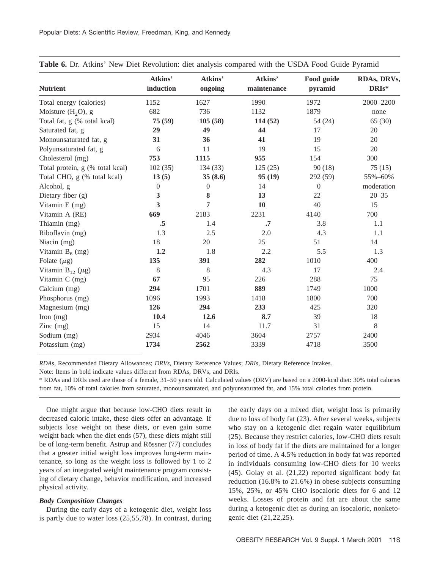| <b>Nutrient</b>                 | Atkins'<br>induction | Atkins'<br>ongoing | Atkins'<br>maintenance | Food guide<br>pyramid | RDAs, DRVs,<br>DRIs* |
|---------------------------------|----------------------|--------------------|------------------------|-----------------------|----------------------|
| Total energy (calories)         | 1152                 | 1627               | 1990                   | 1972                  | 2000-2200            |
| Moisture $(H_2O)$ , g           | 682                  | 736                | 1132                   | 1879                  | none                 |
| Total fat, g (% total kcal)     | 75 (59)              | 105(58)            | 114(52)                | 54(24)                | 65(30)               |
| Saturated fat, g                | 29                   | 49                 | 44                     | 17                    | 20                   |
| Monounsaturated fat, g          | 31                   | 36                 | 41                     | 19                    | 20                   |
| Polyunsaturated fat, g          | 6                    | 11                 | 19                     | 15                    | 20                   |
| Cholesterol (mg)                | 753                  | 1115               | 955                    | 154                   | 300                  |
| Total protein, g (% total kcal) | 102(35)              | 134 (33)           | 125(25)                | 90(18)                | 75(15)               |
| Total CHO, g (% total kcal)     | 13(5)                | 35(8.6)            | 95(19)                 | 292 (59)              | 55%-60%              |
| Alcohol, g                      | $\overline{0}$       | $\boldsymbol{0}$   | 14                     | $\overline{0}$        | moderation           |
| Dietary fiber (g)               | 3                    | $\bf{8}$           | 13                     | 22                    | $20 - 35$            |
| Vitamin E (mg)                  | $\mathbf{3}$         | 7                  | 10                     | 40                    | 15                   |
| Vitamin A (RE)                  | 669                  | 2183               | 2231                   | 4140                  | 700                  |
| Thiamin (mg)                    | .5                   | 1.4                | $\cdot$ 7              | 3.8                   | 1.1                  |
| Riboflavin (mg)                 | 1.3                  | 2.5                | 2.0                    | 4.3                   | 1.1                  |
| Niacin (mg)                     | 18                   | 20                 | 25                     | 51                    | 14                   |
| Vitamin $B_6$ (mg)              | 1.2                  | 1.8                | 2.2                    | 5.5                   | 1.3                  |
| Folate $(\mu g)$                | 135                  | 391                | 282                    | 1010                  | 400                  |
| Vitamin $B_{12}$ ( $\mu$ g)     | 8                    | 8                  | 4.3                    | 17                    | 2.4                  |
| Vitamin C (mg)                  | 67                   | 95                 | 226                    | 288                   | 75                   |
| Calcium (mg)                    | 294                  | 1701               | 889                    | 1749                  | 1000                 |
| Phosphorus (mg)                 | 1096                 | 1993               | 1418                   | 1800                  | 700                  |
| Magnesium (mg)                  | 126                  | 294                | 233                    | 425                   | 320                  |
| Iron $(mg)$                     | 10.4                 | 12.6               | 8.7                    | 39                    | 18                   |
| Zinc $(mg)$                     | 15                   | 14                 | 11.7                   | 31                    | 8                    |
| Sodium (mg)                     | 2934                 | 4046               | 3604                   | 2757                  | 2400                 |
| Potassium (mg)                  | 1734                 | 2562               | 3339                   | 4718                  | 3500                 |

**Table 6.** Dr. Atkins' New Diet Revolution: diet analysis compared with the USDA Food Guide Pyramid

*RDAs*, Recommended Dietary Allowances; *DRVs*, Dietary Reference Values; *DRIs*, Dietary Reference Intakes.

Note: Items in bold indicate values different from RDAs, DRVs, and DRIs.

\* RDAs and DRIs used are those of a female, 31–50 years old. Calculated values (DRV) are based on a 2000-kcal diet: 30% total calories from fat, 10% of total calories from saturated, monounsaturated, and polyunsaturated fat, and 15% total calories from protein.

One might argue that because low-CHO diets result in decreased caloric intake, these diets offer an advantage. If subjects lose weight on these diets, or even gain some weight back when the diet ends (57), these diets might still be of long-term benefit. Astrup and Rössner (77) concludes that a greater initial weight loss improves long-term maintenance, so long as the weight loss is followed by 1 to 2 years of an integrated weight maintenance program consisting of dietary change, behavior modification, and increased physical activity.

## *Body Composition Changes*

During the early days of a ketogenic diet, weight loss is partly due to water loss (25,55,78). In contrast, during the early days on a mixed diet, weight loss is primarily due to loss of body fat (23). After several weeks, subjects who stay on a ketogenic diet regain water equilibrium (25). Because they restrict calories, low-CHO diets result in loss of body fat if the diets are maintained for a longer period of time. A 4.5% reduction in body fat was reported in individuals consuming low-CHO diets for 10 weeks (45). Golay et al. (21,22) reported significant body fat reduction (16.8% to 21.6%) in obese subjects consuming 15%, 25%, or 45% CHO isocaloric diets for 6 and 12 weeks. Losses of protein and fat are about the same during a ketogenic diet as during an isocaloric, nonketogenic diet (21,22,25).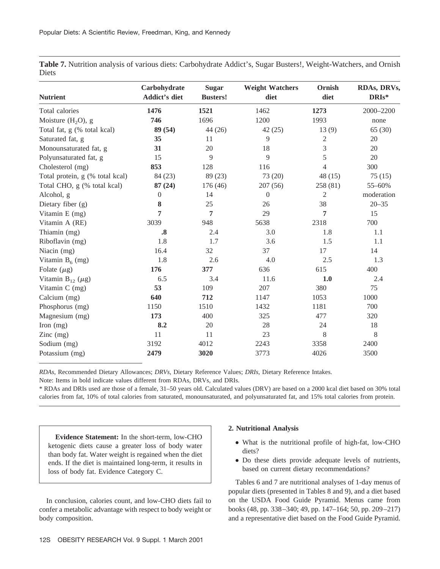**Table 7.** Nutrition analysis of various diets: Carbohydrate Addict's, Sugar Busters!, Weight-Watchers, and Ornish Diets

| <b>Nutrient</b>                 | Carbohydrate<br><b>Addict's diet</b> | <b>Sugar</b><br><b>Busters!</b> | <b>Weight Watchers</b><br>diet | Ornish<br>diet | RDAs, DRVs,<br>DRIs* |  |
|---------------------------------|--------------------------------------|---------------------------------|--------------------------------|----------------|----------------------|--|
| Total calories                  | 1476                                 | 1521                            | 1462                           | 1273           | 2000-2200            |  |
| Moisture $(H_2O)$ , g           | 746                                  | 1696                            | 1200                           | 1993           | none                 |  |
| Total fat, g (% total kcal)     | 89 (54)                              | 44 (26)                         | 42(25)                         | 13(9)          | 65(30)               |  |
| Saturated fat, g                | 35                                   | 11                              | 9                              | $\sqrt{2}$     | 20                   |  |
| Monounsaturated fat, g          | 31                                   | 20                              | 18                             | 3              | 20                   |  |
| Polyunsaturated fat, g          | 15                                   | 9                               | 9                              | 5              | 20                   |  |
| Cholesterol (mg)                | 853                                  | 128                             | 116                            | 4              | 300                  |  |
| Total protein, g (% total kcal) | 84 (23)                              | 89 (23)                         | 73 (20)                        | 48 (15)        | 75(15)               |  |
| Total CHO, g (% total kcal)     | 87(24)                               | 176(46)                         | 207(56)                        | 258 (81)       | 55-60%               |  |
| Alcohol, g                      | $\boldsymbol{0}$                     | 14                              | $\overline{0}$                 | $\mathfrak{2}$ | moderation           |  |
| Dietary fiber (g)               | 8                                    | 25                              | 26                             | 38             | $20 - 35$            |  |
| Vitamin E (mg)                  | 7                                    | 7                               | 29                             | 7              | 15                   |  |
| Vitamin A (RE)                  | 3039                                 | 948                             | 5638                           | 2318           | 700                  |  |
| Thiamin (mg)                    | $\boldsymbol{.8}$                    | 2.4                             | 3.0                            | 1.8            | 1.1                  |  |
| Riboflavin (mg)                 | 1.8                                  | 1.7                             | 3.6                            | 1.5            | 1.1                  |  |
| Niacin (mg)                     | 16.4                                 | 32                              | 37                             | 17             | 14                   |  |
| Vitamin $B_6$ (mg)              | 1.8                                  | 2.6                             | 4.0                            | 2.5            | 1.3                  |  |
| Folate $(\mu g)$                | 176                                  | 377                             | 636                            | 615            | 400                  |  |
| Vitamin $B_{12}$ ( $\mu$ g)     | 6.5                                  | 3.4                             | 11.6                           | 1.0            | 2.4                  |  |
| Vitamin C (mg)                  | 53                                   | 109                             | 207                            | 380            | 75                   |  |
| Calcium (mg)                    | 640                                  | 712                             | 1147                           | 1053           | 1000                 |  |
| Phosphorus (mg)                 | 1150                                 | 1510                            | 1432                           | 1181           | 700                  |  |
| Magnesium (mg)                  | 173                                  | 400                             | 325                            | 477            | 320                  |  |
| Iron $(mg)$                     | 8.2                                  | 20                              | 28                             | 24             | 18                   |  |
| $\text{Zinc}$ (mg)              | 11                                   | 11                              | 23                             | 8              | 8                    |  |
| Sodium (mg)                     | 3192                                 | 4012                            | 2243                           | 3358           | 2400                 |  |
| Potassium (mg)                  | 2479                                 | 3020                            | 3773                           | 4026           | 3500                 |  |

*RDAs*, Recommended Dietary Allowances; *DRVs*, Dietary Reference Values; *DRIs*, Dietary Reference Intakes.

Note: Items in bold indicate values different from RDAs, DRVs, and DRIs.

\* RDAs and DRIs used are those of a female, 31–50 years old. Calculated values (DRV) are based on a 2000 kcal diet based on 30% total calories from fat, 10% of total calories from saturated, monounsaturated, and polyunsaturated fat, and 15% total calories from protein.

**Evidence Statement:** In the short-term, low-CHO ketogenic diets cause a greater loss of body water than body fat. Water weight is regained when the diet ends. If the diet is maintained long-term, it results in loss of body fat. Evidence Category C.

In conclusion, calories count, and low-CHO diets fail to confer a metabolic advantage with respect to body weight or body composition.

## **2. Nutritional Analysis**

- What is the nutritional profile of high-fat, low-CHO diets?
- Do these diets provide adequate levels of nutrients, based on current dietary recommendations?

Tables 6 and 7 are nutritional analyses of 1-day menus of popular diets (presented in Tables 8 and 9), and a diet based on the USDA Food Guide Pyramid. Menus came from books (48, pp. 338–340; 49, pp. 147–164; 50, pp. 209–217) and a representative diet based on the Food Guide Pyramid.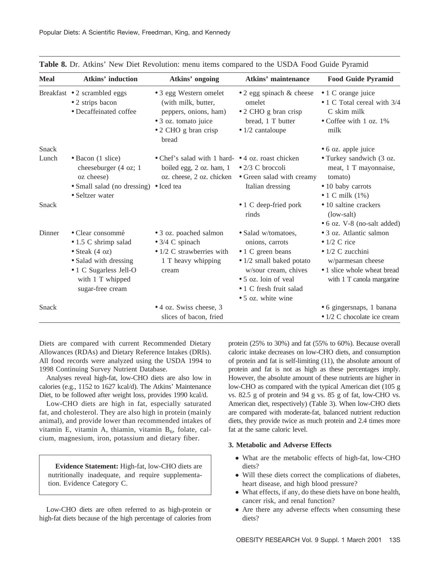| <b>Meal</b> | <b>Atkins' induction</b>                                                                                                                                              | Atkins' ongoing                                                                                                                 | <b>Atkins' maintenance</b>                                                                                                                                                                               | <b>Food Guide Pyramid</b>                                                                                                                                    |
|-------------|-----------------------------------------------------------------------------------------------------------------------------------------------------------------------|---------------------------------------------------------------------------------------------------------------------------------|----------------------------------------------------------------------------------------------------------------------------------------------------------------------------------------------------------|--------------------------------------------------------------------------------------------------------------------------------------------------------------|
|             | Breakfast • 2 scrambled eggs<br>• 2 strips bacon<br>• Decaffeinated coffee                                                                                            | • 3 egg Western omelet<br>(with milk, butter,<br>peppers, onions, ham)<br>• 3 oz. tomato juice<br>• 2 CHO g bran crisp<br>bread | $\bullet$ 2 egg spinach & cheese<br>omelet<br>• 2 CHO g bran crisp<br>bread, 1 T butter<br>$\bullet$ 1/2 cantaloupe                                                                                      | • 1 C orange juice<br>• 1 C Total cereal with 3/4<br>C skim milk<br>• Coffee with 1 oz. $1\%$<br>milk                                                        |
| Snack       |                                                                                                                                                                       |                                                                                                                                 |                                                                                                                                                                                                          | • 6 oz. apple juice                                                                                                                                          |
| Lunch       | • Bacon (1 slice)<br>cheeseburger (4 oz; 1<br>oz cheese)<br>• Small salad (no dressing) • Iced tea<br>• Seltzer water                                                 | • Chef's salad with 1 hard- • 4 oz. roast chicken<br>boiled egg, 2 oz. ham, 1                                                   | $\bullet$ 2/3 C broccoli<br>oz. cheese, 2 oz. chicken • Green salad with creamy<br>Italian dressing                                                                                                      | • Turkey sandwich (3 oz.<br>meat, 1 T mayonnaise,<br>tomato)<br>• 10 baby carrots<br>$\bullet$ 1 C milk (1%)                                                 |
| Snack       |                                                                                                                                                                       |                                                                                                                                 | • 1 C deep-fried pork<br>rinds                                                                                                                                                                           | • 10 saltine crackers<br>$(low-salt)$<br>• 6 oz. V-8 (no-salt added)                                                                                         |
| Dinner      | · Clear consommé<br>$\bullet$ 1.5 C shrimp salad<br>$\bullet$ Steak (4 oz)<br>• Salad with dressing<br>• 1 C Sugarless Jell-O<br>with 1 T whipped<br>sugar-free cream | • 3 oz. poached salmon<br>$\bullet$ 3/4 C spinach<br>• $1/2$ C strawberries with<br>1 T heavy whipping<br>cream                 | • Salad w/tomatoes,<br>onions, carrots<br>• 1 C green beans<br>• 1/2 small baked potato<br>w/sour cream, chives<br>• 5 oz. loin of yeal<br>$\bullet$ 1 C fresh fruit salad<br>$\bullet$ 5 oz. white wine | • 3 oz. Atlantic salmon<br>$\bullet$ 1/2 C rice<br>$\bullet$ 1/2 C zucchini<br>w/parmesan cheese<br>• 1 slice whole wheat bread<br>with 1 T canola margarine |
| Snack       |                                                                                                                                                                       | • 4 oz. Swiss cheese, 3<br>slices of bacon, fried                                                                               |                                                                                                                                                                                                          | • 6 gingersnaps, 1 banana<br>$\bullet$ 1/2 C chocolate ice cream                                                                                             |

**Table 8.** Dr. Atkins' New Diet Revolution: menu items compared to the USDA Food Guide Pyramid

Diets are compared with current Recommended Dietary Allowances (RDAs) and Dietary Reference Intakes (DRIs). All food records were analyzed using the USDA 1994 to 1998 Continuing Survey Nutrient Database.

Analyses reveal high-fat, low-CHO diets are also low in calories (e.g., 1152 to 1627 kcal/d). The Atkins' Maintenance Diet, to be followed after weight loss, provides 1990 kcal/d.

Low-CHO diets are high in fat, especially saturated fat, and cholesterol. They are also high in protein (mainly animal), and provide lower than recommended intakes of vitamin E, vitamin A, thiamin, vitamin  $B_6$ , folate, calcium, magnesium, iron, potassium and dietary fiber.

**Evidence Statement:** High-fat, low-CHO diets are nutritionally inadequate, and require supplementation. Evidence Category C.

Low-CHO diets are often referred to as high-protein or high-fat diets because of the high percentage of calories from

protein (25% to 30%) and fat (55% to 60%). Because overall caloric intake decreases on low-CHO diets, and consumption of protein and fat is self-limiting (11), the absolute amount of protein and fat is not as high as these percentages imply. However, the absolute amount of these nutrients are higher in low-CHO as compared with the typical American diet (105 g vs. 82.5 g of protein and 94 g vs. 85 g of fat, low-CHO vs. American diet, respectively) (Table 3). When low-CHO diets are compared with moderate-fat, balanced nutrient reduction diets, they provide twice as much protein and 2.4 times more fat at the same caloric level.

## **3. Metabolic and Adverse Effects**

- What are the metabolic effects of high-fat, low-CHO diets?
- Will these diets correct the complications of diabetes, heart disease, and high blood pressure?
- What effects, if any, do these diets have on bone health, cancer risk, and renal function?
- Are there any adverse effects when consuming these diets?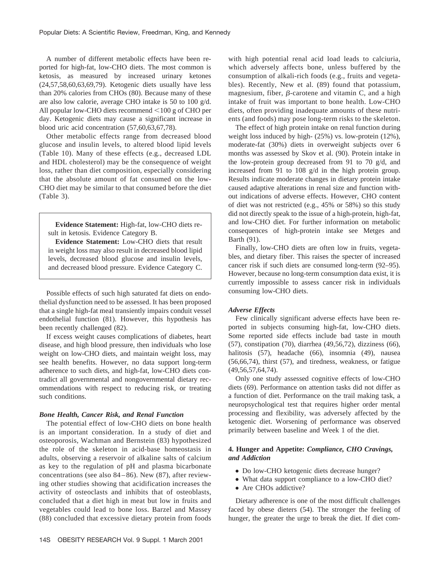A number of different metabolic effects have been reported for high-fat, low-CHO diets. The most common is ketosis, as measured by increased urinary ketones (24,57,58,60,63,69,79). Ketogenic diets usually have less than 20% calories from CHOs (80). Because many of these are also low calorie, average CHO intake is 50 to 100 g/d. All popular low-CHO diets recommend  $<$ 100 g of CHO per day. Ketogenic diets may cause a significant increase in blood uric acid concentration (57,60,63,67,78).

Other metabolic effects range from decreased blood glucose and insulin levels, to altered blood lipid levels (Table 10). Many of these effects (e.g., decreased LDL and HDL cholesterol) may be the consequence of weight loss, rather than diet composition, especially considering that the absolute amount of fat consumed on the low-CHO diet may be similar to that consumed before the diet (Table 3).

**Evidence Statement:** High-fat, low-CHO diets result in ketosis. Evidence Category B.

**Evidence Statement:** Low-CHO diets that result in weight loss may also result in decreased blood lipid levels, decreased blood glucose and insulin levels, and decreased blood pressure. Evidence Category C.

Possible effects of such high saturated fat diets on endothelial dysfunction need to be assessed. It has been proposed that a single high-fat meal transiently impairs conduit vessel endothelial function (81). However, this hypothesis has been recently challenged (82).

If excess weight causes complications of diabetes, heart disease, and high blood pressure, then individuals who lose weight on low-CHO diets, and maintain weight loss, may see health benefits. However, no data support long-term adherence to such diets, and high-fat, low-CHO diets contradict all governmental and nongovernmental dietary recommendations with respect to reducing risk, or treating such conditions.

## *Bone Health, Cancer Risk, and Renal Function*

The potential effect of low-CHO diets on bone health is an important consideration. In a study of diet and osteoporosis, Wachman and Bernstein (83) hypothesized the role of the skeleton in acid-base homeostasis in adults, observing a reservoir of alkaline salts of calcium as key to the regulation of pH and plasma bicarbonate concentrations (see also 84–86). New (87), after reviewing other studies showing that acidification increases the activity of osteoclasts and inhibits that of osteoblasts, concluded that a diet high in meat but low in fruits and vegetables could lead to bone loss. Barzel and Massey (88) concluded that excessive dietary protein from foods with high potential renal acid load leads to calciuria, which adversely affects bone, unless buffered by the consumption of alkali-rich foods (e.g., fruits and vegetables). Recently, New et al. (89) found that potassium, magnesium, fiber,  $\beta$ -carotene and vitamin C, and a high intake of fruit was important to bone health. Low-CHO diets, often providing inadequate amounts of these nutrients (and foods) may pose long-term risks to the skeleton.

The effect of high protein intake on renal function during weight loss induced by high- (25%) vs. low-protein (12%), moderate-fat (30%) diets in overweight subjects over 6 months was assessed by Skov et al. (90). Protein intake in the low-protein group decreased from 91 to 70 g/d, and increased from 91 to 108 g/d in the high protein group. Results indicate moderate changes in dietary protein intake caused adaptive alterations in renal size and function without indications of adverse effects. However, CHO content of diet was not restricted (e.g., 45% or 58%) so this study did not directly speak to the issue of a high-protein, high-fat, and low-CHO diet. For further information on metabolic consequences of high-protein intake see Metges and Barth (91).

Finally, low-CHO diets are often low in fruits, vegetables, and dietary fiber. This raises the specter of increased cancer risk if such diets are consumed long-term (92–95). However, because no long-term consumption data exist, it is currently impossible to assess cancer risk in individuals consuming low-CHO diets.

#### *Adverse Effects*

Few clinically significant adverse effects have been reported in subjects consuming high-fat, low-CHO diets. Some reported side effects include bad taste in mouth (57), constipation (70), diarrhea (49,56,72), dizziness (66), halitosis (57), headache (66), insomnia (49), nausea (56,66,74), thirst (57), and tiredness, weakness, or fatigue (49,56,57,64,74).

Only one study assessed cognitive effects of low-CHO diets (69). Performance on attention tasks did not differ as a function of diet. Performance on the trail making task, a neuropsychological test that requires higher order mental processing and flexibility, was adversely affected by the ketogenic diet. Worsening of performance was observed primarily between baseline and Week 1 of the diet.

## **4. Hunger and Appetite:** *Compliance, CHO Cravings, and Addiction*

- Do low-CHO ketogenic diets decrease hunger?
- What data support compliance to a low-CHO diet?
- Are CHOs addictive?

Dietary adherence is one of the most difficult challenges faced by obese dieters (54). The stronger the feeling of hunger, the greater the urge to break the diet. If diet com-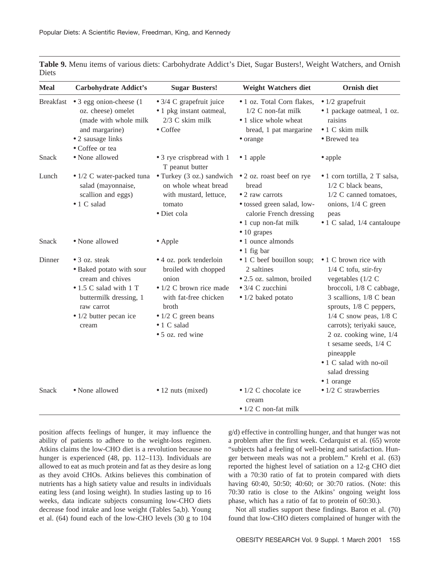| <b>Meal</b> | <b>Carbohydrate Addict's</b>                                                                                                                                               | <b>Sugar Busters!</b>                                                                                                                                                                                   | <b>Weight Watchers diet</b>                                                                                                                                   | Ornish diet                                                                                                                                                                                                                                                                                                                                    |
|-------------|----------------------------------------------------------------------------------------------------------------------------------------------------------------------------|---------------------------------------------------------------------------------------------------------------------------------------------------------------------------------------------------------|---------------------------------------------------------------------------------------------------------------------------------------------------------------|------------------------------------------------------------------------------------------------------------------------------------------------------------------------------------------------------------------------------------------------------------------------------------------------------------------------------------------------|
|             | Breakfast $\bullet$ 3 egg onion-cheese (1)<br>oz. cheese) omelet<br>(made with whole milk<br>and margarine)<br>• 2 sausage links<br>• Coffee or tea                        | $\bullet$ 3/4 C grapefruit juice<br>• 1 pkg instant oatmeal,<br>$2/3$ C skim milk<br>$\bullet$ Coffee                                                                                                   | • 1 oz. Total Corn flakes,<br>1/2 C non-fat milk<br>• 1 slice whole wheat<br>bread, 1 pat margarine<br>• orange                                               | $\bullet$ 1/2 grapefruit<br>• 1 package oatmeal, 1 oz.<br>raisins<br>$\bullet$ 1 C skim milk<br>· Brewed tea                                                                                                                                                                                                                                   |
| Snack       | • None allowed                                                                                                                                                             | • 3 rye crispbread with 1<br>T peanut butter                                                                                                                                                            | $\bullet$ 1 apple                                                                                                                                             | • apple                                                                                                                                                                                                                                                                                                                                        |
| Lunch       | salad (mayonnaise,<br>scallion and eggs)<br>$\bullet$ 1 C salad                                                                                                            | • 1/2 C water-packed tuna • Turkey (3 oz.) sandwich<br>on whole wheat bread<br>with mustard, lettuce,<br>tomato<br>· Diet cola                                                                          | • 2 oz. roast beef on rye<br>bread<br>• 2 raw carrots<br>· tossed green salad, low-<br>calorie French dressing<br>· 1 cup non-fat milk<br>$\bullet$ 10 grapes | $\bullet$ 1 corn tortilla, 2 T salsa,<br>1/2 C black beans,<br>1/2 C canned tomatoes,<br>onions, 1/4 C green<br>peas<br>• 1 C salad, 1/4 cantaloupe                                                                                                                                                                                            |
| Snack       | • None allowed                                                                                                                                                             | • Apple                                                                                                                                                                                                 | • 1 ounce almonds<br>$\bullet$ 1 fig bar                                                                                                                      |                                                                                                                                                                                                                                                                                                                                                |
| Dinner      | • 3 oz. steak<br>• Baked potato with sour<br>cream and chives<br>• 1.5 C salad with 1 T<br>buttermilk dressing, 1<br>raw carrot<br>$\bullet$ 1/2 butter pecan ice<br>cream | • 4 oz. pork tenderloin<br>broiled with chopped<br>onion<br>$\bullet$ 1/2 C brown rice made<br>with fat-free chicken<br>broth<br>$\bullet$ 1/2 C green beans<br>$\bullet$ 1 C salad<br>• 5 oz. red wine | • 1 C beef bouillon soup;<br>2 saltines<br>• 2.5 oz. salmon, broiled<br>• 3/4 C zucchini<br>$\bullet$ 1/2 baked potato                                        | • 1 C brown rice with<br>1/4 C tofu, stir-fry<br>vegetables $(1/2)$ C<br>broccoli, 1/8 C cabbage,<br>3 scallions, 1/8 C bean<br>sprouts, 1/8 C peppers,<br>$1/4$ C snow peas, $1/8$ C<br>carrots); teriyaki sauce,<br>2 oz. cooking wine, 1/4<br>t sesame seeds, 1/4 C<br>pineapple<br>• 1 C salad with no-oil<br>salad dressing<br>• 1 orange |
| Snack       | • None allowed                                                                                                                                                             | $\bullet$ 12 nuts (mixed)                                                                                                                                                                               | $\bullet$ 1/2 C chocolate ice<br>cream<br>$\bullet$ 1/2 C non-fat milk                                                                                        | $\bullet$ 1/2 C strawberries                                                                                                                                                                                                                                                                                                                   |

**Table 9.** Menu items of various diets: Carbohydrate Addict's Diet, Sugar Busters!, Weight Watchers, and Ornish Diets

position affects feelings of hunger, it may influence the ability of patients to adhere to the weight-loss regimen. Atkins claims the low-CHO diet is a revolution because no hunger is experienced (48, pp. 112–113). Individuals are allowed to eat as much protein and fat as they desire as long as they avoid CHOs. Atkins believes this combination of nutrients has a high satiety value and results in individuals eating less (and losing weight). In studies lasting up to 16 weeks, data indicate subjects consuming low-CHO diets decrease food intake and lose weight (Tables 5a,b). Young et al. (64) found each of the low-CHO levels (30 g to 104

g/d) effective in controlling hunger, and that hunger was not a problem after the first week. Cedarquist et al. (65) wrote "subjects had a feeling of well-being and satisfaction. Hunger between meals was not a problem." Krehl et al. (63) reported the highest level of satiation on a 12-g CHO diet with a 70:30 ratio of fat to protein compared with diets having 60:40, 50:50; 40:60; or 30:70 ratios. (Note: this 70:30 ratio is close to the Atkins' ongoing weight loss phase, which has a ratio of fat to protein of 60:30.).

Not all studies support these findings. Baron et al. (70) found that low-CHO dieters complained of hunger with the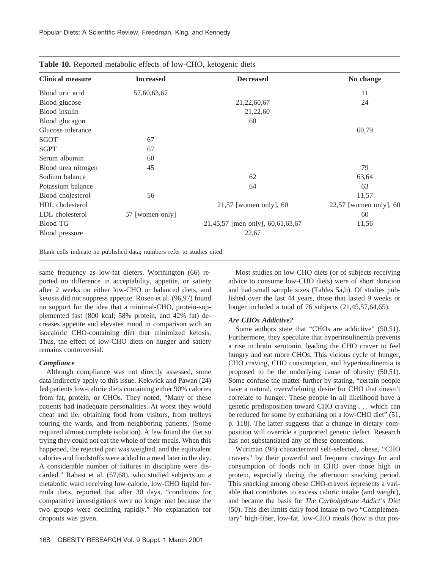| <b>Clinical measure</b> | <b>Increased</b> | <b>Decreased</b>                 | No change                |
|-------------------------|------------------|----------------------------------|--------------------------|
| Blood uric acid         | 57,60,63,67      |                                  | 11                       |
| Blood glucose           |                  | 21,22,60,67                      | 24                       |
| Blood insulin           |                  | 21,22,60                         |                          |
| Blood glucagon          |                  | 60                               |                          |
| Glucose tolerance       |                  |                                  | 60,79                    |
| SGOT                    | 67               |                                  |                          |
| <b>SGPT</b>             | 67               |                                  |                          |
| Serum albumin           | 60               |                                  |                          |
| Blood urea nitrogen     | 45               |                                  | 79                       |
| Sodium balance          |                  | 62                               | 63,64                    |
| Potassium balance       |                  | 64                               | 63                       |
| Blood cholesterol       | 56               |                                  | 11,57                    |
| HDL cholesterol         |                  | $21,57$ [women only], 60         | $22,57$ [women only], 60 |
| LDL cholesterol         | 57 [women only]  |                                  | 60                       |
| <b>Blood TG</b>         |                  | 21,45,57 [men only], 60,61,63,67 | 11,56                    |
| Blood pressure          |                  | 22,67                            |                          |
|                         |                  |                                  |                          |

**Table 10.** Reported metabolic effects of low-CHO, ketogenic diets

Blank cells indicate no published data; numbers refer to studies cited.

same frequency as low-fat dieters. Worthington (66) reported no difference in acceptability, appetite, or satiety after 2 weeks on either low-CHO or balanced diets, and ketosis did not suppress appetite. Rosen et al. (96,97) found no support for the idea that a minimal-CHO, protein-supplemented fast (800 kcal; 58% protein, and 42% fat) decreases appetite and elevates mood in comparison with an isocaloric CHO-containing diet that minimized ketosis. Thus, the effect of low-CHO diets on hunger and satiety remains controversial.

#### *Compliance*

Although compliance was not directly assessed, some data indirectly apply to this issue. Kekwick and Pawan (24) fed patients low-calorie diets containing either 90% calories from fat, protein, or CHOs. They noted, "Many of these patients had inadequate personalities. At worst they would cheat and lie, obtaining food from visitors, from trolleys touring the wards, and from neighboring patients. (Some required almost complete isolation). A few found the diet so trying they could not eat the whole of their meals. When this happened, the rejected part was weighed, and the equivalent calories and foodstuffs were added to a meal later in the day. A considerable number of failures in discipline were discarded." Rabast et al. (67,68), who studied subjects on a metabolic ward receiving low-calorie, low-CHO liquid formula diets, reported that after 30 days, "conditions for comparative investigations were no longer met because the two groups were declining rapidly." No explanation for dropouts was given.

Most studies on low-CHO diets (or of subjects receiving advice to consume low-CHO diets) were of short duration and had small sample sizes (Tables 5a,b). Of studies published over the last 44 years, those that lasted 9 weeks or longer included a total of 76 subjects (21,45,57,64,65).

#### *Are CHOs Addictive?*

Some authors state that "CHOs are addictive" (50,51). Furthermore, they speculate that hyperinsulinemia prevents a rise in brain serotonin, leading the CHO craver to feel hungry and eat more CHOs. This vicious cycle of hunger, CHO craving, CHO consumption, and hyperinsulinemia is proposed to be the underlying cause of obesity (50,51). Some confuse the matter further by stating, "certain people have a natural, overwhelming desire for CHO that doesn't correlate to hunger. These people in all likelihood have a genetic predisposition toward CHO craving . . . which can be reduced for some by embarking on a low-CHO diet" (51, p. 118). The latter suggests that a change in dietary composition will override a purported genetic defect. Research has not substantiated any of these contentions.

Wurtman (98) characterized self-selected, obese, "CHO cravers" by their powerful and frequent cravings for and consumption of foods rich in CHO over those high in protein, especially during the afternoon snacking period. This snacking among obese CHO-cravers represents a variable that contributes to excess caloric intake (and weight), and became the basis for *The Carbohydrate Addict's Diet* (50). This diet limits daily food intake to two "Complementary" high-fiber, low-fat, low-CHO meals (how is that pos-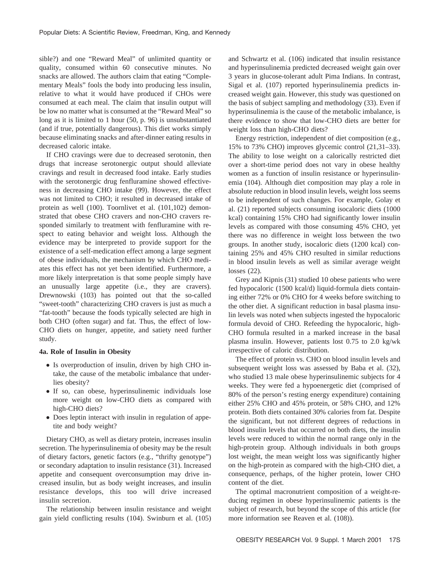sible?) and one "Reward Meal" of unlimited quantity or quality, consumed within 60 consecutive minutes. No snacks are allowed. The authors claim that eating "Complementary Meals" fools the body into producing less insulin, relative to what it would have produced if CHOs were consumed at each meal. The claim that insulin output will be low no matter what is consumed at the "Reward Meal" so long as it is limited to 1 hour (50, p. 96) is unsubstantiated (and if true, potentially dangerous). This diet works simply because eliminating snacks and after-dinner eating results in decreased caloric intake.

If CHO cravings were due to decreased serotonin, then drugs that increase serotonergic output should alleviate cravings and result in decreased food intake. Early studies with the serotonergic drug fenfluramine showed effectiveness in decreasing CHO intake (99). However, the effect was not limited to CHO; it resulted in decreased intake of protein as well (100). Toornlivet et al. (101,102) demonstrated that obese CHO cravers and non-CHO cravers responded similarly to treatment with fenfluramine with respect to eating behavior and weight loss. Although the evidence may be interpreted to provide support for the existence of a self-medication effect among a large segment of obese individuals, the mechanism by which CHO mediates this effect has not yet been identified. Furthermore, a more likely interpretation is that some people simply have an unusually large appetite (i.e., they are cravers). Drewnowski (103) has pointed out that the so-called "sweet-tooth" characterizing CHO cravers is just as much a "fat-tooth" because the foods typically selected are high in both CHO (often sugar) and fat. Thus, the effect of low-CHO diets on hunger, appetite, and satiety need further study.

#### **4a. Role of Insulin in Obesity**

- Is overproduction of insulin, driven by high CHO intake, the cause of the metabolic imbalance that underlies obesity?
- If so, can obese, hyperinsulinemic individuals lose more weight on low-CHO diets as compared with high-CHO diets?
- Does leptin interact with insulin in regulation of appetite and body weight?

Dietary CHO, as well as dietary protein, increases insulin secretion. The hyperinsulinemia of obesity may be the result of dietary factors, genetic factors (e.g., "thrifty genotype") or secondary adaptation to insulin resistance (31). Increased appetite and consequent overconsumption may drive increased insulin, but as body weight increases, and insulin resistance develops, this too will drive increased insulin secretion.

The relationship between insulin resistance and weight gain yield conflicting results (104). Swinburn et al. (105) and Schwartz et al. (106) indicated that insulin resistance and hyperinsulinemia predicted decreased weight gain over 3 years in glucose-tolerant adult Pima Indians. In contrast, Sigal et al. (107) reported hyperinsulinemia predicts increased weight gain. However, this study was questioned on the basis of subject sampling and methodology (33). Even if hyperinsulinemia is the cause of the metabolic imbalance, is there evidence to show that low-CHO diets are better for weight loss than high-CHO diets?

Energy restriction, independent of diet composition (e.g., 15% to 73% CHO) improves glycemic control (21,31–33). The ability to lose weight on a calorically restricted diet over a short-time period does not vary in obese healthy women as a function of insulin resistance or hyperinsulinemia (104). Although diet composition may play a role in absolute reduction in blood insulin levels, weight loss seems to be independent of such changes. For example, Golay et al. (21) reported subjects consuming isocaloric diets (1000 kcal) containing 15% CHO had significantly lower insulin levels as compared with those consuming 45% CHO, yet there was no difference in weight loss between the two groups. In another study, isocaloric diets (1200 kcal) containing 25% and 45% CHO resulted in similar reductions in blood insulin levels as well as similar average weight losses (22).

Grey and Kipnis (31) studied 10 obese patients who were fed hypocaloric (1500 kcal/d) liquid-formula diets containing either 72% or 0% CHO for 4 weeks before switching to the other diet. A significant reduction in basal plasma insulin levels was noted when subjects ingested the hypocaloric formula devoid of CHO. Refeeding the hypocaloric, high-CHO formula resulted in a marked increase in the basal plasma insulin. However, patients lost 0.75 to 2.0 kg/wk irrespective of caloric distribution.

The effect of protein vs. CHO on blood insulin levels and subsequent weight loss was assessed by Baba et al. (32), who studied 13 male obese hyperinsulinemic subjects for 4 weeks. They were fed a hypoenergetic diet (comprised of 80% of the person's resting energy expenditure) containing either 25% CHO and 45% protein, or 58% CHO, and 12% protein. Both diets contained 30% calories from fat. Despite the significant, but not different degrees of reductions in blood insulin levels that occurred on both diets, the insulin levels were reduced to within the normal range only in the high-protein group. Although individuals in both groups lost weight, the mean weight loss was significantly higher on the high-protein as compared with the high-CHO diet, a consequence, perhaps, of the higher protein, lower CHO content of the diet.

The optimal macronutrient composition of a weight-reducing regimen in obese hyperinsulinemic patients is the subject of research, but beyond the scope of this article (for more information see Reaven et al. (108)).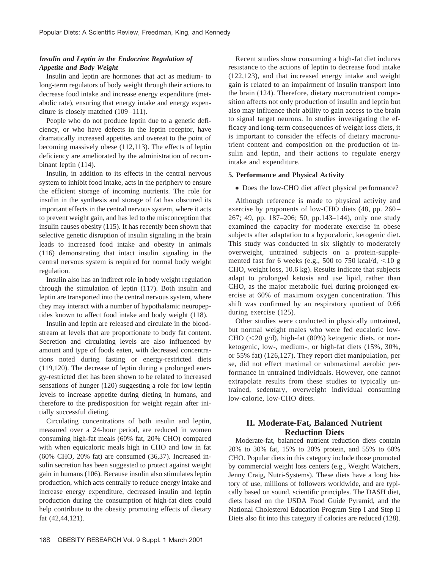# *Insulin and Leptin in the Endocrine Regulation of Appetite and Body Weight*

Insulin and leptin are hormones that act as medium- to long-term regulators of body weight through their actions to decrease food intake and increase energy expenditure (metabolic rate), ensuring that energy intake and energy expenditure is closely matched (109–111).

People who do not produce leptin due to a genetic deficiency, or who have defects in the leptin receptor, have dramatically increased appetites and overeat to the point of becoming massively obese (112,113). The effects of leptin deficiency are ameliorated by the administration of recombinant leptin (114).

Insulin, in addition to its effects in the central nervous system to inhibit food intake, acts in the periphery to ensure the efficient storage of incoming nutrients. The role for insulin in the synthesis and storage of fat has obscured its important effects in the central nervous system, where it acts to prevent weight gain, and has led to the misconception that insulin causes obesity (115). It has recently been shown that selective genetic disruption of insulin signaling in the brain leads to increased food intake and obesity in animals (116) demonstrating that intact insulin signaling in the central nervous system is required for normal body weight regulation.

Insulin also has an indirect role in body weight regulation through the stimulation of leptin (117). Both insulin and leptin are transported into the central nervous system, where they may interact with a number of hypothalamic neuropeptides known to affect food intake and body weight (118).

Insulin and leptin are released and circulate in the bloodstream at levels that are proportionate to body fat content. Secretion and circulating levels are also influenced by amount and type of foods eaten, with decreased concentrations noted during fasting or energy-restricted diets (119,120). The decrease of leptin during a prolonged energy-restricted diet has been shown to be related to increased sensations of hunger (120) suggesting a role for low leptin levels to increase appetite during dieting in humans, and therefore to the predisposition for weight regain after initially successful dieting.

Circulating concentrations of both insulin and leptin, measured over a 24-hour period, are reduced in women consuming high-fat meals (60% fat, 20% CHO) compared with when equicaloric meals high in CHO and low in fat (60% CHO, 20% fat) are consumed (36,37). Increased insulin secretion has been suggested to protect against weight gain in humans (106). Because insulin also stimulates leptin production, which acts centrally to reduce energy intake and increase energy expenditure, decreased insulin and leptin production during the consumption of high-fat diets could help contribute to the obesity promoting effects of dietary fat (42,44,121).

Recent studies show consuming a high-fat diet induces resistance to the actions of leptin to decrease food intake (122,123), and that increased energy intake and weight gain is related to an impairment of insulin transport into the brain (124). Therefore, dietary macronutrient composition affects not only production of insulin and leptin but also may influence their ability to gain access to the brain to signal target neurons. In studies investigating the efficacy and long-term consequences of weight loss diets, it is important to consider the effects of dietary macronutrient content and composition on the production of insulin and leptin, and their actions to regulate energy intake and expenditure.

#### **5. Performance and Physical Activity**

• Does the low-CHO diet affect physical performance?

Although reference is made to physical activity and exercise by proponents of low-CHO diets (48, pp. 260– 267; 49, pp. 187–206; 50, pp.143–144), only one study examined the capacity for moderate exercise in obese subjects after adaptation to a hypocaloric, ketogenic diet. This study was conducted in six slightly to moderately overweight, untrained subjects on a protein-supplemented fast for 6 weeks (e.g., 500 to 750 kcal/d,  $\leq$ 10 g CHO, weight loss, 10.6 kg). Results indicate that subjects adapt to prolonged ketosis and use lipid, rather than CHO, as the major metabolic fuel during prolonged exercise at 60% of maximum oxygen concentration. This shift was confirmed by an respiratory quotient of 0.66 during exercise (125).

Other studies were conducted in physically untrained, but normal weight males who were fed eucaloric low-CHO ( $<$ 20 g/d), high-fat (80%) ketogenic diets, or nonketogenic, low-, medium-, or high-fat diets (15%, 30%, or 55% fat) (126,127). They report diet manipulation, per se, did not effect maximal or submaximal aerobic performance in untrained individuals. However, one cannot extrapolate results from these studies to typically untrained, sedentary, overweight individual consuming low-calorie, low-CHO diets.

# **II. Moderate-Fat, Balanced Nutrient Reduction Diets**

Moderate-fat, balanced nutrient reduction diets contain 20% to 30% fat, 15% to 20% protein, and 55% to 60% CHO. Popular diets in this category include those promoted by commercial weight loss centers (e.g., Weight Watchers, Jenny Craig, Nutri-Systems). These diets have a long history of use, millions of followers worldwide, and are typically based on sound, scientific principles. The DASH diet, diets based on the USDA Food Guide Pyramid, and the National Cholesterol Education Program Step I and Step II Diets also fit into this category if calories are reduced (128).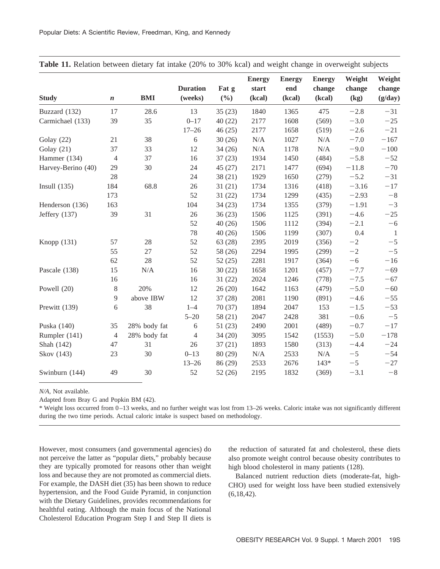| <b>Study</b>       | $\boldsymbol{n}$ | <b>BMI</b>   | <b>Duration</b><br>(weeks) | Fat g<br>$(\frac{0}{0})$ | <b>Energy</b><br>start<br>(kcal) | <b>Energy</b><br>end<br>(kcal) | <b>Energy</b><br>change<br>(kcal) | Weight<br>change<br>(kg) | Weight<br>change<br>(g/day) |
|--------------------|------------------|--------------|----------------------------|--------------------------|----------------------------------|--------------------------------|-----------------------------------|--------------------------|-----------------------------|
| Buzzard (132)      | 17               | 28.6         | 13                         | 35(23)                   | 1840                             | 1365                           | 475                               | $-2.8$                   | $-31$                       |
| Carmichael (133)   | 39               | 35           | $0 - 17$                   | 40(22)                   | 2177                             | 1608                           | (569)                             | $-3.0$                   | $-25$                       |
|                    |                  |              | $17 - 26$                  | 46(25)                   | 2177                             | 1658                           | (519)                             | $-2.6$                   | $-21$                       |
| Golay (22)         | 21               | 38           | $\sqrt{6}$                 | 30(26)                   | $\rm N/A$                        | 1027                           | $\rm N/A$                         | $-7.0$                   | $-167$                      |
| Golay $(21)$       | 37               | 33           | 12                         | 34(26)                   | $\rm N/A$                        | 1178                           | N/A                               | $-9.0$                   | $-100$                      |
| Hammer (134)       | $\overline{4}$   | 37           | 16                         | 37(23)                   | 1934                             | 1450                           | (484)                             | $-5.8$                   | $-52$                       |
| Harvey-Berino (40) | 29               | 30           | 24                         | 45(27)                   | 2171                             | 1477                           | (694)                             | $-11.8$                  | $-70$                       |
|                    | $28\,$           |              | 24                         | 38(21)                   | 1929                             | 1650                           | (279)                             | $-5.2$                   | $-31$                       |
| Insull $(135)$     | 184              | 68.8         | 26                         | 31(21)                   | 1734                             | 1316                           | (418)                             | $-3.16$                  | $-17$                       |
|                    | 173              |              | 52                         | 31(22)                   | 1734                             | 1299                           | (435)                             | $-2.93$                  | $-8$                        |
| Henderson (136)    | 163              |              | 104                        | 34(23)                   | 1734                             | 1355                           | (379)                             | $-1.91$                  | $-3$                        |
| Jeffery (137)      | 39               | 31           | 26                         | 36(23)                   | 1506                             | 1125                           | (391)                             | $-4.6$                   | $-25$                       |
|                    |                  |              | 52                         | 40(26)                   | 1506                             | 1112                           | (394)                             | $-2.1$                   | $-6$                        |
|                    |                  |              | 78                         | 40(26)                   | 1506                             | 1199                           | (307)                             | 0.4                      | $\mathbf{1}$                |
| Knopp $(131)$      | 57               | $28\,$       | 52                         | 63(28)                   | 2395                             | 2019                           | (356)                             | $-2$                     | $-5$                        |
|                    | 55               | 27           | 52                         | 58 (26)                  | 2294                             | 1995                           | (299)                             | $-2$                     | $-5$                        |
|                    | 62               | 28           | 52                         | 52(25)                   | 2281                             | 1917                           | (364)                             | $-6$                     | $-16$                       |
| Pascale (138)      | 15               | N/A          | 16                         | 30(22)                   | 1658                             | 1201                           | (457)                             | $-7.7$                   | $-69$                       |
|                    | 16               |              | 16                         | 31(22)                   | 2024                             | 1246                           | (778)                             | $-7.5$                   | $-67$                       |
| Powell (20)        | 8                | 20%          | 12                         | 26(20)                   | 1642                             | 1163                           | (479)                             | $-5.0$                   | $-60$                       |
|                    | 9                | above IBW    | 12                         | 37(28)                   | 2081                             | 1190                           | (891)                             | $-4.6$                   | $-55$                       |
| Prewitt (139)      | 6                | 38           | $1 - 4$                    | 70(37)                   | 1894                             | 2047                           | 153                               | $-1.5$                   | $-53$                       |
|                    |                  |              | $5 - 20$                   | 58(21)                   | 2047                             | 2428                           | 381                               | $-0.6$                   | $-5$                        |
| Puska (140)        | 35               | 28% body fat | 6                          | 51(23)                   | 2490                             | 2001                           | (489)                             | $-0.7$                   | $-17$                       |
| Rumpler (141)      | $\overline{4}$   | 28% body fat | 4                          | 34(20)                   | 3095                             | 1542                           | (1553)                            | $-5.0$                   | $-178$                      |
| Shah (142)         | 47               | 31           | 26                         | 37(21)                   | 1893                             | 1580                           | (313)                             | $-4.4$                   | $-24$                       |
| Skov (143)         | 23               | 30           | $0 - 13$                   | 80(29)                   | N/A                              | 2533                           | N/A                               | $-5$                     | $-54$                       |
|                    |                  |              | $13 - 26$                  | 86 (29)                  | 2533                             | 2676                           | $143*$                            | $-5$                     | $-27$                       |
| Swinburn (144)     | 49               | 30           | 52                         | 52(26)                   | 2195                             | 1832                           | (369)                             | $-3.1$                   | $-8$                        |

**Table 11.** Relation between dietary fat intake (20% to 30% kcal) and weight change in overweight subjects

*N/A*, Not available.

Adapted from Bray G and Popkin BM (42).

\* Weight loss occurred from 0–13 weeks, and no further weight was lost from 13–26 weeks. Caloric intake was not significantly different during the two time periods. Actual caloric intake is suspect based on methodology.

However, most consumers (and governmental agencies) do not perceive the latter as "popular diets," probably because they are typically promoted for reasons other than weight loss and because they are not promoted as commercial diets. For example, the DASH diet (35) has been shown to reduce hypertension, and the Food Guide Pyramid, in conjunction with the Dietary Guidelines, provides recommendations for healthful eating. Although the main focus of the National Cholesterol Education Program Step I and Step II diets is

the reduction of saturated fat and cholesterol, these diets also promote weight control because obesity contributes to high blood cholesterol in many patients (128).

Balanced nutrient reduction diets (moderate-fat, high-CHO) used for weight loss have been studied extensively  $(6,18,42)$ .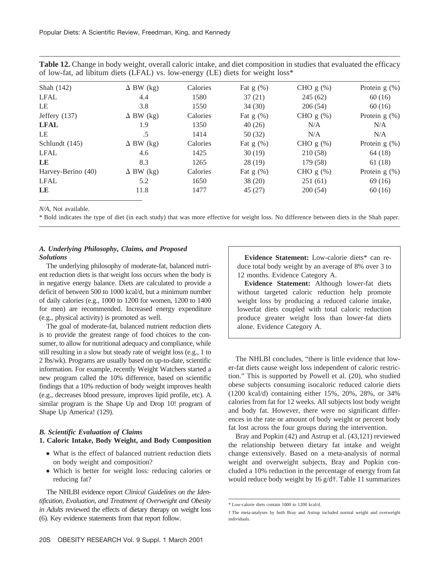**Table 12.** Change in body weight, overall caloric intake, and diet composition in studies that evaluated the efficacy of low-fat, ad libitum diets (LFAL) vs. low-energy (LE) diets for weight loss\*

| Shah (142)         | $\Delta$ BW (kg) | Calories | Fat $g(\%)$ | CHO $g(\%)$ | Protein $g(\%)$ |
|--------------------|------------------|----------|-------------|-------------|-----------------|
| LFAL               | 4.4              | 1580     | 37(21)      | 245(62)     | 60(16)          |
| LE                 | 3.8              | 1550     | 34(30)      | 206(54)     | 60 (16)         |
| Jeffery $(137)$    | $\Delta$ BW (kg) | Calories | Fat $g(\%)$ | CHO $g(\%)$ | Protein $g(\%)$ |
| <b>LFAL</b>        | 1.9              | 1350     | 40(26)      | N/A         | N/A             |
| LE                 | $.5\,$           | 1414     | 50(32)      | N/A         | N/A             |
| Schlundt (145)     | $\Delta$ BW (kg) | Calories | Fat $g(\%)$ | CHO $g(\%)$ | Protein $g(\%)$ |
| <b>LFAL</b>        | 4.6              | 1425     | 30(19)      | 210 (58)    | 64 (18)         |
| LE                 | 8.3              | 1265     | 28(19)      | 179(58)     | 61 (18)         |
| Harvey-Berino (40) | $\Delta$ BW (kg) | Calories | Fat $g(\%)$ | CHO $g(\%)$ | Protein $g(\%)$ |
| <b>LFAL</b>        | 5.2              | 1650     | 38(20)      | 251(61)     | 69(16)          |
| LE                 | 11.8             | 1477     | 45(27)      | 200(54)     | 60(16)          |

*N/A*, Not available.

\* Bold indicates the type of diet (in each study) that was more effective for weight loss. No difference between diets in the Shah paper.

# *A. Underlying Philosophy, Claims, and Proposed Solutions*

The underlying philosophy of moderate-fat, balanced nutrient reduction diets is that weight loss occurs when the body is in negative energy balance. Diets are calculated to provide a deficit of between 500 to 1000 kcal/d, but a minimum number of daily calories (e.g., 1000 to 1200 for women, 1200 to 1400 for men) are recommended. Increased energy expenditure (e.g., physical activity) is promoted as well.

The goal of moderate-fat, balanced nutrient reduction diets is to provide the greatest range of food choices to the consumer, to allow for nutritional adequacy and compliance, while still resulting in a slow but steady rate of weight loss (e.g., 1 to 2 lbs/wk). Programs are usually based on up-to-date, scientific information. For example, recently Weight Watchers started a new program called the 10% difference, based on scientific findings that a 10% reduction of body weight improves health (e.g., decreases blood pressure, improves lipid profile, etc). A similar program is the Shape Up and Drop 10! program of Shape Up America! (129).

#### *B. Scientific Evaluation of Claims*

#### **1. Caloric Intake, Body Weight, and Body Composition**

- What is the effect of balanced nutrient reduction diets on body weight and composition?
- Which is better for weight loss: reducing calories or reducing fat?

The NHLBI evidence report *Clinical Guidelines on the Identification, Evaluation, and Treatment of Overweight and Obesity in Adults* reviewed the effects of dietary therapy on weight loss (6). Key evidence statements from that report follow.

**Evidence Statement:** Low-calorie diets\* can reduce total body weight by an average of 8% over 3 to 12 months. Evidence Category A.

**Evidence Statement:** Although lower-fat diets without targeted caloric reduction help promote weight loss by producing a reduced calorie intake, lowerfat diets coupled with total caloric reduction produce greater weight loss than lower-fat diets alone. Evidence Category A.

The NHLBI concludes, "there is little evidence that lower-fat diets cause weight loss independent of caloric restriction." This is supported by Powell et al. (20), who studied obese subjects consuming isocaloric reduced calorie diets (1200 kcal/d) containing either 15%, 20%, 28%, or 34% calories from fat for 12 weeks. All subjects lost body weight and body fat. However, there were no significant differences in the rate or amount of body weight or percent body fat lost across the four groups during the intervention.

Bray and Popkin (42) and Astrup et al. (43,121) reviewed the relationship between dietary fat intake and weight change extensively. Based on a meta-analysis of normal weight and overweight subjects, Bray and Popkin concluded a 10% reduction in the percentage of energy from fat would reduce body weight by 16 g/d†. Table 11 summarizes

<sup>\*</sup> Low-calorie diets contain 1000 to 1200 kcal/d.

<sup>†</sup> The meta-analyses by both Bray and Astrup included normal weight and overweight individuals.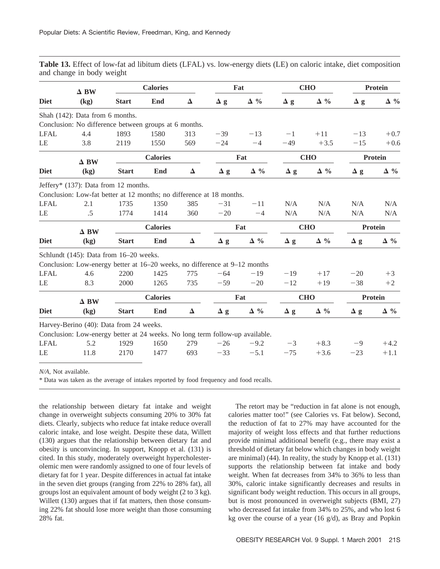**Table 13.** Effect of low-fat ad libitum diets (LFAL) vs. low-energy diets (LE) on caloric intake, diet composition and change in body weight

|             | $\Delta$ BW                                                                  |                 | <b>Calories</b> |          |            | Fat           |            | <b>CHO</b>  | <b>Protein</b> |                |  |
|-------------|------------------------------------------------------------------------------|-----------------|-----------------|----------|------------|---------------|------------|-------------|----------------|----------------|--|
| <b>Diet</b> | (kg)                                                                         | <b>Start</b>    | End             | $\Delta$ | $\Delta g$ | $\Delta \%$   | $\Delta$ g | $\Delta \%$ | $\Delta$ g     | $\Delta \%$    |  |
|             | Shah (142): Data from 6 months.                                              |                 |                 |          |            |               |            |             |                |                |  |
|             | Conclusion: No difference between groups at 6 months.                        |                 |                 |          |            |               |            |             |                |                |  |
| <b>LFAL</b> | 4.4                                                                          | 1893            | 1580            | 313      | $-39$      | $-13$         | $-1$       | $+11$       | $-13$          | $+0.7$         |  |
| LE          | 3.8                                                                          | 2119            | 1550            | 569      | $-24$      | $-4$          | $-49$      | $+3.5$      | $-15$          | $+0.6$         |  |
|             | $\Delta$ BW                                                                  |                 | <b>Calories</b> |          |            | Fat           |            | <b>CHO</b>  |                | Protein        |  |
| <b>Diet</b> | (kg)                                                                         | <b>Start</b>    | End             | $\Delta$ | $\Delta$ g | $\Delta \ \%$ | $\Delta$ g | $\Delta \%$ | $\Delta$ g     | $\Delta \%$    |  |
|             | Jeffery* $(137)$ : Data from 12 months.                                      |                 |                 |          |            |               |            |             |                |                |  |
|             | Conclusion: Low-fat better at 12 months; no difference at 18 months.         |                 |                 |          |            |               |            |             |                |                |  |
| <b>LFAL</b> | 2.1                                                                          | 1735            | 1350            | 385      | $-31$      | $-11$         | N/A        | N/A         | N/A            | N/A            |  |
| LE          | $.5\,$                                                                       | 1774            | 1414            | 360      | $-20$      | $-4$          | N/A        | N/A         | N/A            | N/A            |  |
|             | $\Delta$ BW                                                                  | <b>Calories</b> |                 |          |            | Fat           |            | <b>CHO</b>  |                | <b>Protein</b> |  |
| <b>Diet</b> | (kg)                                                                         | <b>Start</b>    | End             | $\Delta$ | $\Delta$ g | $\Delta \%$   | $\Delta$ g | $\Delta \%$ | $\Delta$ g     | $\Delta \%$    |  |
|             | Schlundt (145): Data from 16-20 weeks.                                       |                 |                 |          |            |               |            |             |                |                |  |
|             | Conclusion: Low-energy better at 16–20 weeks, no difference at 9–12 months   |                 |                 |          |            |               |            |             |                |                |  |
| <b>LFAL</b> | 4.6                                                                          | 2200            | 1425            | 775      | $-64$      | $-19$         | $-19$      | $+17$       | $-20$          | $+3$           |  |
| LE          | 8.3                                                                          | 2000            | 1265            | 735      | $-59$      | $-20$         | $-12$      | $+19$       | $-38$          | $+2$           |  |
|             | $\Delta$ BW                                                                  |                 | <b>Calories</b> |          |            | Fat           |            | <b>CHO</b>  |                | <b>Protein</b> |  |
| <b>Diet</b> | (kg)                                                                         | <b>Start</b>    | End             | $\Delta$ | $\Delta$ g | $\Delta \%$   | $\Delta$ g | $\Delta \%$ | $\Delta$ g     | $\Delta \%$    |  |
|             | Harvey-Berino (40): Data from 24 weeks.                                      |                 |                 |          |            |               |            |             |                |                |  |
|             | Conclusion: Low-energy better at 24 weeks. No long term follow-up available. |                 |                 |          |            |               |            |             |                |                |  |
| <b>LFAL</b> | 5.2                                                                          | 1929            | 1650            | 279      | $-26$      | $-9.2$        | $-3$       | $+8.3$      | -9             | $+4.2$         |  |
| LE          | 11.8                                                                         | 2170            | 1477            | 693      | $-33$      | $-5.1$        | $-75$      | $+3.6$      | $-23$          | $+1.1$         |  |
|             |                                                                              |                 |                 |          |            |               |            |             |                |                |  |

*N/A*, Not available.

\* Data was taken as the average of intakes reported by food frequency and food recalls.

the relationship between dietary fat intake and weight change in overweight subjects consuming 20% to 30% fat diets. Clearly, subjects who reduce fat intake reduce overall caloric intake, and lose weight. Despite these data, Willett (130) argues that the relationship between dietary fat and obesity is unconvincing. In support, Knopp et al. (131) is cited. In this study, moderately overweight hypercholesterolemic men were randomly assigned to one of four levels of dietary fat for 1 year. Despite differences in actual fat intake in the seven diet groups (ranging from 22% to 28% fat), all groups lost an equivalent amount of body weight (2 to 3 kg). Willett (130) argues that if fat matters, then those consuming 22% fat should lose more weight than those consuming 28% fat.

The retort may be "reduction in fat alone is not enough, calories matter too!" (see Calories vs. Fat below). Second, the reduction of fat to 27% may have accounted for the majority of weight loss effects and that further reductions provide minimal additional benefit (e.g., there may exist a threshold of dietary fat below which changes in body weight are minimal) (44). In reality, the study by Knopp et al. (131) supports the relationship between fat intake and body weight. When fat decreases from 34% to 36% to less than 30%, caloric intake significantly decreases and results in significant body weight reduction. This occurs in all groups, but is most pronounced in overweight subjects (BMI, 27) who decreased fat intake from 34% to 25%, and who lost 6 kg over the course of a year (16 g/d), as Bray and Popkin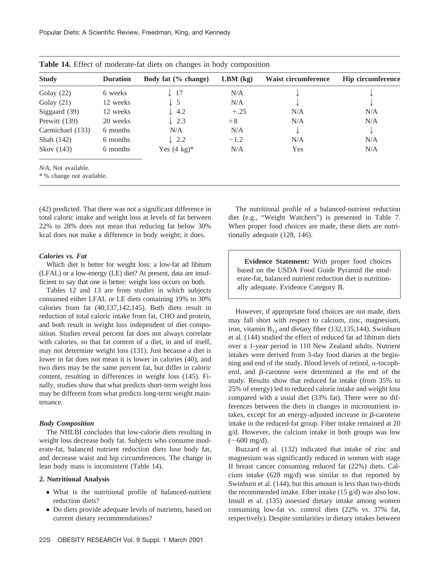| <b>Study</b>     | <b>Duration</b> | Body fat (% change)    | $LBM$ (kg) | Waist circumference | <b>Hip circumference</b> |
|------------------|-----------------|------------------------|------------|---------------------|--------------------------|
| Golay $(22)$     | 6 weeks         | $\downarrow$ 17        | N/A        |                     |                          |
| Golay $(21)$     | 12 weeks        | $\downarrow$ 5         | N/A        | ◡                   | ◡                        |
| Siggaard (39)    | 12 weeks        | $\downarrow$ 4.2       | $+.25$     | N/A                 | N/A                      |
| Prewitt $(139)$  | 20 weeks        | $\downarrow$ 2.3       | $+8$       | N/A                 | N/A                      |
| Carmichael (133) | 6 months        | N/A                    | N/A        |                     |                          |
| Shah (142)       | 6 months        | $\downarrow$ 2.2       | $-1.2$     | N/A                 | N/A                      |
| Skov (143)       | 6 months        | Yes $(4 \text{ kg})^*$ | N/A        | Yes                 | N/A                      |

**Table 14.** Effect of moderate-fat diets on changes in body composition

*N/A*, Not available.

\* % change not available.

(42) predicted. That there was not a significant difference in total caloric intake and weight loss at levels of fat between 22% to 28% does not mean that reducing fat below 30% kcal does not make a difference in body weight; it does.

#### *Calories vs. Fat*

Which diet is better for weight loss: a low-fat ad libitum (LFAL) or a low-energy (LE) diet? At present, data are insufficient to say that one is better: weight loss occurs on both.

Tables 12 and 13 are from studies in which subjects consumed either LFAL or LE diets containing 19% to 30% calories from fat (40,137,142,145). Both diets result in reduction of total caloric intake from fat, CHO and protein, and both result in weight loss independent of diet composition. Studies reveal percent fat does not always correlate with calories, so that fat content of a diet, in and of itself, may not determine weight loss (131). Just because a diet is lower in fat does not mean it is lower in calories (40), and two diets may be the same percent fat, but differ in caloric content, resulting in differences in weight loss (145). Finally, studies show that what predicts short-term weight loss may be different from what predicts long-term weight maintenance.

## *Body Composition*

The NHLBI concludes that low-calorie diets resulting in weight loss decrease body fat. Subjects who consume moderate-fat, balanced nutrient reduction diets lose body fat, and decrease waist and hip circumferences. The change in lean body mass is inconsistent (Table 14).

## **2. Nutritional Analysis**

- What is the nutritional profile of balanced-nutrient reduction diets?
- Do diets provide adequate levels of nutrients, based on current dietary recommendations?

The nutritional profile of a balanced-nutrient reduction diet (e.g., "Weight Watchers") is presented in Table 7. When proper food choices are made, these diets are nutritionally adequate (128, 146).

**Evidence Statement:** With proper food choices based on the USDA Food Guide Pyramid the moderate-fat, balanced nutrient reduction diet is nutritionally adequate. Evidence Category B.

However, if appropriate food choices are not made, diets may fall short with respect to calcium, zinc, magnesium, iron, vitamin  $B_{12}$  and dietary fiber (132,135,144). Swinburn et al. (144) studied the effect of reduced fat ad libitum diets over a 1-year period in 110 New Zealand adults. Nutrient intakes were derived from 3-day food diaries at the beginning and end of the study. Blood levels of retinol,  $\alpha$ -tocopherol, and  $\beta$ -carotene were determined at the end of the study. Results show that reduced fat intake (from 35% to 25% of energy) led to reduced calorie intake and weight loss compared with a usual diet (33% fat). There were no differences between the diets in changes in micronutrient intakes, except for an energy-adjusted increase in  $\beta$ -carotene intake in the reduced-fat group. Fiber intake remained at 20 g/d. However, the calcium intake in both groups was low  $({\sim}600 \text{ mg/d}).$ 

Buzzard et al. (132) indicated that intake of zinc and magnesium was significantly reduced in women with stage II breast cancer consuming reduced fat (22%) diets. Calcium intake (628 mg/d) was similar to that reported by Swinburn et al. (144), but this amount is less than two-thirds the recommended intake. Fiber intake (15 g/d) was also low. Insull et al. (135) assessed dietary intake among women consuming low-fat vs. control diets (22% vs. 37% fat, respectively). Despite similarities in dietary intakes between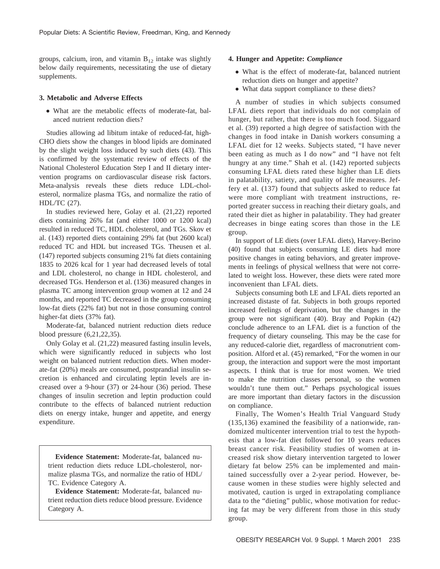groups, calcium, iron, and vitamin  $B_{12}$  intake was slightly below daily requirements, necessitating the use of dietary supplements.

#### **3. Metabolic and Adverse Effects**

● What are the metabolic effects of moderate-fat, balanced nutrient reduction diets?

Studies allowing ad libitum intake of reduced-fat, high-CHO diets show the changes in blood lipids are dominated by the slight weight loss induced by such diets (43). This is confirmed by the systematic review of effects of the National Cholesterol Education Step I and II dietary intervention programs on cardiovascular disease risk factors. Meta-analysis reveals these diets reduce LDL-cholesterol, normalize plasma TGs, and normalize the ratio of HDL/TC (27).

In studies reviewed here, Golay et al. (21,22) reported diets containing 26% fat (and either 1000 or 1200 kcal) resulted in reduced TC, HDL cholesterol, and TGs. Skov et al. (143) reported diets containing 29% fat (but 2600 kcal) reduced TC and HDL but increased TGs. Theusen et al. (147) reported subjects consuming 21% fat diets containing 1835 to 2026 kcal for 1 year had decreased levels of total and LDL cholesterol, no change in HDL cholesterol, and decreased TGs. Henderson et al. (136) measured changes in plasma TC among intervention group women at 12 and 24 months, and reported TC decreased in the group consuming low-fat diets (22% fat) but not in those consuming control higher-fat diets (37% fat).

Moderate-fat, balanced nutrient reduction diets reduce blood pressure (6,21,22,35).

Only Golay et al. (21,22) measured fasting insulin levels, which were significantly reduced in subjects who lost weight on balanced nutrient reduction diets. When moderate-fat (20%) meals are consumed, postprandial insulin secretion is enhanced and circulating leptin levels are increased over a 9-hour (37) or 24-hour (36) period. These changes of insulin secretion and leptin production could contribute to the effects of balanced nutrient reduction diets on energy intake, hunger and appetite, and energy expenditure.

**Evidence Statement:** Moderate-fat, balanced nutrient reduction diets reduce LDL-cholesterol, normalize plasma TGs, and normalize the ratio of HDL/ TC. Evidence Category A.

**Evidence Statement:** Moderate-fat, balanced nutrient reduction diets reduce blood pressure. Evidence Category A.

## **4. Hunger and Appetite:** *Compliance*

- What is the effect of moderate-fat, balanced nutrient reduction diets on hunger and appetite?
- What data support compliance to these diets?

A number of studies in which subjects consumed LFAL diets report that individuals do not complain of hunger, but rather, that there is too much food. Siggaard et al. (39) reported a high degree of satisfaction with the changes in food intake in Danish workers consuming a LFAL diet for 12 weeks. Subjects stated, "I have never been eating as much as I do now" and "I have not felt hungry at any time." Shah et al. (142) reported subjects consuming LFAL diets rated these higher than LE diets in palatability, satiety, and quality of life measures. Jeffery et al. (137) found that subjects asked to reduce fat were more compliant with treatment instructions, reported greater success in reaching their dietary goals, and rated their diet as higher in palatability. They had greater decreases in binge eating scores than those in the LE group.

In support of LE diets (over LFAL diets), Harvey-Berino (40) found that subjects consuming LE diets had more positive changes in eating behaviors, and greater improvements in feelings of physical wellness that were not correlated to weight loss. However, these diets were rated more inconvenient than LFAL diets.

Subjects consuming both LE and LFAL diets reported an increased distaste of fat. Subjects in both groups reported increased feelings of deprivation, but the changes in the group were not significant (40). Bray and Popkin (42) conclude adherence to an LFAL diet is a function of the frequency of dietary counseling. This may be the case for any reduced-calorie diet, regardless of macronutrient composition. Alford et al. (45) remarked, "For the women in our group, the interaction and support were the most important aspects. I think that is true for most women. We tried to make the nutrition classes personal, so the women wouldn't tune them out." Perhaps psychological issues are more important than dietary factors in the discussion on compliance.

Finally, The Women's Health Trial Vanguard Study (135,136) examined the feasibility of a nationwide, randomized multicenter intervention trial to test the hypothesis that a low-fat diet followed for 10 years reduces breast cancer risk. Feasibility studies of women at increased risk show dietary intervention targeted to lower dietary fat below 25% can be implemented and maintained successfully over a 2-year period. However, because women in these studies were highly selected and motivated, caution is urged in extrapolating compliance data to the "dieting" public, whose motivation for reducing fat may be very different from those in this study group.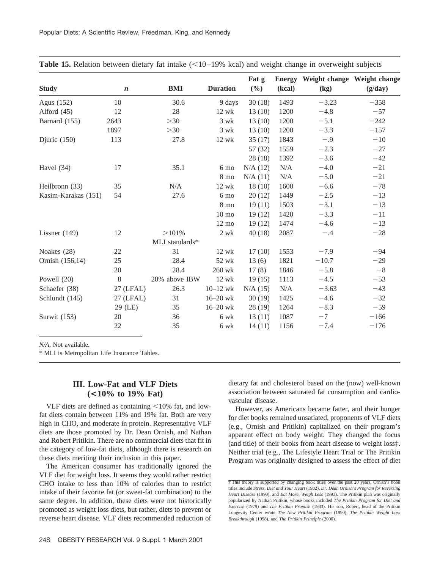| <b>Study</b>        | $\boldsymbol{n}$ | <b>BMI</b>     | <b>Duration</b> | Fat g<br>$(\frac{6}{6})$ | <b>Energy</b><br>(kcal) | Weight change Weight change<br>(kg) | (g/day) |
|---------------------|------------------|----------------|-----------------|--------------------------|-------------------------|-------------------------------------|---------|
| Agus (152)          | 10               | 30.6           | 9 days          | 30(18)                   | 1493                    | $-3.23$                             | $-358$  |
| Alford $(45)$       | 12               | 28             | $12$ wk         | 13(10)                   | 1200                    | $-4.8$                              | $-57$   |
| Barnard (155)       | 2643             | $>30$          | $3$ wk          | 13(10)                   | 1200                    | $-5.1$                              | $-242$  |
|                     | 1897             | >30            | $3$ wk          | 13(10)                   | 1200                    | $-3.3$                              | $-157$  |
| Djuric $(150)$      | 113              | 27.8           | $12$ wk         | 35(17)                   | 1843                    | $-.9$                               | $-10$   |
|                     |                  |                |                 | 57(32)                   | 1559                    | $-2.3$                              | $-27$   |
|                     |                  |                |                 | 28(18)                   | 1392                    | $-3.6$                              | $-42$   |
| Havel $(34)$        | 17               | 35.1           | 6 mo            | N/A(12)                  | N/A                     | $-4.0$                              | $-21$   |
|                     |                  |                | 8 mo            | N/A(11)                  | N/A                     | $-5.0$                              | $-21$   |
| Heilbronn (33)      | 35               | N/A            | 12 wk           | 18(10)                   | 1600                    | $-6.6$                              | $-78$   |
| Kasim-Karakas (151) | 54               | 27.6           | 6 mo            | 20(12)                   | 1449                    | $-2.5$                              | $-13$   |
|                     |                  |                | 8 mo            | 19(11)                   | 1503                    | $-3.1$                              | $-13$   |
|                     |                  |                | $10 \text{ mo}$ | 19(12)                   | 1420                    | $-3.3$                              | $-11$   |
|                     |                  |                | $12 \text{ mo}$ | 19(12)                   | 1474                    | $-4.6$                              | $-13$   |
| Lissner $(149)$     | 12               | >101%          | $2 \text{ wk}$  | 40(18)                   | 2087                    | $-.4$                               | $-28$   |
|                     |                  | MLI standards* |                 |                          |                         |                                     |         |
| Noakes (28)         | 22               | 31             | 12 wk           | 17(10)                   | 1553                    | $-7.9$                              | $-94$   |
| Ornish (156,14)     | 25               | 28.4           | 52 wk           | 13(6)                    | 1821                    | $-10.7$                             | $-29$   |
|                     | 20               | 28.4           | 260 wk          | 17(8)                    | 1846                    | $-5.8$                              | $-8$    |
| Powell (20)         | 8                | 20% above IBW  | $12$ wk         | 19(15)                   | 1113                    | $-4.5$                              | $-53$   |
| Schaefer (38)       | 27 (LFAL)        | 26.3           | $10 - 12$ wk    | N/A (15)                 | N/A                     | $-3.63$                             | $-43$   |
| Schlundt (145)      | 27 (LFAL)        | 31             | $16 - 20$ wk    | 30(19)                   | 1425                    | $-4.6$                              | $-32$   |
|                     | 29 (LE)          | 35             | $16 - 20$ wk    | 28(19)                   | 1264                    | $-8.3$                              | $-59$   |
| Surwit (153)        | 20               | 36             | 6 wk            | 13(11)                   | 1087                    | $-7$                                | $-166$  |
|                     | 22               | 35             | 6 wk            | 14(11)                   | 1156                    | $-7.4$                              | $-176$  |
|                     |                  |                |                 |                          |                         |                                     |         |

**Table 15.** Relation between dietary fat intake  $\ll$ 10–19% kcal) and weight change in overweight subjects

*N/A*, Not available.

\* MLI is Metropolitan Life Insurance Tables.

# **III. Low-Fat and VLF Diets (<10% to 19% Fat)**

VLF diets are defined as containing  $\leq 10\%$  fat, and lowfat diets contain between 11% and 19% fat. Both are very high in CHO, and moderate in protein. Representative VLF diets are those promoted by Dr. Dean Ornish, and Nathan and Robert Pritikin. There are no commercial diets that fit in the category of low-fat diets, although there is research on these diets meriting their inclusion in this paper.

The American consumer has traditionally ignored the VLF diet for weight loss. It seems they would rather restrict CHO intake to less than 10% of calories than to restrict intake of their favorite fat (or sweet-fat combination) to the same degree. In addition, these diets were not historically promoted as weight loss diets, but rather, diets to prevent or reverse heart disease. VLF diets recommended reduction of dietary fat and cholesterol based on the (now) well-known association between saturated fat consumption and cardiovascular disease.

However, as Americans became fatter, and their hunger for diet books remained unsatiated, proponents of VLF diets (e.g., Ornish and Pritikin) capitalized on their program's apparent effect on body weight. They changed the focus (and title) of their books from heart disease to weight loss‡. Neither trial (e.g., The Lifestyle Heart Trial or The Pritikin Program was originally designed to assess the effect of diet

<sup>‡</sup> This theory is supported by changing book titles over the past 20 years. Ornish's book titles include *Stress, Diet and Your Heart* (1982), *Dr. Dean Ornish's Program for Reversing Heart Disease* (1990), and *Eat More, Weigh Less* (1993). The Pritikin plan was originally popularized by Nathan Pritikin, whose books included *The Pritikin Program for Diet and Exercise* (1979) and *The Pritikin Promise* (1983). His son, Robert, head of the Pritikin Longevity Center wrote *The New Pritikin Program* (1990), *The Pritikin Weight Loss Breakthrough* (1998), and *The Pritikin Principle* (2000).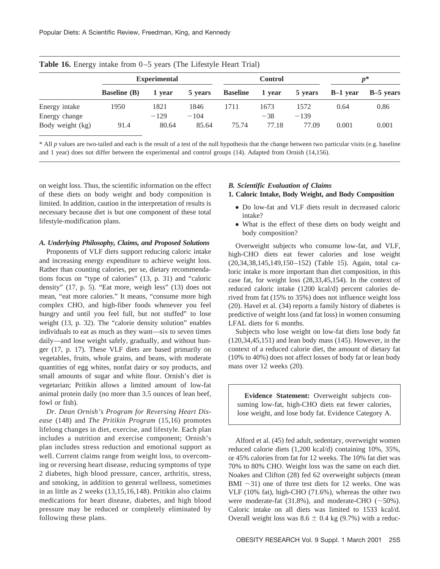|                                | <b>Experimental</b>          |                |                |                 | <b>Control</b> |                |          | $p^*$     |  |
|--------------------------------|------------------------------|----------------|----------------|-----------------|----------------|----------------|----------|-----------|--|
|                                | <b>Baseline</b> ( <b>B</b> ) | 1 vear         | 5 years        | <b>Baseline</b> | 1 year         | 5 years        | B-1 year | B-5 years |  |
| Energy intake<br>Energy change | 1950                         | 1821<br>$-129$ | 1846<br>$-104$ | 1711            | 1673<br>$-38$  | 1572<br>$-139$ | 0.64     | 0.86      |  |
| Body weight (kg)               | 91.4                         | 80.64          | 85.64          | 75.74           | 77.18          | 77.09          | 0.001    | 0.001     |  |

**Table 16.** Energy intake from 0–5 years (The Lifestyle Heart Trial)

\* All *p* values are two-tailed and each is the result of a test of the null hypothesis that the change between two particular visits (e.g. baseline and 1 year) does not differ between the experimental and control groups (14). Adapted from Ornish (14,156).

on weight loss. Thus, the scientific information on the effect of these diets on body weight and body composition is limited. In addition, caution in the interpretation of results is necessary because diet is but one component of these total lifestyle-modification plans.

#### *A. Underlying Philosophy, Claims, and Proposed Solutions*

Proponents of VLF diets support reducing caloric intake and increasing energy expenditure to achieve weight loss. Rather than counting calories, per se, dietary recommendations focus on "type of calories" (13, p. 31) and "caloric density" (17, p. 5). "Eat more, weigh less" (13) does not mean, "eat more calories." It means, "consume more high complex CHO, and high-fiber foods whenever you feel hungry and until you feel full, but not stuffed" to lose weight (13, p. 32). The "calorie density solution" enables individuals to eat as much as they want—six to seven times daily—and lose weight safely, gradually, and without hunger (17, p. 17). These VLF diets are based primarily on vegetables, fruits, whole grains, and beans, with moderate quantities of egg whites, nonfat dairy or soy products, and small amounts of sugar and white flour. Ornish's diet is vegetarian; Pritikin allows a limited amount of low-fat animal protein daily (no more than 3.5 ounces of lean beef, fowl or fish).

*Dr. Dean Ornish's Program for Reversing Heart Disease* (148) and *The Pritikin Program* (15,16) promotes lifelong changes in diet, exercise, and lifestyle. Each plan includes a nutrition and exercise component; Ornish's plan includes stress reduction and emotional support as well. Current claims range from weight loss, to overcoming or reversing heart disease, reducing symptoms of type 2 diabetes, high blood pressure, cancer, arthritis, stress, and smoking, in addition to general wellness, sometimes in as little as 2 weeks (13,15,16,148). Pritikin also claims medications for heart disease, diabetes, and high blood pressure may be reduced or completely eliminated by following these plans.

## *B. Scientific Evaluation of Claims*

## **1. Caloric Intake, Body Weight, and Body Composition**

- Do low-fat and VLF diets result in decreased caloric intake?
- What is the effect of these diets on body weight and body composition?

Overweight subjects who consume low-fat, and VLF, high-CHO diets eat fewer calories and lose weight (20,34,38,145,149,150–152) (Table 15). Again, total caloric intake is more important than diet composition, in this case fat, for weight loss (28,33,45,154). In the context of reduced caloric intake (1200 kcal/d) percent calories derived from fat (15% to 35%) does not influence weight loss (20). Havel et al. (34) reports a family history of diabetes is predictive of weight loss (and fat loss) in women consuming LFAL diets for 6 months.

Subjects who lose weight on low-fat diets lose body fat (120,34,45,151) and lean body mass (145). However, in the context of a reduced calorie diet, the amount of dietary fat (10% to 40%) does not affect losses of body fat or lean body mass over 12 weeks (20).

**Evidence Statement:** Overweight subjects consuming low-fat, high-CHO diets eat fewer calories, lose weight, and lose body fat. Evidence Category A.

Alford et al. (45) fed adult, sedentary, overweight women reduced calorie diets (1,200 kcal/d) containing 10%, 35%, or 45% calories from fat for 12 weeks. The 10% fat diet was 70% to 80% CHO. Weight loss was the same on each diet. Noakes and Clifton (28) fed 62 overweight subjects (mean BMI  $\sim$ 31) one of three test diets for 12 weeks. One was VLF (10% fat), high-CHO (71.6%), whereas the other two were moderate-fat  $(31.8\%)$ , and moderate-CHO  $(\sim 50\%)$ . Caloric intake on all diets was limited to 1533 kcal/d. Overall weight loss was  $8.6 \pm 0.4$  kg (9.7%) with a reduc-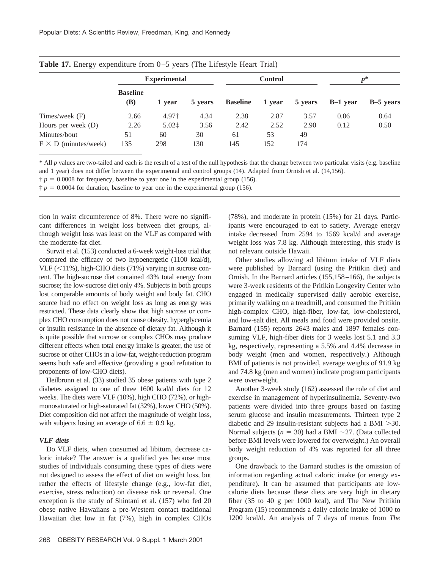|                             | <b>Experimental</b>    |                   |         | <b>Control</b>  |        |         | $p^*$      |           |
|-----------------------------|------------------------|-------------------|---------|-----------------|--------|---------|------------|-----------|
|                             | <b>Baseline</b><br>(B) | 1 year            | 5 years | <b>Baseline</b> | 1 year | 5 years | $B-1$ vear | B-5 years |
| Times/week (F)              | 2.66                   | 4.97†             | 4.34    | 2.38            | 2.87   | 3.57    | 0.06       | 0.64      |
| Hours per week $(D)$        | 2.26                   | $5.02$ $\ddagger$ | 3.56    | 2.42            | 2.52   | 2.90    | 0.12       | 0.50      |
| Minutes/bout                | 51                     | 60                | 30      | 61              | 53     | 49      |            |           |
| $F \times D$ (minutes/week) | 135                    | 298               | 130     | 145             | 152    | 174     |            |           |

| Table 17. Energy expenditure from 0-5 years (The Lifestyle Heart Trial) |  |  |  |  |  |  |
|-------------------------------------------------------------------------|--|--|--|--|--|--|
|-------------------------------------------------------------------------|--|--|--|--|--|--|

\* All *p* values are two-tailed and each is the result of a test of the null hypothesis that the change between two particular visits (e.g. baseline and 1 year) does not differ between the experimental and control groups (14). Adapted from Ornish et al. (14,156).

 $\dot{\tau}$  *p* = 0.0008 for frequency, baseline to year one in the experimental group (156).

 $\ddagger p = 0.0004$  for duration, baseline to year one in the experimental group (156).

tion in waist circumference of 8%. There were no significant differences in weight loss between diet groups, although weight loss was least on the VLF as compared with the moderate-fat diet.

Surwit et al. (153) conducted a 6-week weight-loss trial that compared the efficacy of two hypoenergetic (1100 kcal/d), VLF  $(\leq 11\%)$ , high-CHO diets (71%) varying in sucrose content. The high-sucrose diet contained 43% total energy from sucrose; the low-sucrose diet only 4%. Subjects in both groups lost comparable amounts of body weight and body fat. CHO source had no effect on weight loss as long as energy was restricted. These data clearly show that high sucrose or complex CHO consumption does not cause obesity, hyperglycemia or insulin resistance in the absence of dietary fat. Although it is quite possible that sucrose or complex CHOs may produce different effects when total energy intake is greater, the use of sucrose or other CHOs in a low-fat, weight-reduction program seems both safe and effective (providing a good refutation to proponents of low-CHO diets).

Heilbronn et al. (33) studied 35 obese patients with type 2 diabetes assigned to one of three 1600 kcal/d diets for 12 weeks. The diets were VLF (10%), high CHO (72%), or highmonosaturated or high-saturated fat (32%), lower CHO (50%). Diet composition did not affect the magnitude of weight loss, with subjects losing an average of  $6.6 \pm 0.9$  kg.

## *VLF diets*

Do VLF diets, when consumed ad libitum, decrease caloric intake? The answer is a qualified yes because most studies of individuals consuming these types of diets were not designed to assess the effect of diet on weight loss, but rather the effects of lifestyle change (e.g., low-fat diet, exercise, stress reduction) on disease risk or reversal. One exception is the study of Shintani et al. (157) who fed 20 obese native Hawaiians a pre-Western contact traditional Hawaiian diet low in fat (7%), high in complex CHOs (78%), and moderate in protein (15%) for 21 days. Participants were encouraged to eat to satiety. Average energy intake decreased from 2594 to 1569 kcal/d and average weight loss was 7.8 kg. Although interesting, this study is not relevant outside Hawaii.

Other studies allowing ad libitum intake of VLF diets were published by Barnard (using the Pritikin diet) and Ornish. In the Barnard articles (155,158–166), the subjects were 3-week residents of the Pritikin Longevity Center who engaged in medically supervised daily aerobic exercise, primarily walking on a treadmill, and consumed the Pritikin high-complex CHO, high-fiber, low-fat, low-cholesterol, and low-salt diet. All meals and food were provided onsite. Barnard (155) reports 2643 males and 1897 females consuming VLF, high-fiber diets for 3 weeks lost 5.1 and 3.3 kg, respectively, representing a 5.5% and 4.4% decrease in body weight (men and women, respectively.) Although BMI of patients is not provided, average weights of 91.9 kg and 74.8 kg (men and women) indicate program participants were overweight.

Another 3-week study (162) assessed the role of diet and exercise in management of hyperinsulinemia. Seventy-two patients were divided into three groups based on fasting serum glucose and insulin measurements. Thirteen type 2 diabetic and 29 insulin-resistant subjects had a BMI  $>30$ . Normal subjects ( $n = 30$ ) had a BMI  $\sim$ 27. (Data collected before BMI levels were lowered for overweight.) An overall body weight reduction of 4% was reported for all three groups.

One drawback to the Barnard studies is the omission of information regarding actual caloric intake (or energy expenditure). It can be assumed that participants ate lowcalorie diets because these diets are very high in dietary fiber (35 to 40 g per 1000 kcal), and The New Pritikin Program (15) recommends a daily caloric intake of 1000 to 1200 kcal/d. An analysis of 7 days of menus from *The*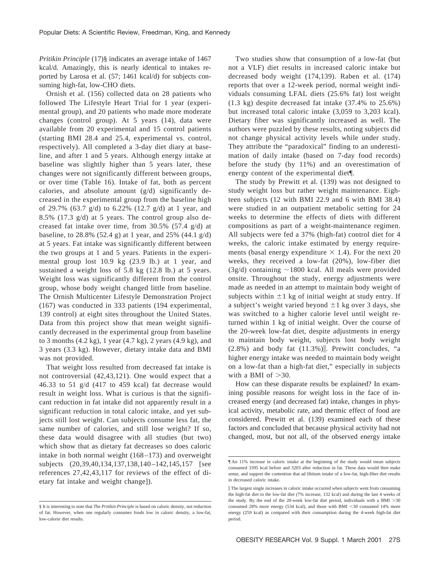*Pritikin Principle* (17)§ indicates an average intake of 1467 kcal/d. Amazingly, this is nearly identical to intakes reported by Larosa et al. (57; 1461 kcal/d) for subjects consuming high-fat, low-CHO diets.

Ornish et al. (156) collected data on 28 patients who followed The Lifestyle Heart Trial for 1 year (experimental group), and 20 patients who made more moderate changes (control group). At 5 years (14), data were available from 20 experimental and 15 control patients (starting BMI 28.4 and 25.4, experimental vs. control, respectively). All completed a 3-day diet diary at baseline, and after 1 and 5 years. Although energy intake at baseline was slightly higher than 5 years later, these changes were not significantly different between groups, or over time (Table 16). Intake of fat, both as percent calories, and absolute amount (g/d) significantly decreased in the experimental group from the baseline high of 29.7% (63.7 g/d) to 6.22% (12.7 g/d) at 1 year, and 8.5% (17.3 g/d) at 5 years. The control group also decreased fat intake over time, from 30.5% (57.4 g/d) at baseline, to 28.8% (52.4 g) at 1 year, and 25% (44.1 g/d) at 5 years. Fat intake was significantly different between the two groups at 1 and 5 years. Patients in the experimental group lost 10.9 kg (23.9 lb.) at 1 year, and sustained a weight loss of 5.8 kg (12.8 lb.) at 5 years. Weight loss was significantly different from the control group, whose body weight changed little from baseline. The Ornish Multicenter Lifestyle Demonstration Project (167) was conducted in 333 patients (194 experimental, 139 control) at eight sites throughout the United States. Data from this project show that mean weight significantly decreased in the experimental group from baseline to 3 months (4.2 kg), 1 year (4.7 kg), 2 years (4.9 kg), and 3 years (3.3 kg). However, dietary intake data and BMI was not provided.

That weight loss resulted from decreased fat intake is not controversial (42,43,121). One would expect that a 46.33 to 51 g/d (417 to 459 kcal) fat decrease would result in weight loss. What is curious is that the significant reduction in fat intake did not apparently result in a significant reduction in total caloric intake, and yet subjects still lost weight. Can subjects consume less fat, the same number of calories, and still lose weight? If so, these data would disagree with all studies (but two) which show that as dietary fat decreases so does caloric intake in both normal weight (168–173) and overweight subjects (20,39,40,134,137,138,140–142,145,157 [see references 27,42,43,117 for reviews of the effect of dietary fat intake and weight change]).

Two studies show that consumption of a low-fat (but not a VLF) diet results in increased caloric intake but decreased body weight (174,139). Raben et al. (174) reports that over a 12-week period, normal weight individuals consuming LFAL diets (25.6% fat) lost weight (1.3 kg) despite decreased fat intake (37.4% to 25.6%) but increased total caloric intake (3,059 to 3,203 kcal). Dietary fiber was significantly increased as well. The authors were puzzled by these results, noting subjects did not change physical activity levels while under study. They attribute the "paradoxical" finding to an underestimation of daily intake (based on 7-day food records) before the study (by 11%) and an overestimation of energy content of the experimental diet¶.

The study by Prewitt et al. (139) was not designed to study weight loss but rather weight maintenance. Eighteen subjects (12 with BMI 22.9 and 6 with BMI 38.4) were studied in an outpatient metabolic setting for 24 weeks to determine the effects of diets with different compositions as part of a weight-maintenance regimen. All subjects were fed a 37% (high-fat) control diet for 4 weeks, the caloric intake estimated by energy requirements (basal energy expenditure  $\times$  1.4). For the next 20 weeks, they received a low-fat (20%), low-fiber diet  $(3g/d)$  containing  $\sim$ 1800 kcal. All meals were provided onsite. Throughout the study, energy adjustments were made as needed in an attempt to maintain body weight of subjects within  $\pm 1$  kg of initial weight at study entry. If a subject's weight varied beyond  $\pm 1$  kg over 3 days, she was switched to a higher calorie level until weight returned within 1 kg of initial weight. Over the course of the 20-week low-fat diet, despite adjustments in energy to maintain body weight, subjects lost body weight  $(2.8\%)$  and body fat  $(11.3\%)$ . Prewitt concludes, "a higher energy intake was needed to maintain body weight on a low-fat than a high-fat diet," especially in subjects with a BMI of  $>30$ .

How can these disparate results be explained? In examining possible reasons for weight loss in the face of increased energy (and decreased fat) intake, changes in physical activity, metabolic rate, and thermic effect of food are considered. Prewitt et al. (139) examined each of these factors and concluded that because physical activity had not changed, most, but not all, of the observed energy intake

<sup>§</sup> It is interesting to note that *The Pritikin Principle* is based on caloric density, not reduction of fat. However, when one regularly consumes foods low in caloric density, a low-fat, low-calorie diet results.

<sup>¶</sup> An 11% increase in caloric intake at the beginning of the study would mean subjects consumed 3395 kcal before and 3203 after reduction in fat. These data would then make sense, and support the contention that ad libitum intake of a low-fat, high-fiber diet results in decreased caloric intake.

 $\parallel$  The largest single increases in caloric intake occurred when subjects went from consuming the high-fat diet to the low-fat diet (7% increase, 132 kcal) and during the last 4 weeks of the study. By the end of the 20-week low-fat diet period, individuals with a BMI  $>$  30 consumed 28% more energy (534 kcal), and those with BMI <30 consumed 14% more energy (259 kcal) as compared with their consumption during the 4-week high-fat diet period.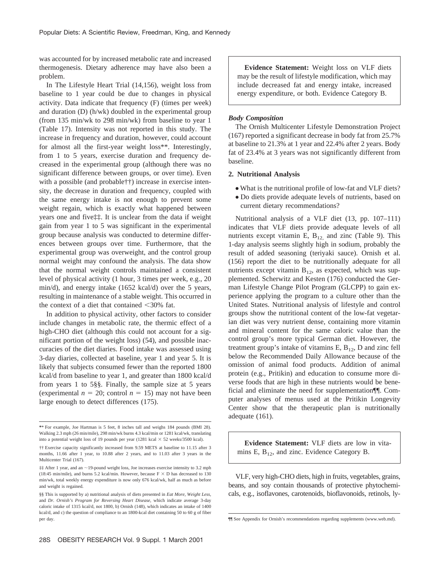was accounted for by increased metabolic rate and increased thermogenesis. Dietary adherence may have also been a problem.

In The Lifestyle Heart Trial (14,156), weight loss from baseline to 1 year could be due to changes in physical activity. Data indicate that frequency (F) (times per week) and duration (D) (h/wk) doubled in the experimental group (from 135 min/wk to 298 min/wk) from baseline to year 1 (Table 17). Intensity was not reported in this study. The increase in frequency and duration, however, could account for almost all the first-year weight loss\*\*. Interestingly, from 1 to 5 years, exercise duration and frequency decreased in the experimental group (although there was no significant difference between groups, or over time). Even with a possible (and probable††) increase in exercise intensity, the decrease in duration and frequency, coupled with the same energy intake is not enough to prevent some weight regain, which is exactly what happened between years one and five‡‡. It is unclear from the data if weight gain from year 1 to 5 was significant in the experimental group because analysis was conducted to determine differences between groups over time. Furthermore, that the experimental group was overweight, and the control group normal weight may confound the analysis. The data show that the normal weight controls maintained a consistent level of physical activity (1 hour, 3 times per week, e.g., 20 min/d), and energy intake (1652 kcal/d) over the 5 years, resulting in maintenance of a stable weight. This occurred in the context of a diet that contained  $\langle 30\%$  fat.

In addition to physical activity, other factors to consider include changes in metabolic rate, the thermic effect of a high-CHO diet (although this could not account for a significant portion of the weight loss) (54), and possible inaccuracies of the diet diaries. Food intake was assessed using 3-day diaries, collected at baseline, year 1 and year 5. It is likely that subjects consumed fewer than the reported 1800 kcal/d from baseline to year 1, and greater than 1800 kcal/d from years 1 to 5§§. Finally, the sample size at 5 years (experimental  $n = 20$ ; control  $n = 15$ ) may not have been large enough to detect differences (175).

**Evidence Statement:** Weight loss on VLF diets may be the result of lifestyle modification, which may include decreased fat and energy intake, increased energy expenditure, or both. Evidence Category B.

## *Body Composition*

The Ornish Multicenter Lifestyle Demonstration Project (167) reported a significant decrease in body fat from 25.7% at baseline to 21.3% at 1 year and 22.4% after 2 years. Body fat of 23.4% at 3 years was not significantly different from baseline.

#### **2. Nutritional Analysis**

- What is the nutritional profile of low-fat and VLF diets?
- Do diets provide adequate levels of nutrients, based on current dietary recommendations?

Nutritional analysis of a VLF diet (13, pp. 107–111) indicates that VLF diets provide adequate levels of all nutrients except vitamin E,  $B_{12}$  and zinc (Table 9). This 1-day analysis seems slightly high in sodium, probably the result of added seasoning (teriyaki sauce). Ornish et al. (156) report the diet to be nutritionally adequate for all nutrients except vitamin  $B_{12}$ , as expected, which was supplemented. Scherwitz and Kesten (176) conducted the German Lifestyle Change Pilot Program (GLCPP) to gain experience applying the program to a culture other than the United States. Nutritional analysis of lifestyle and control groups show the nutritional content of the low-fat vegetarian diet was very nutrient dense, containing more vitamin and mineral content for the same caloric value than the control group's more typical German diet. However, the treatment group's intake of vitamins E,  $B_{12}$ , D and zinc fell below the Recommended Daily Allowance because of the omission of animal food products. Addition of animal protein (e.g., Pritikin) and education to consume more diverse foods that are high in these nutrients would be beneficial and eliminate the need for supplementation¶¶. Computer analyses of menus used at the Pritikin Longevity Center show that the therapeutic plan is nutritionally adequate (161).

**Evidence Statement:** VLF diets are low in vitamins E,  $B_{12}$ , and zinc. Evidence Category B.

VLF, very high-CHO diets, high in fruits, vegetables, grains, beans, and soy contain thousands of protective phytochemicals, e.g., isoflavones, carotenoids, bioflavonoids, retinols, ly-

**<sup>\*</sup>**\* For example, Joe Hartman is 5 feet, 8 inches tall and weighs 184 pounds (BMI 28). Walking 2.3 mph (26 min/mile), 298 min/wk burns 4.3 kcal/min or 1281 kcal/wk, translating into a potential weight loss of 19 pounds per year (1281 kcal  $\times$  52 weeks/3500 kcal).

<sup>††</sup> Exercise capacity significantly increased from 9.59 METS at baseline to 11.15 after 3 months, 11.66 after 1 year, to 10.88 after 2 years, and to 11.03 after 3 years in the Multicenter Trial (167).

<sup>‡‡</sup> After 1 year, and an ~19-pound weight loss, Joe increases exercise intensity to 3.2 mph (18:45 min/mile), and burns 5.2 kcal/min. However, because  $F \times D$  has decreased to 130 min/wk, total weekly energy expenditure is now only 676 kcal/wk, half as much as before and weight is regained.

<sup>§§</sup> This is supported by a) nutritional analysis of diets presented in *Eat More, Weight Less*, and *Dr. Ornish's Program for Reversing Heart Disease*, which indicate average 3-day caloric intake of 1315 kcal/d, not 1800, b) Ornish (148), which indicates an intake of 1400 kcal/d, and c) the question of compliance to an 1800-kcal diet containing 50 to 60 g of fiber per day. The supplements (www.web.md). The Appendix for Ornish's recommendations regarding supplements (www.web.md).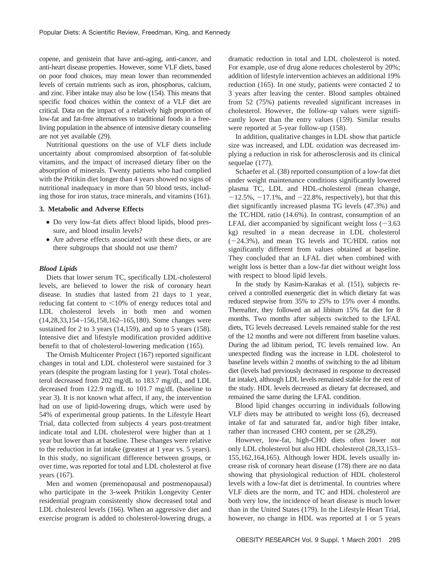copene, and genistein that have anti-aging, anti-cancer, and anti-heart disease properties. However, some VLF diets, based on poor food choices, may mean lower than recommended levels of certain nutrients such as iron, phosphorus, calcium, and zinc. Fiber intake may also be low (154). This means that specific food choices within the context of a VLF diet are critical. Data on the impact of a relatively high proportion of low-fat and fat-free alternatives to traditional foods in a freeliving population in the absence of intensive dietary counseling are not yet available (29).

Nutritional questions on the use of VLF diets include uncertainty about compromised absorption of fat-soluble vitamins, and the impact of increased dietary fiber on the absorption of minerals. Twenty patients who had complied with the Pritikin diet longer than 4 years showed no signs of nutritional inadequacy in more than 50 blood tests, including those for iron status, trace minerals, and vitamins (161).

#### **3. Metabolic and Adverse Effects**

- Do very low-fat diets affect blood lipids, blood pressure, and blood insulin levels?
- Are adverse effects associated with these diets, or are there subgroups that should not use them?

#### *Blood Lipids*

Diets that lower serum TC, specifically LDL-cholesterol levels, are believed to lower the risk of coronary heart disease. In studies that lasted from 21 days to 1 year, reducing fat content to  $\leq 10\%$  of energy reduces total and LDL cholesterol levels in both men and women (14,28,33,154–156,158,162–165,180). Some changes were sustained for 2 to 3 years (14,159), and up to 5 years (158). Intensive diet and lifestyle modification provided additive benefit to that of cholesterol-lowering medication (165).

The Ornish Multicenter Project (167) reported significant changes in total and LDL cholesterol were sustained for 3 years (despite the program lasting for 1 year). Total cholesterol decreased from 202 mg/dL to 183.7 mg/dL, and LDL decreased from 122.9 mg/dL to 101.7 mg/dL (baseline to year 3). It is not known what affect, if any, the intervention had on use of lipid-lowering drugs, which were used by 54% of experimental group patients. In the Lifestyle Heart Trial, data collected from subjects 4 years post-treatment indicate total and LDL cholesterol were higher than at 1 year but lower than at baseline. These changes were relative to the reduction in fat intake (greatest at 1 year vs. 5 years). In this study, no significant difference between groups, or over time, was reported for total and LDL cholesterol at five years (167).

Men and women (premenopausal and postmenopausal) who participate in the 3-week Pritikin Longevity Center residential program consistently show decreased total and LDL cholesterol levels (166). When an aggressive diet and exercise program is added to cholesterol-lowering drugs, a dramatic reduction in total and LDL cholesterol is noted. For example, use of drug alone reduces cholesterol by 20%; addition of lifestyle intervention achieves an additional 19% reduction (165). In one study, patients were contacted 2 to 3 years after leaving the center. Blood samples obtained from 52 (75%) patients revealed significant increases in cholesterol. However, the follow-up values were significantly lower than the entry values (159). Similar results were reported at 5-year follow-up (158).

In addition, qualitative changes in LDL show that particle size was increased, and LDL oxidation was decreased implying a reduction in risk for atherosclerosis and its clinical sequelae (177).

Schaefer et al. (38) reported consumption of a low-fat diet under weight maintenance conditions significantly lowered plasma TC, LDL and HDL-cholesterol (mean change,  $-12.5\%$ ,  $-17.1\%$ , and  $-22.8\%$ , respectively), but that this diet significantly increased plasma TG levels (47.3%) and the TC/HDL ratio (14.6%). In contrast, consumption of an LFAL diet accompanied by significant weight loss  $(-3.63)$ kg) resulted in a mean decrease in LDL cholesterol (224.3%), and mean TG levels and TC/HDL ratios not significantly different from values obtained at baseline. They concluded that an LFAL diet when combined with weight loss is better than a low-fat diet without weight loss with respect to blood lipid levels.

In the study by Kasim-Karakas et al. (151), subjects received a controlled euenergetic diet in which dietary fat was reduced stepwise from 35% to 25% to 15% over 4 months. Thereafter, they followed an ad libitum 15% fat diet for 8 months. Two months after subjects switched to the LFAL diets, TG levels decreased. Levels remained stable for the rest of the 12 months and were not different from baseline values. During the ad libitum period, TC levels remained low. An unexpected finding was the increase in LDL cholesterol to baseline levels within 2 months of switching to the ad libitum diet (levels had previously decreased in response to decreased fat intake), although LDL levels remained stable for the rest of the study. HDL levels decreased as dietary fat decreased, and remained the same during the LFAL condition.

Blood lipid changes occurring in individuals following VLF diets may be attributed to weight loss (6), decreased intake of fat and saturated fat, and/or high fiber intake, rather than increased CHO content, per se (28,29).

However, low-fat, high-CHO diets often lower not only LDL cholesterol but also HDL cholesterol (28,33,153– 155,162,164,165). Although lower HDL levels usually increase risk of coronary heart disease (178) there are no data showing that physiological reduction of HDL cholesterol levels with a low-fat diet is detrimental. In countries where VLF diets are the norm, and TC and HDL cholesterol are both very low, the incidence of heart disease is much lower than in the United States (179). In the Lifestyle Heart Trial, however, no change in HDL was reported at 1 or 5 years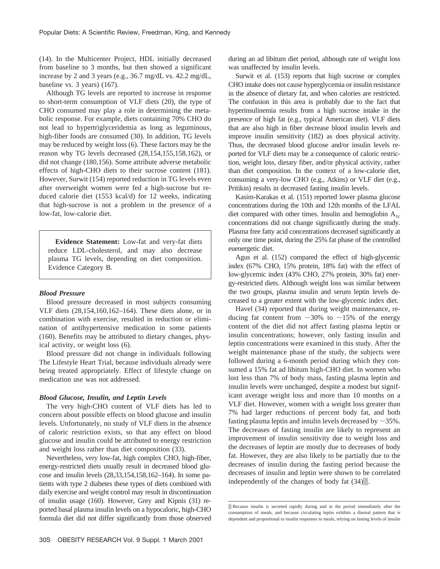(14). In the Multicenter Project, HDL initially decreased from baseline to 3 months, but then showed a significant increase by 2 and 3 years (e.g., 36.7 mg/dL vs. 42.2 mg/dL, baseline vs. 3 years) (167).

Although TG levels are reported to increase in response to short-term consumption of VLF diets (20), the type of CHO consumed may play a role in determining the metabolic response. For example, diets containing 70% CHO do not lead to hypertriglyceridemia as long as leguminous, high-fiber foods are consumed (30). In addition, TG levels may be reduced by weight loss (6). These factors may be the reason why TG levels decreased (28,154,155,158,162), or did not change (180,156). Some attribute adverse metabolic effects of high-CHO diets to their sucrose content (181). However, Surwit (154) reported reduction in TG levels even after overweight women were fed a high-sucrose but reduced calorie diet (1553 kcal/d) for 12 weeks, indicating that high-sucrose is not a problem in the presence of a low-fat, low-calorie diet.

**Evidence Statement:** Low-fat and very-fat diets reduce LDL-cholesterol, and may also decrease plasma TG levels, depending on diet composition. Evidence Category B.

#### *Blood Pressure*

Blood pressure decreased in most subjects consuming VLF diets (28,154,160,162–164). These diets alone, or in combination with exercise, resulted in reduction or elimination of antihypertensive medication in some patients (160). Benefits may be attributed to dietary changes, physical activity, or weight loss (6).

Blood pressure did not change in individuals following The Lifestyle Heart Trial, because individuals already were being treated appropriately. Effect of lifestyle change on medication use was not addressed.

#### *Blood Glucose, Insulin, and Leptin Levels*

The very high-CHO content of VLF diets has led to concern about possible effects on blood glucose and insulin levels. Unfortunately, no study of VLF diets in the absence of caloric restriction exists, so that any effect on blood glucose and insulin could be attributed to energy restriction and weight loss rather than diet composition (33).

Nevertheless, very low-fat, high complex CHO, high-fiber, energy-restricted diets usually result in decreased blood glucose and insulin levels (28,33,154,158,162–164). In some patients with type 2 diabetes these types of diets combined with daily exercise and weight control may result in discontinuation of insulin usage (160). However, Grey and Kipnis (31) reported basal plasma insulin levels on a hypocaloric, high-CHO formula diet did not differ significantly from those observed during an ad libitum diet period, although rate of weight loss was unaffected by insulin levels.

Surwit et al. (153) reports that high sucrose or complex CHO intake does not cause hyperglycemia or insulin resistance in the absence of dietary fat, and when calories are restricted. The confusion in this area is probably due to the fact that hyperinsulinemia results from a high sucrose intake in the presence of high fat (e.g., typical American diet). VLF diets that are also high in fiber decrease blood insulin levels and improve insulin sensitivity (182) as does physical activity. Thus, the decreased blood glucose and/or insulin levels reported for VLF diets may be a consequence of caloric restriction, weight loss, dietary fiber, and/or physical activity, rather than diet composition. In the context of a low-calorie diet, consuming a very-low CHO (e.g., Atkins) or VLF diet (e.g., Pritikin) results in decreased fasting insulin levels.

Kasim-Karakas et al. (151) reported lower plasma glucose concentrations during the 10th and 12th months of the LFAL diet compared with other times. Insulin and hemoglobin  $A_{1c}$ concentrations did not change significantly during the study. Plasma free fatty acid concentrations decreased significantly at only one time point, during the 25% fat phase of the controlled euenergetic diet.

Agus et al. (152) compared the effect of high-glycemic index (67% CHO, 15% protein, 18% fat) with the effect of low-glycemic index (43% CHO, 27% protein, 30% fat) energy-restricted diets. Although weight loss was similar between the two groups, plasma insulin and serum leptin levels decreased to a greater extent with the low-glycemic index diet.

Havel (34) reported that during weight maintenance, reducing fat content from  $\sim$ 30% to  $\sim$ 15% of the energy content of the diet did not affect fasting plasma leptin or insulin concentrations; however, only fasting insulin and leptin concentrations were examined in this study. After the weight maintenance phase of the study, the subjects were followed during a 6-month period during which they consumed a 15% fat ad libitum high-CHO diet. In women who lost less than 7% of body mass, fasting plasma leptin and insulin levels were unchanged, despite a modest but significant average weight loss and more than 10 months on a VLF diet. However, women with a weight loss greater than 7% had larger reductions of percent body fat, and both fasting plasma leptin and insulin levels decreased by  $\sim$ 35%. The decreases of fasting insulin are likely to represent an improvement of insulin sensitivity due to weight loss and the decreases of leptin are mostly due to decreases of body fat. However, they are also likely to be partially due to the decreases of insulin during the fasting period because the decreases of insulin and leptin were shown to be correlated independently of the changes of body fat  $(34)$ .

ii Because insulin is secreted rapidly during and in the period immediately after the consumption of meals, and because circulating leptin exhibits a diurnal pattern that is dependent and proportional to insulin responses to meals, relying on fasting levels of insulin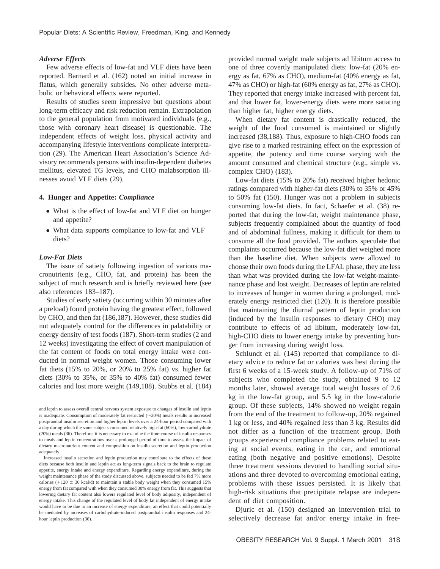#### *Adverse Effects*

Few adverse effects of low-fat and VLF diets have been reported. Barnard et al. (162) noted an initial increase in flatus, which generally subsides. No other adverse metabolic or behavioral effects were reported.

Results of studies seem impressive but questions about long-term efficacy and risk reduction remain. Extrapolation to the general population from motivated individuals (e.g., those with coronary heart disease) is questionable. The independent effects of weight loss, physical activity and accompanying lifestyle interventions complicate interpretation (29). The American Heart Association's Science Advisory recommends persons with insulin-dependent diabetes mellitus, elevated TG levels, and CHO malabsorption illnesses avoid VLF diets (29).

#### **4. Hunger and Appetite:** *Compliance*

- What is the effect of low-fat and VLF diet on hunger and appetite?
- What data supports compliance to low-fat and VLF diets?

## *Low-Fat Diets*

The issue of satiety following ingestion of various macronutrients (e.g., CHO, fat, and protein) has been the subject of much research and is briefly reviewed here (see also references 183–187).

Studies of early satiety (occurring within 30 minutes after a preload) found protein having the greatest effect, followed by CHO, and then fat (186,187). However, these studies did not adequately control for the differences in palatability or energy density of test foods (187). Short-term studies (2 and 12 weeks) investigating the effect of covert manipulation of the fat content of foods on total energy intake were conducted in normal weight women. Those consuming lower fat diets (15% to 20%, or 20% to 25% fat) vs. higher fat diets (30% to 35%, or 35% to 40% fat) consumed fewer calories and lost more weight (149,188). Stubbs et al. (184) provided normal weight male subjects ad libitum access to one of three covertly manipulated diets: low-fat (20% energy as fat, 67% as CHO), medium-fat (40% energy as fat, 47% as CHO) or high-fat (60% energy as fat, 27% as CHO). They reported that energy intake increased with percent fat, and that lower fat, lower-energy diets were more satiating than higher fat, higher energy diets.

When dietary fat content is drastically reduced, the weight of the food consumed is maintained or slightly increased (38,188). Thus, exposure to high-CHO foods can give rise to a marked restraining effect on the expression of appetite, the potency and time course varying with the amount consumed and chemical structure (e.g., simple vs. complex CHO) (183).

Low-fat diets (15% to 20% fat) received higher hedonic ratings compared with higher-fat diets (30% to 35% or 45% to 50% fat (150). Hunger was not a problem in subjects consuming low-fat diets. In fact, Schaefer et al. (38) reported that during the low-fat, weight maintenance phase, subjects frequently complained about the quantity of food and of abdominal fullness, making it difficult for them to consume all the food provided. The authors speculate that complaints occurred because the low-fat diet weighed more than the baseline diet. When subjects were allowed to choose their own foods during the LFAL phase, they ate less than what was provided during the low-fat weight-maintenance phase and lost weight. Decreases of leptin are related to increases of hunger in women during a prolonged, moderately energy restricted diet (120). It is therefore possible that maintaining the diurnal pattern of leptin production (induced by the insulin responses to dietary CHO) may contribute to effects of ad libitum, moderately low-fat, high-CHO diets to lower energy intake by preventing hunger from increasing during weight loss.

Schlundt et al. (145) reported that compliance to dietary advice to reduce fat or calories was best during the first 6 weeks of a 15-week study. A follow-up of 71% of subjects who completed the study, obtained 9 to 12 months later, showed average total weight losses of 2.6 kg in the low-fat group, and 5.5 kg in the low-calorie group. Of these subjects, 14% showed no weight regain from the end of the treatment to follow-up, 20% regained 1 kg or less, and 40% regained less than 3 kg. Results did not differ as a function of the treatment group. Both groups experienced compliance problems related to eating at social events, eating in the car, and emotional eating (both negative and positive emotions). Despite three treatment sessions devoted to handling social situations and three devoted to overcoming emotional eating, problems with these issues persisted. It is likely that high-risk situations that precipitate relapse are independent of diet composition.

Djuric et al. (150) designed an intervention trial to selectively decrease fat and/or energy intake in free-

and leptin to assess overall central nervous system exposure to changes of insulin and leptin is inadequate. Consumption of moderately fat restricted  $(\sim 20\%)$  meals results in increased postprandial insulin secretion and higher leptin levels over a 24-hour period compared with a day during which the same subjects consumed relatively high-fat (60%), low-carbohydrate (20%) meals (36). Therefore, it is necessary to examine the time-course of insulin responses to meals and leptin concentrations over a prolonged period of time to assess the impact of dietary macronutrient content and composition on insulin secretion and leptin production adequately.

Increased insulin secretion and leptin production may contribute to the effects of these diets because both insulin and leptin act as long-term signals back to the brain to regulate appetite, energy intake and energy expenditure. Regarding energy expenditure, during the weight maintenance phase of the study discussed above, subjects needed to be fed 7% more calories ( $+120 \pm 30$  kcal/d) to maintain a stable body weight when they consumed 15% energy from fat compared with when they consumed 30% energy from fat. This suggests that lowering dietary fat content also lowers regulated level of body adiposity, independent of energy intake. This change of the regulated level of body fat independent of energy intake would have to be due to an increase of energy expenditure, an effect that could potentially be mediated by increases of carbohydrate-induced postprandial insulin responses and 24 hour leptin production (36).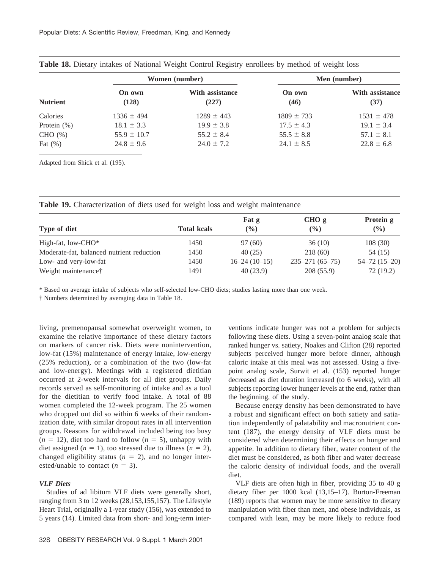|                                  |                 | Women (number)                  | Men (number)   |                                |  |  |
|----------------------------------|-----------------|---------------------------------|----------------|--------------------------------|--|--|
| <b>Nutrient</b>                  | On own<br>(128) | <b>With assistance</b><br>(227) | On own<br>(46) | <b>With assistance</b><br>(37) |  |  |
| Calories                         | $1336 \pm 494$  | $1289 \pm 443$                  | $1809 \pm 733$ | $1531 \pm 478$                 |  |  |
| Protein $(\%)$                   | $18.1 \pm 3.3$  | $19.9 \pm 3.8$                  | $17.5 \pm 4.3$ | $19.1 \pm 3.4$                 |  |  |
| CHO (%)                          | $55.9 \pm 10.7$ | $55.2 \pm 8.4$                  | $55.5 \pm 8.8$ | $57.1 \pm 8.1$                 |  |  |
| Fat $(\%)$                       | $24.8 \pm 9.6$  | $24.0 \pm 7.2$                  | $24.1 \pm 8.5$ | $22.8 \pm 6.8$                 |  |  |
| Adapted from Shick et al. (195). |                 |                                 |                |                                |  |  |

| Table 18. Dietary intakes of National Weight Control Registry enrollees by method of weight loss |  |  |  |  |  |  |  |
|--------------------------------------------------------------------------------------------------|--|--|--|--|--|--|--|
|--------------------------------------------------------------------------------------------------|--|--|--|--|--|--|--|

**Table 19.** Characterization of diets used for weight loss and weight maintenance

|                                           |                    | Fat g          | CHO <sub>g</sub>     | Protein g          |  |
|-------------------------------------------|--------------------|----------------|----------------------|--------------------|--|
| Type of diet                              | <b>Total kcals</b> | $\frac{9}{6}$  | $($ %)               | $($ %)             |  |
| High-fat, low-CHO*                        | 1450               | 97 (60)        | 36(10)               | 108(30)            |  |
| Moderate-fat, balanced nutrient reduction | 1450               | 40(25)         | 218(60)              | 54 (15)            |  |
| Low- and very-low-fat                     | 1450               | $16-24(10-15)$ | $235 - 271(65 - 75)$ | $54 - 72(15 - 20)$ |  |
| Weight maintenance†                       | 1491               | 40(23.9)       | 208 (55.9)           | 72 (19.2)          |  |

\* Based on average intake of subjects who self-selected low-CHO diets; studies lasting more than one week.

† Numbers determined by averaging data in Table 18.

living, premenopausal somewhat overweight women, to examine the relative importance of these dietary factors on markers of cancer risk. Diets were nonintervention, low-fat (15%) maintenance of energy intake, low-energy (25% reduction), or a combination of the two (low-fat and low-energy). Meetings with a registered dietitian occurred at 2-week intervals for all diet groups. Daily records served as self-monitoring of intake and as a tool for the dietitian to verify food intake. A total of 88 women completed the 12-week program. The 25 women who dropped out did so within 6 weeks of their randomization date, with similar dropout rates in all intervention groups. Reasons for withdrawal included being too busy  $(n = 12)$ , diet too hard to follow  $(n = 5)$ , unhappy with diet assigned  $(n = 1)$ , too stressed due to illness  $(n = 2)$ , changed eligibility status  $(n = 2)$ , and no longer interested/unable to contact  $(n = 3)$ .

## *VLF Diets*

Studies of ad libitum VLF diets were generally short, ranging from 3 to 12 weeks (28,153,155,157). The Lifestyle Heart Trial, originally a 1-year study (156), was extended to 5 years (14). Limited data from short- and long-term interventions indicate hunger was not a problem for subjects following these diets. Using a seven-point analog scale that ranked hunger vs. satiety, Noakes and Clifton (28) reported subjects perceived hunger more before dinner, although caloric intake at this meal was not assessed. Using a fivepoint analog scale, Surwit et al. (153) reported hunger decreased as diet duration increased (to 6 weeks), with all subjects reporting lower hunger levels at the end, rather than the beginning, of the study.

Because energy density has been demonstrated to have a robust and significant effect on both satiety and satiation independently of palatability and macronutrient content (187), the energy density of VLF diets must be considered when determining their effects on hunger and appetite. In addition to dietary fiber, water content of the diet must be considered, as both fiber and water decrease the caloric density of individual foods, and the overall diet.

VLF diets are often high in fiber, providing 35 to 40 g dietary fiber per 1000 kcal (13,15–17). Burton-Freeman (189) reports that women may be more sensitive to dietary manipulation with fiber than men, and obese individuals, as compared with lean, may be more likely to reduce food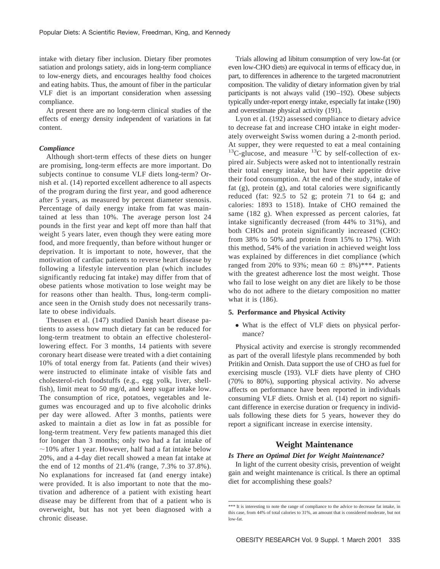intake with dietary fiber inclusion. Dietary fiber promotes satiation and prolongs satiety, aids in long-term compliance to low-energy diets, and encourages healthy food choices and eating habits. Thus, the amount of fiber in the particular VLF diet is an important consideration when assessing compliance.

At present there are no long-term clinical studies of the effects of energy density independent of variations in fat content.

#### *Compliance*

Although short-term effects of these diets on hunger are promising, long-term effects are more important. Do subjects continue to consume VLF diets long-term? Ornish et al. (14) reported excellent adherence to all aspects of the program during the first year, and good adherence after 5 years, as measured by percent diameter stenosis. Percentage of daily energy intake from fat was maintained at less than 10%. The average person lost 24 pounds in the first year and kept off more than half that weight 5 years later, even though they were eating more food, and more frequently, than before without hunger or deprivation. It is important to note, however, that the motivation of cardiac patients to reverse heart disease by following a lifestyle intervention plan (which includes significantly reducing fat intake) may differ from that of obese patients whose motivation to lose weight may be for reasons other than health. Thus, long-term compliance seen in the Ornish study does not necessarily translate to obese individuals.

Theusen et al. (147) studied Danish heart disease patients to assess how much dietary fat can be reduced for long-term treatment to obtain an effective cholesterollowering effect. For 3 months, 14 patients with severe coronary heart disease were treated with a diet containing 10% of total energy from fat. Patients (and their wives) were instructed to eliminate intake of visible fats and cholesterol-rich foodstuffs (e.g., egg yolk, liver, shellfish), limit meat to 50 mg/d, and keep sugar intake low. The consumption of rice, potatoes, vegetables and legumes was encouraged and up to five alcoholic drinks per day were allowed. After 3 months, patients were asked to maintain a diet as low in fat as possible for long-term treatment. Very few patients managed this diet for longer than 3 months; only two had a fat intake of  $\sim$ 10% after 1 year. However, half had a fat intake below 20%, and a 4-day diet recall showed a mean fat intake at the end of 12 months of 21.4% (range, 7.3% to 37.8%). No explanations for increased fat (and energy intake) were provided. It is also important to note that the motivation and adherence of a patient with existing heart disease may be different from that of a patient who is overweight, but has not yet been diagnosed with a chronic disease.

Trials allowing ad libitum consumption of very low-fat (or even low-CHO diets) are equivocal in terms of efficacy due, in part, to differences in adherence to the targeted macronutrient composition. The validity of dietary information given by trial participants is not always valid (190–192). Obese subjects typically under-report energy intake, especially fat intake (190) and overestimate physical activity (191).

Lyon et al. (192) assessed compliance to dietary advice to decrease fat and increase CHO intake in eight moderately overweight Swiss women during a 2-month period. At supper, they were requested to eat a meal containing  $13C$ -glucose, and measure  $13C$  by self-collection of expired air. Subjects were asked not to intentionally restrain their total energy intake, but have their appetite drive their food consumption. At the end of the study, intake of fat (g), protein (g), and total calories were significantly reduced (fat: 92.5 to 52 g; protein 71 to 64 g; and calories: 1893 to 1518). Intake of CHO remained the same (182 g). When expressed as percent calories, fat intake significantly decreased (from 44% to 31%), and both CHOs and protein significantly increased (CHO: from 38% to 50% and protein from 15% to 17%). With this method, 54% of the variation in achieved weight loss was explained by differences in diet compliance (which ranged from 20% to 93%; mean 60  $\pm$  8%)\*\*\*. Patients with the greatest adherence lost the most weight. Those who fail to lose weight on any diet are likely to be those who do not adhere to the dietary composition no matter what it is (186).

#### **5. Performance and Physical Activity**

• What is the effect of VLF diets on physical performance?

Physical activity and exercise is strongly recommended as part of the overall lifestyle plans recommended by both Pritikin and Ornish. Data support the use of CHO as fuel for exercising muscle (193). VLF diets have plenty of CHO (70% to 80%), supporting physical activity. No adverse affects on performance have been reported in individuals consuming VLF diets. Ornish et al. (14) report no significant difference in exercise duration or frequency in individuals following these diets for 5 years, however they do report a significant increase in exercise intensity.

# **Weight Maintenance**

## *Is There an Optimal Diet for Weight Maintenance?*

In light of the current obesity crisis, prevention of weight gain and weight maintenance is critical. Is there an optimal diet for accomplishing these goals?

<sup>\*\*\*</sup> It is interesting to note the range of compliance to the advice to decrease fat intake, in this case, from 44% of total calories to 31%, an amount that is considered moderate, but not low-fat.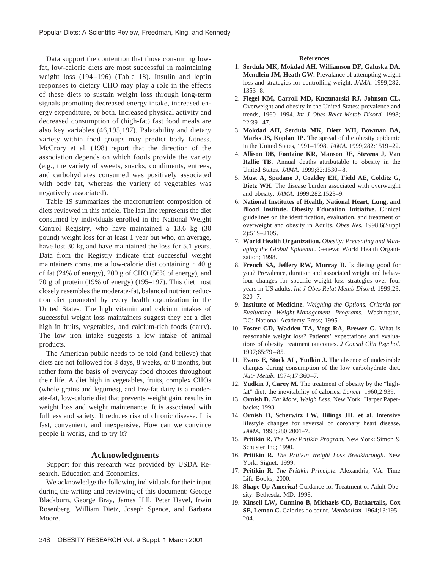Data support the contention that those consuming lowfat, low-calorie diets are most successful in maintaining weight loss (194–196) (Table 18). Insulin and leptin responses to dietary CHO may play a role in the effects of these diets to sustain weight loss through long-term signals promoting decreased energy intake, increased energy expenditure, or both. Increased physical activity and decreased consumption of (high-fat) fast food meals are also key variables (46,195,197). Palatability and dietary variety within food groups may predict body fatness. McCrory et al. (198) report that the direction of the association depends on which foods provide the variety (e.g., the variety of sweets, snacks, condiments, entrees, and carbohydrates consumed was positively associated with body fat, whereas the variety of vegetables was negatively associated).

Table 19 summarizes the macronutrient composition of diets reviewed in this article. The last line represents the diet consumed by individuals enrolled in the National Weight Control Registry, who have maintained a 13.6 kg (30 pound) weight loss for at least 1 year but who, on average, have lost 30 kg and have maintained the loss for 5.1 years. Data from the Registry indicate that successful weight maintainers comsume a low-calorie diet containing  $\sim$ 40 g of fat (24% of energy), 200 g of CHO (56% of energy), and 70 g of protein (19% of energy) (195–197). This diet most closely resembles the moderate-fat, balanced nutrient reduction diet promoted by every health organization in the United States. The high vitamin and calcium intakes of successful weight loss maintainers suggest they eat a diet high in fruits, vegetables, and calcium-rich foods (dairy). The low iron intake suggests a low intake of animal products.

The American public needs to be told (and believe) that diets are not followed for 8 days, 8 weeks, or 8 months, but rather form the basis of everyday food choices throughout their life. A diet high in vegetables, fruits, complex CHOs (whole grains and legumes), and low-fat dairy is a moderate-fat, low-calorie diet that prevents weight gain, results in weight loss and weight maintenance. It is associated with fullness and satiety. It reduces risk of chronic disease. It is fast, convenient, and inexpensive. How can we convince people it works, and to try it?

#### **Acknowledgments**

Support for this research was provided by USDA Research, Education and Economics.

We acknowledge the following individuals for their input during the writing and reviewing of this document: George Blackburn, George Bray, James Hill, Peter Havel, Irwin Rosenberg, William Dietz, Joseph Spence, and Barbara Moore.

#### **References**

- 1. **Serdula MK, Mokdad AH, Williamson DF, Galuska DA, Mendlein JM, Heath GW.** Prevalance of attempting weight loss and strategies for controlling weight. *JAMA.* 1999;282: 1353–8.
- 2. **Flegel KM, Carroll MD, Kuczmarski RJ, Johnson CL.** Overweight and obesity in the United States: prevalence and trends, 1960–1994. *Int J Obes Relat Metab Disord.* 1998;  $22:39-47$ .
- 3. **Mokdad AH, Serdula MK, Dietz WH, Bowman BA, Marks JS, Koplan JP.** The spread of the obesity epidemic in the United States, 1991–1998. *JAMA.* 1999;282:1519–22.
- 4. **Allison DB, Fontaine KR, Manson JE, Stevens J, Van Itallie TB.** Annual deaths attributable to obesity in the United States. *JAMA.* 1999;82:1530–8.
- 5. **Must A, Spadano J, Coakley EH, Field AE, Colditz G, Dietz WH.** The disease burden associated with overweight and obesity. *JAMA.* 1999;282:1523–9.
- 6. **National Institutes of Health, National Heart, Lung, and Blood Institute. Obesity Education Initiative.** Clinical guidelines on the identification, evaluation, and treatment of overweight and obesity in Adults. *Obes Res*. 1998;6(Suppl 2):51S–210S.
- 7. **World Health Organization.** *Obesity: Preventing and Managing the Global Epidemic.* Geneva: World Health Organization; 1998.
- 8. **French SA, Jeffery RW, Murray D.** Is dieting good for you? Prevalence, duration and associated weight and behaviour changes for specific weight loss strategies over four years in US adults. *Int J Obes Relat Metab Disord.* 1999;23:  $320 - 7$
- 9. **Institute of Medicine.** *Weighing the Options. Criteria for Evaluating Weight-Management Programs.* Washington, DC: National Academy Press; 1995.
- 10. **Foster GD, Wadden TA, Vogt RA, Brewer G.** What is reasonable weight loss? Patients' expectations and evaluations of obesity treatment outcomes. *J Consul Clin Psychol.* 1997;65:79–85.
- 11. **Evans E, Stock AL, Yudkin J.** The absence of undesirable changes during consumption of the low carbohydrate diet. *Nutr Metab.* 1974;17:360–7.
- 12. **Yudkin J, Carey M.** The treatment of obesity by the "highfat" diet: the inevitability of calories. *Lancet.* 1960;2:939.
- 13. **Ornish D.** *Eat More, Weigh Less.* New York: Harper Paperbacks; 1993.
- 14. **Ornish D, Scherwitz LW, Bilings JH, et al.** Intensive lifestyle changes for reversal of coronary heart disease. *JAMA.* 1998;280:2001–7.
- 15. **Pritikin R.** *The New Pritikin Program.* New York: Simon & Schuster Inc; 1990.
- 16. **Pritikin R.** *The Pritikin Weight Loss Breakthrough.* New York: Signet; 1999.
- 17. **Pritikin R.** *The Pritikin Principle.* Alexandria, VA: Time Life Books; 2000.
- 18. **Shape Up America!** Guidance for Treatment of Adult Obesity. Bethesda, MD: 1998.
- 19. **Kinsell LW, Cunnino B, Michaels CD, Bathartalls, Cox SE, Lemon C.** Calories do count. *Metabolism.* 1964;13:195– 204.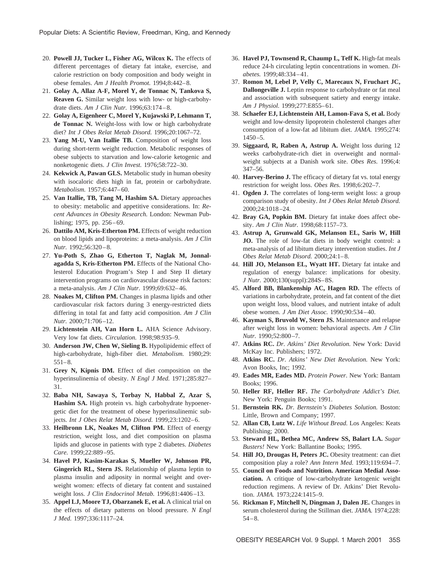- 20. **Powell JJ, Tucker L, Fisher AG, Wilcox K.** The effects of different percentages of dietary fat intake, exercise, and calorie restriction on body composition and body weight in obese females. *Am J Health Promot.* 1994;8:442–8.
- 21. **Golay A, Allaz A-F, Morel Y, de Tonnac N, Tankova S, Reaven G.** Similar weight loss with low- or high-carbohydrate diets. *Am J Clin Nutr.* 1996;63:174–8.
- 22. **Golay A, Eigenheer C, Morel Y, Kujawski P, Lehmann T, de Tonnac N.** Weight-loss with low or high carbohydrate diet? *Int J Obes Relat Metab Disord.* 1996;20:1067–72.
- 23. **Yang M-U, Van Itallie TB.** Composition of weight loss during short-term weight reduction. Metabolic responses of obese subjects to starvation and low-calorie ketogenic and nonketogenic diets. *J Clin Invest.* 1976;58:722–30.
- 24. **Kekwick A, Pawan GLS.** Metabolic study in human obesity with isocaloric diets high in fat, protein or carbohydrate. *Metabolism.* 1957;6:447–60.
- 25. **Van Itallie, TB, Tang M, Hashim SA.** Dietary approaches to obesity: metabolic and appetitive considerations. In: *Recent Advances in Obesity Research.* London: Newman Publishing; 1975, pp. 256–69.
- 26. **Dattilo AM, Kris-Etherton PM.** Effects of weight reduction on blood lipids and lipoproteins: a meta-analysis. *Am J Clin Nutr.* 1992;56:320–8.
- 27. **Yu-Poth S, Zhao G, Etherton T, Naglak M, Jonnalagadda S, Kris-Etherton PM.** Effects of the National Cholesterol Education Program's Step I and Step II dietary intervention programs on cardiovascular disease risk factors: a meta-analysis. *Am J Clin Nutr.* 1999;69:632–46.
- 28. **Noakes M, Clifton PM.** Changes in plasma lipids and other cardiovascular risk factors during 3 energy-restricted diets differing in total fat and fatty acid composition. *Am J Clin Nutr.* 2000;71:706–12.
- 29. **Lichtenstein AH, Van Horn L.** AHA Science Advisory. Very low fat diets. *Circulation.* 1998;98:935–9.
- 30. **Anderson JW, Chen W, Sieling B.** Hypolipidemic effect of high-carbohydrate, high-fiber diet. *Metabolism.* 1980;29: 551–8.
- 31. **Grey N, Kipnis DM.** Effect of diet composition on the hyperinsulinemia of obesity. *N Engl J Med.* 1971;285:827– 31.
- 32. **Baba NH, Sawaya S, Torbay N, Habbal Z, Azar S, Hashim SA.** High protein vs. high carbohydrate hypoenergetic diet for the treatment of obese hyperinsulinemic subjects. *Int J Obes Relat Metab Disord.* 1999;23:1202–6.
- 33. **Heilbronn LK, Noakes M, Clifton PM.** Effect of energy restriction, weight loss, and diet composition on plasma lipids and glucose in patients with type 2 diabetes. *Diabetes Care.* 1999;22:889–95.
- 34. **Havel PJ, Kasim-Karakas S, Mueller W, Johnson PR, Gingerich RL, Stern JS.** Relationship of plasma leptin to plasma insulin and adiposity in normal weight and overweight women: effects of dietary fat content and sustained weight loss. *J Clin Endocrinol Metab.* 1996;81:4406–13.
- 35. **Appel LJ, Moore TJ, Obarzanek E, et al.** A clinical trial on the effects of dietary patterns on blood pressure. *N Engl J Med.* 1997;336:1117–24.
- 36. **Havel PJ, Townsend R, Chaump L, Teff K.** High-fat meals reduce 24-h circulating leptin concentrations in women. *Diabetes.* 1999;48:334–41.
- 37. **Romon M, Lebel P, Velly C, Marecaux N, Fruchart JC, Dallongeville J.** Leptin response to carbohydrate or fat meal and association with subsequent satiety and energy intake. *Am J Physiol.* 1999;277:E855–61.
- 38. **Schaefer EJ, Lichtenstein AH, Lamon-Fava S, et al.** Body weight and low-density lipoprotein cholesterol changes after consumption of a low-fat ad libitum diet. *JAMA.* 1995;274: 1450–5.
- 39. **Siggaard, R, Raben A, Astrup A.** Weight loss during 12 weeks carbohydrate-rich diet in overweight and normalweight subjects at a Danish work site. *Obes Res.* 1996;4: 347–56.
- 40. **Harvey-Berino J.** The efficacy of dietary fat vs. total energy restriction for weight loss. *Obes Res.* 1998;6:202–7.
- 41. **Ogden J.** The correlates of long-term weight loss: a group comparison study of obesity. *Int J Obes Relat Metab Disord.* 2000;24:1018–24.
- 42. **Bray GA, Popkin BM.** Dietary fat intake does affect obesity. *Am J Clin Nutr.* 1998;68:1157–73.
- 43. **Astrup A, Grunwald GK, Melanson EL, Saris W, Hill JO.** The role of low-fat diets in body weight control: a meta-analysis of ad libitum dietary intervention studies. *Int J Obes Relat Metab Disord.* 2000;24:1–8.
- 44. **Hill JO, Melanson EL, Wyatt HT.** Dietary fat intake and regulation of energy balance: implications for obesity. *J Nutr.* 2000;130(suppl):284S–8S.
- 45. **Alford BB, Blankenship AC, Hagen RD.** The effects of variations in carbohydrate, protein, and fat content of the diet upon weight loss, blood values, and nutrient intake of adult obese women. *J Am Diet Assoc.* 1990;90:534–40.
- 46. **Kayman S, Bruvold W, Stern JS.** Maintenance and relapse after weight loss in women: behavioral aspects. *Am J Clin Nutr.* 1990;52:800–7.
- 47. **Atkins RC.** *Dr. Atkins' Diet Revolution.* New York: David McKay Inc. Publishers; 1972.
- 48. **Atkins RC.** *Dr. Atkins' New Diet Revolution.* New York: Avon Books, Inc; 1992.
- 49. **Eades MR, Eades MD.** *Protein Power.* New York: Bantam Books; 1996.
- 50. **Heller RF, Heller RF.** *The Carbohydrate Addict's Diet.* New York: Penguin Books; 1991.
- 51. **Bernstein RK.** *Dr. Bernstein's Diabetes Solution.* Boston: Little, Brown and Company; 1997.
- 52. **Allan CB, Lutz W.** *Life Without Bread.* Los Angeles: Keats Publishing; 2000.
- 53. **Steward HL, Bethea MC, Andrew SS, Balart LA.** *Sugar Busters!* New York: Ballantine Books; 1995.
- 54. **Hill JO, Drougas H, Peters JC.** Obesity treatment: can diet composition play a role? *Ann Intern Med.* 1993;119:694–7.
- 55. **Council on Foods and Nutrition. American Medial Association.** A critique of low-carbohydrate ketogenic weight reduction regimens. A review of Dr. Atkins' Diet Revolution. *JAMA.* 1973;224:1415–9.
- 56. **Rickman F, Mitchell N, Dingman J, Dalen JE.** Changes in serum cholesterol during the Stillman diet. *JAMA.* 1974;228: 54–8.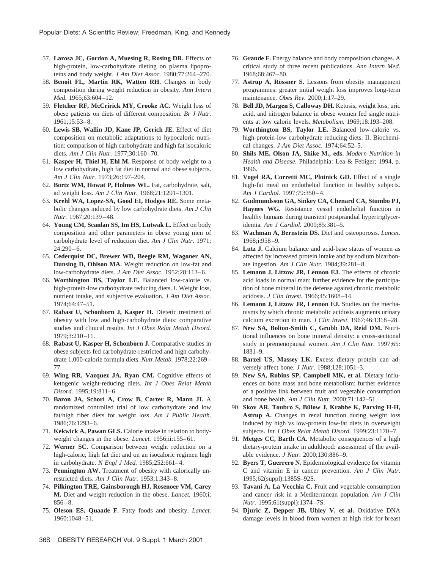- 57. **Larosa JC, Gordon A, Muesing R, Rosing DR.** Effects of high-protein, low-carbohydrate dieting on plasma lipoproteins and body weight. *J Am Diet Assoc.* 1980;77:264–270.
- 58. **Benoit FL, Martin RK, Watten RH.** Changes in body composition during weight reduction in obesity. *Ann Intern Med.* 1965;63:604–12.
- 59. **Fletcher RF, McCririck MY, Crooke AC.** Weight loss of obese patients on diets of different composition. *Br J Nutr.* 1961;15:53–8.
- 60. **Lewis SB, Wallin JD, Kane JP, Gerich JE.** Effect of diet composition on metabolic adaptations to hypocaloric nutrition: comparison of high carbohydrate and high fat isocaloric diets. *Am J Clin Nutr.* 1977;30:160–70.
- 61. **Kasper H, Thiel H, Ehl M.** Response of body weight to a low carbohydrate, high fat diet in normal and obese subjects. *Am J Clin Nutr.* 1973;26:197–204.
- 62. **Bortz WM, Howat P, Holmes WL.** Fat, carbohydrate, salt, ad weight loss. *Am J Clin Nutr.* 1968;21:1291–1301.
- 63. **Krehl WA, Lopez-SA, Good EI, Hodges RE.** Some metabolic changes induced by low carbohydrate diets. *Am J Clin Nutr.* 1967;20:139–48.
- 64. **Young CM, Scanlan SS, Im HS, Lutwak L.** Effect on body composition and other parameters in obese young men of carbohydrate level of reduction diet. *Am J Clin Nutr.* 1971; 24:290–6.
- 65. **Cederquist DC, Brewer WD, Beegle RM, Wagoner AN, Dunsing D, Ohlson MA.** Weight reduction on low-fat and low-carbohydrate diets. *J Am Diet Assoc.* 1952;28:113–6.
- 66. **Worthington BS, Taylor LE.** Balanced low-calorie vs. high-protein-low carbohydrate reducing diets. I. Weight loss, nutrient intake, and subjective evaluation. *J Am Diet Assoc.* 1974;64:47–51.
- 67. **Rabast U, Schonborn J, Kasper H.** Dietetic treatment of obesity with low and high-carbohydrate diets: comparative studies and clinical results. *Int J Obes Relat Metab Disord.* 1979;3:210–11.
- 68. **Rabast U, Kasper H, Schonborn J.** Comparative studies in obese subjects fed carbohydrate-restricted and high carbohydrate 1,000-calorie formula diets. *Nutr Metab.* 1978;22:269– 77.
- 69. **Wing RR, Vazquez JA, Ryan CM.** Cognitive effects of ketogenic weight-reducing diets. *Int J Obes Relat Metab Disord.* 1995;19:811–6.
- 70. **Baron JA, Schori A, Crow B, Carter R, Mann JI.** A randomized controlled trial of low carbohydrate and low fat/high fiber diets for weight loss. *Am J Public Health.* 1986;76:1293–6.
- 71. **Kekwick A, Pawan GLS.** Calorie intake in relation to bodyweight changes in the obese. *Lancet.* 1956;ii:155–61.
- 72. **Werner SC.** Comparison between weight reduction on a high-calorie, high fat diet and on an isocaloric regimen high in carbohydrate. *N Engl J Med.* 1985;252:661–4.
- 73. **Pennington AW.** Treatment of obesity with calorically unrestricted diets. *Am J Clin Nutr.* 1953;1:343–8.
- 74. **Pilkington TRE, Gainsborough HJ, Rosenoer VM, Carey M.** Diet and weight reduction in the obese. *Lancet.* 1960;i: 856–8.
- 75. **Oleson ES, Quaade F.** Fatty foods and obesity. *Lancet.* 1960:1048–51.
- 76. **Grande F.** Energy balance and body composition changes. A critical study of three recent publications. *Ann Intern Med.* 1968;68:467–80.
- 77. **Astrup A, Rössner S.** Lessons from obesity management programmes: greater initial weight loss improves long-term maintenance. *Obes Rev.* 2000;1:17–29.
- 78. **Bell JD, Margen S, Calloway DH.** Ketosis, weight loss, uric acid, and nitrogen balance in obese women fed single nutrients at low calorie levels. *Metabolism.* 1969;18:193–208.
- 79. **Worthington BS, Taylor LE.** Balanced low-calorie vs. high-protein-low carbohydrate reducing diets. II. Biochemical changes. *J Am Diet Assoc.* 1974;64:52–5.
- 80. **Shils ME, Olson JA, Shike M., eds.** *Modern Nutrition in Health and Disease.* Philadelphia: Lea & Febiger; 1994, p. 1996.
- 81. **Vogel RA, Corretti MC, Plotnick GD.** Effect of a single high-fat meal on endothelial function in healthy subjects. *Am J Cardiol.* 1997;79:350–4.
- 82. **Gudmundsson GA, Sinkey CA, Chenard CA, Stumbo PJ, Haynes WG.** Resistance vessel endothelial function in healthy humans during transient postprandial hypertriglyceridemia*. Am J Cardiol.* 2000;85:381–5.
- 83. **Wachman A, Bernstein DS.** Diet and osteoporosis. *Lancet.* 1968;i:958–9.
- 84. **Lutz J.** Calcium balance and acid-base status of women as affected by increased protein intake and by sodium bicarbonate ingestion. *Am J Clin Nutr.* 1984;39:281–8.
- 85. **Lemann J, Litzow JR, Lennon EJ.** The effects of chronic acid loads in normal man: further evidence for the participation of bone mineral in the defense against chronic metabolic acidosis. *J Clin Invest.* 1966;45:1608–14.
- 86. **Lemann J, Litzow JR, Lennon EJ.** Studies on the mechanisms by which chronic metabolic acidosis augments urinary calcium excretion in man. *J Clin Invest.* 1967;46:1318–28.
- 87. **New SA, Bolton-Smith C, Grubb DA, Reid DM.** Nutritional influences on bone mineral density: a cross-sectional study in premenopausal women. *Am J Clin Nutr.* 1997;65: 1831–9.
- 88. **Barzel US, Massey LK.** Excess dietary protein can adversely affect bone. *J Nutr.* 1988;128:1051–3.
- 89. **New SA, Robins SP, Campbell MK, et al.** Dietary influences on bone mass and bone metabolism: further evidence of a positive link between fruit and vegetable consumption and bone health. *Am J Clin Nutr.* 2000;71:142–51.
- 90. Skov AR, Toubro S, Bülow J, Krabbe K, Parving H-H, **Astrup A.** Changes in renal function during weight loss induced by high vs low-protein low-fat diets in overweight subjects. *Int J Obes Relat Metab Disord.* 1999;23:1170–7.
- 91. **Metges CC, Barth CA.** Metabolic consequences of a high dietary-protein intake in adulthood: assessment of the available evidence. *J Nutr.* 2000;130:886–9.
- 92. **Byers T, Guerrero N.** Epidemiological evidence for vitamin C and vitamin E in cancer prevention. *Am J Clin Nutr.* 1995;62(suppl):1385S–92S.
- 93. **Tavani A, La Vecchia C.** Fruit and vegetable consumption and cancer risk in a Mediterranean population. *Am J Clin Nutr.* 1995;61(suppl):1374–7S.
- 94. **Djuric Z, Depper JB, Uhley V, et al.** Oxidative DNA damage levels in blood from women at high risk for breast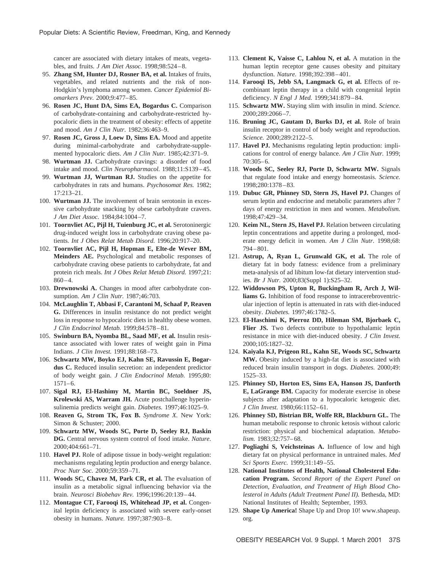cancer are associated with dietary intakes of meats, vegetables, and fruits. *J Am Diet Assoc.* 1998;98:524–8.

- 95. **Zhang SM, Hunter DJ, Rosner BA, et al.** Intakes of fruits, vegetables, and related nutrients and the risk of non-Hodgkin's lymphoma among women. *Cancer Epidemiol Biomarkers Prev.* 2000;9:477–85.
- 96. **Rosen JC, Hunt DA, Sims EA, Bogardus C.** Comparison of carbohydrate-containing and carbohydrate-restricted hypocaloric diets in the treatment of obesity: effects of appetite and mood. *Am J Clin Nutr.* 1982;36:463–9.
- 97. **Rosen JC, Gross J, Loew D, Sims EA.** Mood and appetite during minimal-carbohydrate and carbohydrate-supplemented hypocaloric diets. *Am J Clin Nutr.* 1985;42:371–9.
- 98. **Wurtman JJ.** Carbohydrate cravings: a disorder of food intake and mood. *Clin Neuropharmacol.* 1988;11:S139–45.
- 99. **Wurtman JJ, Wurtman RJ.** Studies on the appetite for carbohydrates in rats and humans. *Psychosomat Res.* 1982; 17:213–21.
- 100. **Wurtman JJ.** The involvement of brain serotonin in excessive carbohydrate snacking by obese carbohydrate cravers. *J Am Diet Assoc.* 1984;84:1004–7.
- 101. **Toornvliet AC, Pijl H, Tuienburg JC, et al.** Serotoninergic drug-induced weight loss in carbohydrate craving obese patients. *Int J Obes Relat Metab Disord.* 1996;20:917–20.
- 102. **Toornvliet AC, Pijl H, Hopman E, Elte-de Wever BM, Meinders AE.** Psychological and metabolic responses of carbohydrate craving obese patients to carbohydrate, fat and protein rich meals. *Int J Obes Relat Metab Disord.* 1997;21:  $860 - 4.$
- 103. **Drewnowski A.** Changes in mood after carbohydrate consumption. *Am J Clin Nutr.* 1987;46:703.
- 104. **McLaughlin T, Abbasi F, Carantoni M, Schaaf P, Reaven G.** Differences in insulin resistance do not predict weight loss in response to hypocaloric diets in healthy obese women. *J Clin Endocrinol Metab.* 1999;84:578–81.
- 105. **Swinburn BA, Nyomba BL, Saad MF, et al.** Insulin resistance associated with lower rates of weight gain in Pima Indians. *J Clin Invest.* 1991;88:168–73.
- 106. **Schwartz MW, Boyko EJ, Kahn SE, Ravussin E, Bogardus C.** Reduced insulin secretion: an independent predictor of body weight gain. *J Clin Endocrinol Metab.* 1995;80: 1571–6.
- 107. **Sigal RJ, El-Hashimy M, Martin BC, Soeldner JS, Krolewski AS, Warram JH.** Acute postchallenge hyperinsulinemia predicts weight gain. *Diabetes.* 1997;46:1025–9.
- 108. **Reaven G, Strom TK, Fox B.** *Syndrome X.* New York: Simon & Schuster; 2000.
- 109. **Schwartz MW, Woods SC, Porte D, Seeley RJ, Baskin DG.** Central nervous system control of food intake. *Nature.* 2000;404:661–71.
- 110. **Havel PJ.** Role of adipose tissue in body-weight regulation: mechanisms regulating leptin production and energy balance. *Proc Nutr Soc.* 2000;59:359–71.
- 111. **Woods SC, Chavez M, Park CR, et al.** The evaluation of insulin as a metabolic signal influencing behavior via the brain. *Neurosci Biobehav Rev.* 1996;1996:20:139–44.
- 112. **Montague CT, Farooqi IS, Whitehead JP, et al.** Congenital leptin deficiency is associated with severe early-onset obesity in humans. *Nature.* 1997;387:903–8.
- 113. **Clement K, Vaisse C, Lahlou N, et al.** A mutation in the human leptin receptor gene causes obesity and pituitary dysfunction. *Nature.* 1998;392:398–401.
- 114. **Farooqi IS, Jebb SA, Langmack G, et al.** Effects of recombinant leptin therapy in a child with congenital leptin deficiency. *N Engl J Med.* 1999;341:879–84.
- 115. **Schwartz MW.** Staying slim with insulin in mind. *Science.* 2000;289:2066–7.
- 116. **Bruning JC, Gautam D, Burks DJ, et al.** Role of brain insulin receptor in control of body weight and reproduction. *Science.* 2000;289:2122–5.
- 117. **Havel PJ.** Mechanisms regulating leptin production: implications for control of energy balance. *Am J Clin Nutr.* 1999; 70:305–6.
- 118. **Woods SC, Seeley RJ, Porte D, Schwartz MW.** Signals that regulate food intake and energy homeostasis. *Science.* 1998;280:1378–83.
- 119. **Dubuc GR, Phinney SD, Stern JS, Havel PJ.** Changes of serum leptin and endocrine and metabolic parameters after 7 days of energy restriction in men and women. *Metabolism.* 1998;47:429–34.
- 120. **Keim NL, Stern JS, Havel PJ.** Relation between circulating leptin concentrations and appetite during a prolonged, moderate energy deficit in women. *Am J Clin Nutr.* 1998;68: 794–801.
- 121. **Astrup, A, Ryan L, Grunwald GK, et al.** The role of dietary fat in body fatness: evidence from a preliminary meta-analysis of ad libitum low-fat dietary intervention studies. *Br J Nutr.* 2000;83(Suppl 1):S25–32.
- 122. **Widdowson PS, Upton R, Buckingham R, Arch J, Williams G.** Inhibition of food response to intracerebroventricular injection of leptin is attenuated in rats with diet-induced obesity. *Diabetes.* 1997;46:1782–5.
- 123. **El-Haschimi K, Pierroz DD, Hileman SM, Bjorbaek C, Flier JS.** Two defects contribute to hypothalamic leptin resistance in mice with diet-induced obesity. *J Clin Invest.* 2000;105:1827–32.
- 124. **Kaiyala KJ, Prigeon RL, Kahn SE, Woods SC, Schwartz MW.** Obesity induced by a high-fat diet is associated with reduced brain insulin transport in dogs. *Diabetes.* 2000;49: 1525–33.
- 125. **Phinney SD, Horton ES, Sims EA, Hanson JS, Danforth E, LaGrange BM.** Capacity for moderate exercise in obese subjects after adaptation to a hypocaloric ketogenic diet. *J Clin Invest.* 1980;66:1152–61.
- 126. **Phinney SD, Bistrian BR, Wolfe RR, Blackburn GL.** The human metabolic response to chronic ketosis without caloric restriction: physical and biochemical adaptation. *Metabolism.* 1983;32:757–68.
- 127. **Pogliaghi S, Veichsteinas A.** Influence of low and high dietary fat on physical performance in untrained males. *Med Sci Sports Exerc.* 1999;31:149–55.
- 128. **National Institutes of Health, National Cholesterol Education Program.** *Second Report of the Expert Panel on Detection, Evaluation, and Treatment of High Blood Cholesterol in Adults (Adult Treatment Panel II).* Bethesda, MD: National Institutes of Health; September, 1993.
- 129. **Shape Up America!** Shape Up and Drop 10! www.shapeup. org.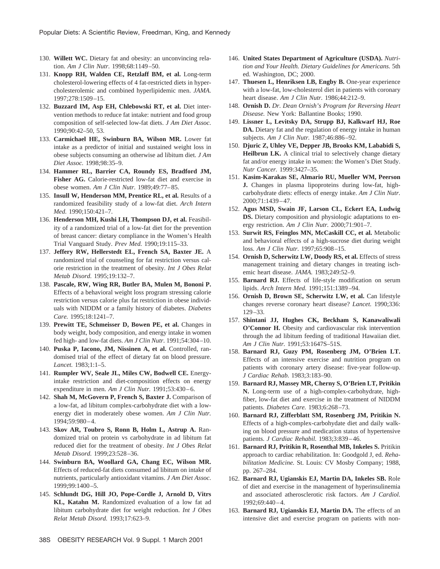- 130. **Willett WC.** Dietary fat and obesity: an unconvincing relation. *Am J Clin Nutr.* 1998;68:1149–50.
- 131. **Knopp RH, Walden CE, Retzlaff BM, et al.** Long-term cholesterol-lowering effects of 4 fat-restricted diets in hypercholesterolemic and combined hyperlipidemic men. *JAMA.* 1997;278:1509–15.
- 132. **Buzzard IM, Asp EH, Chlebowski RT, et al.** Diet intervention methods to reduce fat intake: nutrient and food group composition of self-selected low-fat diets. *J Am Diet Assoc.* 1990;90:42–50, 53.
- 133. **Carmichael HE, Swinburn BA, Wilson MR.** Lower fat intake as a predictor of initial and sustained weight loss in obese subjects consuming an otherwise ad libitum diet. *J Am Diet Assoc.* 1998;98:35–9.
- 134. **Hammer RL, Barrier CA, Roundy ES, Bradford JM, Fisher AG.** Calorie-restricted low-fat diet and exercise in obese women. *Am J Clin Nutr.* 1989;49:77–85.
- 135. **Insull W, Henderson MM, Prentice RL, et al.** Results of a randomized feasibility study of a low-fat diet. *Arch Intern Med.* 1990;150:421–7.
- 136. **Henderson MH, Kushi LH, Thompson DJ, et al.** Feasibility of a randomized trial of a low-fat diet for the prevention of breast cancer: dietary compliance in the Women's Health Trial Vanguard Study. *Prev Med.* 1990;19:115–33.
- 137. **Jeffery RW, Hellerstedt EL, French SA, Baxter JE.** A randomized trial of counseling for fat restriction versus calorie restriction in the treatment of obesity. *Int J Obes Relat Metab Disord.* 1995;19:132–7.
- 138. **Pascale, RW, Wing RR, Butler BA, Mulen M, Bononi P.** Effects of a behavioral weight loss program stressing calorie restriction versus calorie plus fat restriction in obese individuals with NIDDM or a family history of diabetes. *Diabetes Care.* 1995;18:1241–7.
- 139. **Prewitt TE, Schmeisser D, Bowen PE, et al.** Changes in body weight, body composition, and energy intake in women fed high- and low-fat diets. *Am J Clin Nutr.* 1991;54:304–10.
- 140. **Puska P, Iacono, JM, Nissinen A, et al.** Controlled, randomised trial of the effect of dietary fat on blood pressure. *Lancet.* 1983;1:1–5.
- 141. **Rumpler WV, Seale JL, Miles CW, Bodwell CE.** Energyintake restriction and diet-composition effects on energy expenditure in men. *Am J Clin Nutr.* 1991;53:430–6.
- 142. **Shah M, McGovern P, French S, Baxter J.** Comparison of a low-fat, ad libitum complex-carbohydrate diet with a lowenergy diet in moderately obese women. *Am J Clin Nutr.* 1994;59:980–4.
- 143. **Skov AR, Toubro S, Ronn B, Holm L, Astrup A.** Randomized trial on protein vs carbohydrate in ad libitum fat reduced diet for the treatment of obesity. *Int J Obes Relat Metab Disord.* 1999;23:528–36.
- 144. **Swinburn BA, Woollard GA, Chang EC, Wilson MR.** Effects of reduced-fat diets consumed ad libitum on intake of nutrients, particularly antioxidant vitamins. *J Am Diet Assoc.* 1999;99:1400–5.
- 145. **Schlundt DG, Hill JO, Pope-Cordle J, Arnold D, Vitrs KL, Katahn M.** Randomized evaluation of a low fat ad libitum carbohydrate diet for weight reduction. *Int J Obes Relat Metab Disord.* 1993;17:623–9.
- 146. **United States Department of Agriculture (USDA).** *Nutrition and Your Health. Dietary Guidelines for Americans.* 5th ed. Washington, DC; 2000.
- 147. **Thuesen L, Henriksen LB, Engby B.** One-year experience with a low-fat, low-cholesterol diet in patients with coronary heart disease. *Am J Clin Nutr.* 1986;44:212–9.
- 148. **Ornish D.** *Dr. Dean Ornish's Program for Reversing Heart Disease.* New York: Ballantine Books; 1990.
- 149. **Lissner L, Levitsky DA, Strupp BJ, Kalkwarf HJ, Roe DA.** Dietary fat and the regulation of energy intake in human subjects. *Am J Clin Nutr.* 1987;46:886–92.
- 150. **Djuric Z, Uhley VE, Depper JB, Brooks KM, Lababidi S, Heilbrun LK.** A clinical trial to selectively change dietary fat and/or energy intake in women: the Women's Diet Study. *Nutr Cancer.* 1999:3427–35.
- 151. **Kasim-Karakas SE, Almario RU, Mueller WM, Peerson J.** Changes in plasma lipoproteins during low-fat, highcarbohydrate diets: effects of energy intake. *Am J Clin Nutr.* 2000;71:1439–47.
- 152. **Agus MSD, Swain JF, Larson CL, Eckert EA, Ludwig DS.** Dietary composition and physiologic adaptations to energy restriction. *Am J Clin Nutr.* 2000;71:901–7.
- 153. **Surwit RS, Feinglos MN, McCaskill CC, et al.** Metabolic and behavioral effects of a high-sucrose diet during weight loss. *Am J Clin Nutr.* 1997;65:908–15.
- 154. **Ornish D, Scherwitz LW, Doody RS, et al.** Effects of stress management training and dietary changes in treating ischemic heart disease. *JAMA.* 1983;249:52–9.
- 155. **Barnard RJ.** Effects of life-style modification on serum lipids. *Arch Intern Med.* 1991;151:1389–94.
- 156. **Ornish D, Brown SE, Scherwitz LW, et al.** Can lifestyle changes reverse coronary heart disease? *Lancet.* 1990;336: 129–33.
- 157. **Shintani JJ, Hughes CK, Beckham S, Kanawaliwali O'Connor H.** Obesity and cardiovascular risk intervention through the ad libitum feeding of traditional Hawaiian diet. *Am J Clin Nutr.* 1991;53:1647S–51S.
- 158. **Barnard RJ, Guzy PM, Rosenberg JM, O'Brien LT.** Effects of an intensive exercise and nutrition program on patients with coronary artery disease: five-year follow-up. *J Cardiac Rehab.* 1983;3:183–90.
- 159. **Barnard RJ, Massey MR, Cherny S, O'Brien LT, Pritikin N.** Long-term use of a high-complex-carbohydrate, highfiber, low-fat diet and exercise in the treatment of NIDDM patients. *Diabetes Care.* 1983;6:268–73.
- 160. **Barnard RJ, Zifferblatt SM, Rosenberg JM, Pritikin N.** Effects of a high-complex-carbohydate diet and daily walking on blood pressure and medication status of hypertensive patients. *J Cardiac Rehabil.* 1983;3:839–46.
- 161. **Barnard RJ, Pritikin R, Rosenthal MB, Inkeles S.** Pritikin approach to cardiac rehabilitation. In: Goodgold J, ed. *Rehabilitation Medicine.* St. Louis: CV Mosby Company; 1988, pp. 267–284.
- 162. **Barnard RJ, Ugianskis EJ, Martin DA, Inkeles SB.** Role of diet and exercise in the management of hyperinsulinemia and associated atherosclerotic risk factors. *Am J Cardiol.* 1992;69:440–4.
- 163. **Barnard RJ, Ugianskis EJ, Martin DA.** The effects of an intensive diet and exercise program on patients with non-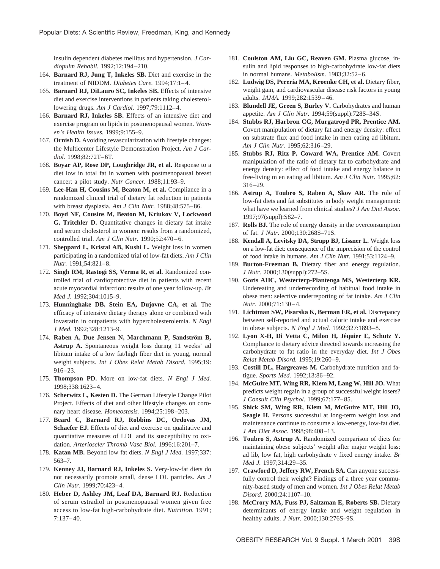insulin dependent diabetes mellitus and hypertension. *J Cardiopulm Rehabil.* 1992;12:194–210.

- 164. **Barnard RJ, Jung T, Inkeles SB.** Diet and exercise in the treatment of NIDDM. *Diabetes Care.* 1994;17:1–4.
- 165. **Barnard RJ, DiLauro SC, Inkeles SB.** Effects of intensive diet and exercise interventions in patients taking cholesterollowering drugs. *Am J Cardiol.* 1997;79:1112–4.
- 166. **Barnard RJ, Inkeles SB.** Effects of an intensive diet and exercise program on lipids in postmenopausal women. *Women's Health Issues.* 1999;9:155–9.
- 167. **Ornish D.** Avoiding revascularization with lifestyle changes: the Multicenter Lifestyle Demonstration Project. *Am J Cardiol.* 1998;82:72T–6T.
- 168. **Boyar AP, Rose DP, Loughridge JR, et al.** Response to a diet low in total fat in women with postmenopausal breast cancer: a pilot study. *Nutr Cancer.* 1988;11:93–9.
- 169. **Lee-Han H, Cousins M, Beaton M, et al.** Compliance in a randomized clinical trial of dietary fat reduction in patients with breast dysplasia. *Am J Clin Nutr.* 1988;48:575–86.
- 170. **Boyd NF, Cousins M, Beaton M, Kriukov V, Lockwood G, Tritchler D.** Quantitative changes in dietary fat intake and serum cholesterol in women: results from a randomized, controlled trial. *Am J Clin Nutr.* 1990;52:470–6.
- 171. **Sheppard L, Kristal AB, Kushi L.** Weight loss in women participating in a randomized trial of low-fat diets. *Am J Clin Nutr.* 1991;54:821–8.
- 172. **Singh RM, Rastogi SS, Verma R, et al.** Randomized controlled trial of cardioprotective diet in patients with recent acute myocardial infarction: results of one year follow-up. *Br Med J.* 1992;304:1015–9.
- 173. **Hunninghake DB, Stein EA, Dujovne CA, et al.** The efficacy of intensive dietary therapy alone or combined with lovastatin in outpatients with hypercholesterolemia. *N Engl J Med.* 1992;328:1213–9.
- 174. **Raben A, Due Jensen N, Marchmann P, Sandström B, Astrup A.** Spontaneous weight loss during 11 weeks' ad libitum intake of a low fat/high fiber diet in young, normal weight subjects. *Int J Obes Relat Metab Disord.* 1995;19: 916–23.
- 175. **Thompson PD.** More on low-fat diets. *N Engl J Med.* 1998;338:1623–4.
- 176. **Scherwitz L, Kesten D.** The German Lifestyle Change Pilot Project. Effects of diet and other lifestyle changes on coronary heart disease. *Homeostasis.* 1994;25:198–203.
- 177. **Beard C, Barnard RJ, Robbins DC, Ordovas JM, Schaefer EJ.** Effects of diet and exercise on qualitative and quantitative measures of LDL and its susceptibility to oxidation. *Arterioscler Thromb Vasc Biol.* 1996;16:201–7.
- 178. **Katan MB.** Beyond low fat diets. *N Engl J Med.* 1997;337: 563–7.
- 179. **Kenney JJ, Barnard RJ, Inkeles S.** Very-low-fat diets do not necessarily promote small, dense LDL particles. *Am J Clin Nutr.* 1999;70:423–4.
- 180. **Heber D, Ashley JM, Leaf DA, Barnard RJ.** Reduction of serum estradiol in postmenopausal women given free access to low-fat high-carbohydrate diet. *Nutrition.* 1991; 7:137–40.
- 181. **Coulston AM, Liu GC, Reaven GM.** Plasma glucose, insulin and lipid responses to high-carbohydrate low-fat diets in normal humans. *Metabolism.* 1983;32:52–6.
- 182. **Ludwig DS, Pereria MA, Kroenke CH, et al.** Dietary fiber, weight gain, and cardiovascular disease risk factors in young adults. *JAMA.* 1999;282:1539–46.
- 183. **Blundell JE, Green S, Burley V.** Carbohydrates and human appetite. *Am J Clin Nutr.* 1994;59(suppl):728S–34S.
- 184. **Stubbs RJ, Harbron CG, Murgatroyd PR, Prentice AM.** Covert manipulation of dietary fat and energy density: effect on substrate flux and food intake in men eating ad libitum. *Am J Clin Nutr.* 1995;62:316–29.
- 185. **Stubbs RJ, Ritz P, Coward WA, Prentice AM.** Covert manipulation of the ratio of dietary fat to carbohydrate and energy density: effect of food intake and energy balance in free-living m en eating ad libitum. *Am J Clin Nutr.* 1995;62: 316–29.
- 186. **Astrup A, Toubro S, Raben A, Skov AR.** The role of low-fat diets and fat substitutes in body weight management: what have we learned from clinical studies? *J Am Diet Assoc.* 1997;97(suppl):S82–7.
- 187. **Rolls BJ.** The role of energy density in the overconsumption of fat. *J Nutr.* 2000;130:268S–71S.
- 188. **Kendall A, Levitsky DA, Strupp BJ, Lissner L.** Weight loss on a low-fat diet: consequence of the imprecision of the control of food intake in humans. *Am J Clin Nutr.* 1991;53:1124–9.
- 189. **Burton-Freeman B.** Dietary fiber and energy regulation. *J Nutr.* 2000;130(suppl):272–5S.
- 190. **Goris AHC, Westerterp-Plantenga MS, Westerterp KR.** Undereating and underrecording of habitual food intake in obese men: selective underreporting of fat intake. *Am J Clin Nutr.* 2000;71:130–4.
- 191. **Lichtman SW, Pisarska K, Berman ER, et al.** Discrepancy between self-reported and actual caloric intake and exercise in obese subjects. *N Engl J Med.* 1992;327:1893–8.
- 192. Lyon X-H, Di Vetta C, Milon H, Jéquier E, Schutz Y. Compliance to dietary advice directed towards increasing the carbohydrate to fat ratio in the everyday diet. *Int J Obes Relat Metab Disord.* 1995;19:260–9.
- 193. **Costill DL, Hargreaves M.** Carbohydrate nutrition and fatigue. *Sports Med.* 1992;13:86–92.
- 194. **McGuire MT, Wing RR, Klem M, Lang W, Hill JO.** What predicts weight regain in a group of successful weight losers? *J Consult Clin Psychol.* 1999;67:177–85.
- 195. **Shick SM, Wing RR, Klem M, McGuire MT, Hill JO, Seagle H.** Persons successful at long-term weight loss and maintenance continue to consume a low-energy, low-fat diet. *J Am Diet Assoc.* 1998;98:408–13.
- 196. **Toubro S, Astrup A.** Randomized comparison of diets for maintaining obese subjects' weight after major weight loss: ad lib, low fat, high carbohydrate v fixed energy intake. *Br Med J.* 1997;314:29–35.
- 197. **Crawford D, Jeffery RW, French SA.** Can anyone successfully control their weight? Findings of a three year community-based study of men and women. *Int J Obes Relat Metab Disord.* 2000;24:1107–10.
- 198. **McCrory MA, Fuss PJ, Saltzman E, Roberts SB.** Dietary determinants of energy intake and weight regulation in healthy adults. *J Nutr.* 2000;130:276S–9S.